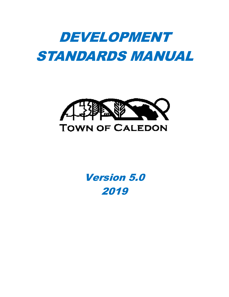# DEVELOPMENT STANDARDS MANUAL



## Version 5.0 2019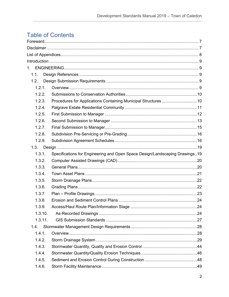### **Table of Contents**

| 1.      |                                                                             |  |
|---------|-----------------------------------------------------------------------------|--|
| 1.1.    |                                                                             |  |
| 1.2.    |                                                                             |  |
| 1.2.1.  |                                                                             |  |
| 1.2.2.  |                                                                             |  |
| 1.2.3.  | Procedures for Applications Containing Municipal Structures 10              |  |
| 1.2.4.  |                                                                             |  |
| 1.2.5.  |                                                                             |  |
| 1.2.6.  |                                                                             |  |
| 1.2.7.  |                                                                             |  |
| 1.2.8.  |                                                                             |  |
| 1.2.9.  |                                                                             |  |
| 1.3.    |                                                                             |  |
| 1.3.1.  | Specifications for Engineering and Open Space Design/Landscaping Drawings19 |  |
| 1.3.2.  |                                                                             |  |
| 1.3.3.  |                                                                             |  |
| 1.3.4.  |                                                                             |  |
| 1.3.5.  |                                                                             |  |
| 1.3.6.  |                                                                             |  |
| 1.3.7.  |                                                                             |  |
| 1.3.8.  |                                                                             |  |
| 139     |                                                                             |  |
| 1.3.10. |                                                                             |  |
| 1.3.11. |                                                                             |  |
| 1.4.    |                                                                             |  |
| 1.4.1.  |                                                                             |  |
| 1.4.2.  |                                                                             |  |
| 1.4.3.  |                                                                             |  |
| 1.4.4.  |                                                                             |  |
| 1.4.5.  |                                                                             |  |
| 1.4.6.  |                                                                             |  |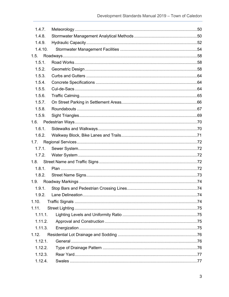| 1.4.7.  |  |
|---------|--|
| 1.4.8.  |  |
| 1.4.9.  |  |
| 1.4.10. |  |
|         |  |
| 1.5.1.  |  |
| 1.5.2.  |  |
| 1.5.3.  |  |
| 1.5.4.  |  |
| 1.5.5.  |  |
| 1.5.6.  |  |
| 1.5.7.  |  |
| 1.5.8.  |  |
| 1.5.9.  |  |
|         |  |
| 1.6.1.  |  |
| 1.6.2.  |  |
| 1.7.    |  |
| 1.7.1.  |  |
| 1.7.2.  |  |
|         |  |
| 1.8.1.  |  |
| 1.8.2.  |  |
|         |  |
| 1.9.1.  |  |
|         |  |
| 1.10.   |  |
| 1.11.   |  |
| 1.11.1. |  |
| 1.11.2. |  |
| 1.11.3. |  |
| 1.12.   |  |
| 1.12.1. |  |
| 1.12.2. |  |
| 1.12.3. |  |
| 1.12.4. |  |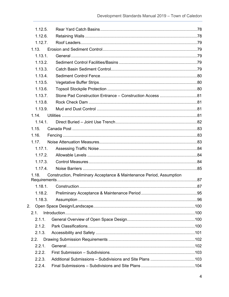| 1.12.5. |                                                                       |  |
|---------|-----------------------------------------------------------------------|--|
| 1.12.6. |                                                                       |  |
| 1.12.7. |                                                                       |  |
| 1.13.   |                                                                       |  |
| 1.13.1. |                                                                       |  |
| 1.13.2. |                                                                       |  |
| 1.13.3. |                                                                       |  |
| 1.13.4. |                                                                       |  |
| 1.13.5. |                                                                       |  |
| 1.13.6. |                                                                       |  |
| 1.13.7. |                                                                       |  |
| 1.13.8. |                                                                       |  |
| 1.13.9. |                                                                       |  |
| 1.14.   |                                                                       |  |
| 1.14.1  |                                                                       |  |
| 1.15.   |                                                                       |  |
| 1.16.   |                                                                       |  |
| 1.17.   |                                                                       |  |
| 1.17.1. |                                                                       |  |
| 1.17.2. |                                                                       |  |
| 1.17.3. |                                                                       |  |
| 1.17.4. |                                                                       |  |
| 1.18.   | Construction, Preliminary Acceptance & Maintenance Period, Assumption |  |
|         |                                                                       |  |
| 1.18.1  |                                                                       |  |
| 1.18.2. |                                                                       |  |
| 1.18.3. |                                                                       |  |
| 2.      |                                                                       |  |
| 2.1     |                                                                       |  |
| 2.1.1.  |                                                                       |  |
| 2.1.2.  |                                                                       |  |
| 2.1.3.  |                                                                       |  |
| 2.2.    |                                                                       |  |
| 2.2.1.  |                                                                       |  |
| 2.2.2.  |                                                                       |  |
| 2.2.3.  |                                                                       |  |
| 2.2.4.  |                                                                       |  |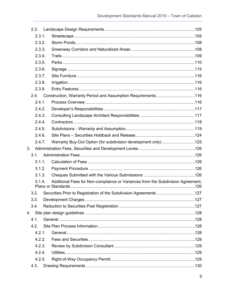| 2.3.           |                                                                                 |  |
|----------------|---------------------------------------------------------------------------------|--|
| 2.3.1.         |                                                                                 |  |
| 2.3.2.         |                                                                                 |  |
| 2.3.3.         |                                                                                 |  |
| 2.3.4.         |                                                                                 |  |
| 2.3.5.         |                                                                                 |  |
| 2.3.6.         |                                                                                 |  |
| 2.3.7.         |                                                                                 |  |
| 2.3.8.         |                                                                                 |  |
| 2.3.9.         |                                                                                 |  |
| 2.4.           | Construction, Warranty Period and Assumption Requirements116                    |  |
| 2.4.1.         |                                                                                 |  |
| 2.4.2.         |                                                                                 |  |
| 2.4.3.         |                                                                                 |  |
| 2.4.4.         |                                                                                 |  |
| 2.4.5.         |                                                                                 |  |
| 2.4.6.         |                                                                                 |  |
| 2.4.7.         | Warranty Buy-Out Option (for subdivision development only) 125                  |  |
| 3 <sub>1</sub> |                                                                                 |  |
| 3.1.           |                                                                                 |  |
| 3.1.1.         |                                                                                 |  |
| 3.1.2.         |                                                                                 |  |
| 3.1.3.         |                                                                                 |  |
| 3.1.4.         | Additional Fees for Non-compliance or Variances from the Subdivision Agreement, |  |
|                | 3.2. Securities Prior to Registration of the Subdivision Agreements127          |  |
| 3.3.           |                                                                                 |  |
| 3.4.           |                                                                                 |  |
| 4.             |                                                                                 |  |
| 4.1.           |                                                                                 |  |
| 4.2.           |                                                                                 |  |
| 4.2.1.         |                                                                                 |  |
| 4.2.2.         |                                                                                 |  |
| 4.2.3.         |                                                                                 |  |
| 4.2.4.         |                                                                                 |  |
| 4.2.5.         |                                                                                 |  |
| 4.3.           |                                                                                 |  |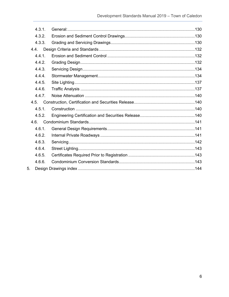|      | 4.3.1. |  |
|------|--------|--|
|      | 4.3.2. |  |
|      | 4.3.3. |  |
| 4.4. |        |  |
|      | 4.4.1. |  |
|      | 4.4.2. |  |
|      | 4.4.3. |  |
|      | 4.4.4. |  |
|      | 4.4.5. |  |
|      | 4.4.6. |  |
|      | 4.4.7. |  |
| 4.5. |        |  |
|      | 4.5.1. |  |
|      | 4.5.2. |  |
| 4.6. |        |  |
|      | 4.6.1. |  |
|      | 4.6.2. |  |
|      | 4.6.3. |  |
|      | 4.6.4. |  |
|      | 4.6.5. |  |
|      | 4.6.6. |  |
| 5.   |        |  |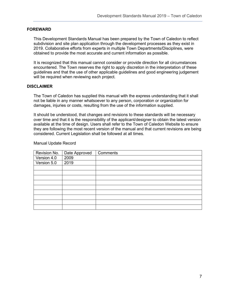#### <span id="page-6-0"></span>**FOREWARD**

This Development Standards Manual has been prepared by the Town of Caledon to reflect subdivision and site plan application through the development processes as they exist in 2019. Collaborative efforts from experts in multiple Town Departments/Disciplines, were obtained to provide the most accurate and current information as possible.

It is recognized that this manual cannot consider or provide direction for all circumstances encountered. The Town reserves the right to apply discretion in the interpretation of these guidelines and that the use of other applicable guidelines and good engineering judgement will be required when reviewing each project.

#### <span id="page-6-1"></span>**DISCLAIMER**

The Town of Caledon has supplied this manual with the express understanding that it shall not be liable in any manner whatsoever to any person, corporation or organization for damages, injuries or costs, resulting from the use of the information supplied.

It should be understood, that changes and revisions to these standards will be necessary over time and that it is the responsibility of the applicant/designer to obtain the latest version available at the time of design. Users shall refer to the Town of Caledon Website to ensure they are following the most recent version of the manual and that current revisions are being considered. Current Legislation shall be followed at all times.

#### Manual Update Record

| Revision No.                      | Date Approved | Comments |
|-----------------------------------|---------------|----------|
| Version 4.0                       | 2009          |          |
| $\overline{\mathsf{Version}}$ 5.0 | 2019          |          |
|                                   |               |          |
|                                   |               |          |
|                                   |               |          |
|                                   |               |          |
|                                   |               |          |
|                                   |               |          |
|                                   |               |          |
|                                   |               |          |
|                                   |               |          |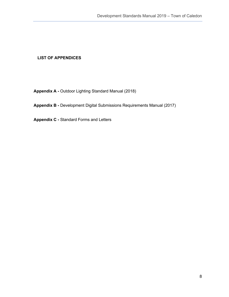#### <span id="page-7-0"></span>**LIST OF APPENDICES**

**Appendix A -** Outdoor Lighting Standard Manual (2018)

#### **Appendix B -** Development Digital Submissions Requirements Manual (2017)

**Appendix C -** Standard Forms and Letters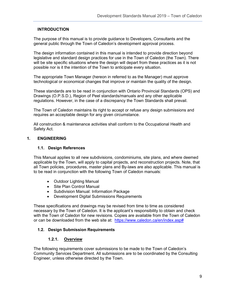#### <span id="page-8-0"></span>**INTRODUCTION**

The purpose of this manual is to provide guidance to Developers, Consultants and the general public through the Town of Caledon's development approval process.

The design information contained in this manual is intended to provide direction beyond legislative and standard design practices for use in the Town of Caledon (the Town). There will be site specific situations where the design will depart from these practices as it is not possible nor is it the intention of the Town to anticipate every situation.

The appropriate Town Manager (hereon in referred to as the Manager) must approve technological or economical changes that improve or maintain the quality of the design.

These standards are to be read in conjunction with Ontario Provincial Standards (OPS) and Drawings (O.P.S.D.), Region of Peel standards/manuals and any other applicable regulations. However, in the case of a discrepancy the Town Standards shall prevail.

The Town of Caledon maintains its right to accept or refuse any design submissions and requires an acceptable design for any given circumstance.

All construction & maintenance activities shall conform to the Occupational Health and Safety Act.

#### <span id="page-8-2"></span><span id="page-8-1"></span>**1. ENGINEERING**

#### **1.1. Design References**

This Manual applies to all new subdivisions, condominiums, site plans, and where deemed applicable by the Town, will apply to capital projects, and reconstruction projects. Note, that all Town policies, procedures, master plans and By-laws are also applicable. This manual is to be read in conjunction with the following Town of Caledon manuals:

- Outdoor Lighting Manual
- Site Plan Control Manual
- Subdivision Manual: Information Package
- Development Digital Submissions Requirements

These specifications and drawings may be revised from time to time as considered necessary by the Town of Caledon. It is the applicant's responsibility to obtain and check with the Town of Caledon for new revisions. Copies are available from the Town of Caledon or can be downloaded from the web site at: [https://www.caledon.ca/en/index.asp#](https://www.caledon.ca/en/index.asp)

#### <span id="page-8-3"></span>**1.2. Design Submission Requirements**

#### **1.2.1. Overview**

<span id="page-8-4"></span>The following requirements cover submissions to be made to the Town of Caledon's Community Services Department. All submissions are to be coordinated by the Consulting Engineer, unless otherwise directed by the Town.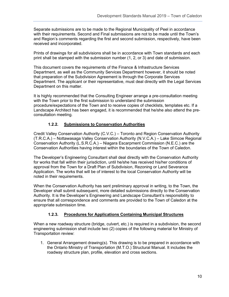Separate submissions are to be made to the Regional Municipality of Peel in accordance with their requirements. Second and Final submissions are not to be made until the Town's and Region's comments regarding the first and second submission, respectively, have been received and incorporated.

Prints of drawings for all subdivisions shall be in accordance with Town standards and each print shall be stamped with the submission number (1, 2, or 3) and date of submission.

This document covers the requirements of the Finance & Infrastructure Services Department, as well as the Community Services Department however, it should be noted that preparation of the Subdivision Agreement is through the Corporate Services Department. The applicant or their representative, must deal directly with the Legal Services Department on this matter.

It is highly recommended that the Consulting Engineer arrange a pre-consultation meeting with the Town prior to the first submission to understand the submission procedure/expectations of the Town and to receive copies of checklists, templates etc. If a Landscape Architect has been engaged, it is recommended that he/she also attend the preconsultation meeting.

#### **1.2.2. Submissions to Conservation Authorities**

<span id="page-9-0"></span>Credit Valley Conservation Authority (C.V.C.) – Toronto and Region Conservation Authority (T.R.C.A.) – Nottawasaga Valley Conservation Authority (N.V.C.A.) – Lake Simcoe Regional Conservation Authority (L.S.R.C.A.) – Niagara Escarpment Commission (N.E.C.) are the Conservation Authorities having interest within the boundaries of the Town of Caledon.

The Developer's Engineering Consultant shall deal directly with the Conservation Authority for works that fall within their jurisdiction, until he/she has received his/her conditions of approval from the Town for a Draft Plan of Subdivision, Rezoning or Land Severance Application. The works that will be of interest to the local Conservation Authority will be noted in their requirements.

When the Conservation Authority has sent preliminary approval in writing, to the Town, the Developer shall submit subsequent, more detailed submissions directly to the Conservation Authority. It is the Developer's Engineering and Landscape Consultant's responsibility to ensure that all correspondence and comments are provided to the Town of Caledon at the appropriate submission time.

#### **1.2.3. Procedures for Applications Containing Municipal Structures**

<span id="page-9-1"></span>When a new roadway structure (bridge, culvert, etc.) is required in a subdivision, the second engineering submission shall include two (2) copies of the following material for Ministry of Transportation review:

1. General Arrangement drawing(s). This drawing is to be prepared in accordance with the Ontario Ministry of Transportation (M.T.O.) Structural Manual. It includes the roadway structure plan, profile, elevation and cross sections.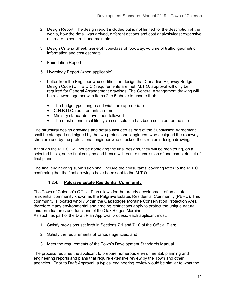- 2. Design Report. The design report includes but is not limited to, the description of the works, how the detail was arrived, different options and cost analysis/least expensive alternate to construct and maintain.
- 3. Design Criteria Sheet. General type/class of roadway, volume of traffic, geometric information and cost estimate.
- 4. Foundation Report.
- 5. Hydrology Report (when applicable).
- 6. Letter from the Engineer who certifies the design that Canadian Highway Bridge Design Code (C.H.B.D.C.) requirements are met. M.T.O. approval will only be required for General Arrangement drawings. The General Arrangement drawing will be reviewed together with items 2 to 5 above to ensure that:
	- The bridge type, length and width are appropriate
	- C.H.B.D.C. requirements are met
	- Ministry standards have been followed
	- The most economical life cycle cost solution has been selected for the site

The structural design drawings and details included as part of the Subdivision Agreement shall be stamped and signed by the two professional engineers who designed the roadway structure and by the professional engineer who checked the structural design drawings.

Although the M.T.O. will not be approving the final designs, they will be monitoring, on a selected basis, some final designs and hence will require submission of one complete set of final plans.

The final engineering submission shall include the consultants' covering letter to the M.T.O. confirming that the final drawings have been sent to the M.T.O.

#### **1.2.4. Palgrave Estate Residential Community**

<span id="page-10-0"></span>The Town of Caledon's Official Plan allows for the orderly development of an estate residential community known as the Palgrave Estates Residential Community (PERC). This community is located wholly within the Oak Ridges Moraine Conservation Protection Area therefore many environmental and grading restrictions apply to protect the unique natural landform features and functions of the Oak Ridges Moraine.

As such, as part of the Draft Plan Approval process, each applicant must:

- 1. Satisfy provisions set forth in Sections 7.1 and 7.10 of the Official Plan;
- 2. Satisfy the requirements of various agencies; and
- 3. Meet the requirements of the Town's Development Standards Manual.

The process requires the applicant to prepare numerous environmental, planning and engineering reports and plans that require extensive review by the Town and other agencies. Prior to Draft Approval, a typical engineering review would be similar to what the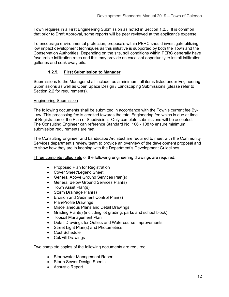Town requires in a First Engineering Submission as noted in Section 1.2.5. It is common that prior to Draft Approval, some reports will be peer reviewed at the applicant's expense.

To encourage environmental protection, proposals within PERC should investigate utilizing low impact development techniques as this initiative is supported by both the Town and the Conservation Authorities. Depending on the site, soil conditions within PERC generally have favourable infiltration rates and this may provide an excellent opportunity to install infiltration galleries and soak away pits.

#### **1.2.5. First Submission to Manager**

<span id="page-11-0"></span>Submissions to the Manager shall include, as a minimum, all items listed under Engineering Submissions as well as Open Space Design / Landscaping Submissions (please refer to Section 2.2 for requirements).

#### Engineering Submission

The following documents shall be submitted in accordance with the Town's current fee By-Law. This processing fee is credited towards the total Engineering fee which is due at time of Registration of the Plan of Subdivision. Only complete submissions will be accepted. The Consulting Engineer can reference Standard No. 106 - 108 to ensure minimum submission requirements are met.

The Consulting Engineer and Landscape Architect are required to meet with the Community Services department's review team to provide an overview of the development proposal and to show how they are in keeping with the Department's Development Guidelines.

Three complete rolled sets of the following engineering drawings are required:

- Proposed Plan for Registration
- Cover Sheet/Legend Sheet
- General Above Ground Services Plan(s)
- General Below Ground Services Plan(s)
- Town Asset Plan(s)
- Storm Drainage Plan(s)
- Erosion and Sediment Control Plan(s)
- Plan/Profile Drawings
- Miscellaneous Plans and Detail Drawings
- Grading Plan(s) (including lot grading, parks and school block)
- Topsoil Management Plan
- Detail Drawings for Outlets and Watercourse Improvements
- Street Light Plan(s) and Photometrics
- Cost Schedule
- Cut/Fill Drawings

Two complete copies of the following documents are required:

- Stormwater Management Report
- Storm Sewer Design Sheets
- Acoustic Report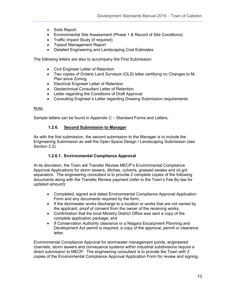- Soils Report
- Environmental Site Assessment (Phase 1 & Record of Site Conditions)
- Traffic Impact Study (if required)
- Topsoil Management Report
- Detailed Engineering and Landscaping Cost Estimates

The following letters are also to accompany the First Submission:

- Civil Engineer Letter of Retention
- Two copies of Ontario Land Surveyor (OLS) letter certifying no Changes to M-Plan since Zoning
- Electrical Engineer Letter of Retention
- Geotechnical Consultant Letter of Retention
- Letter regarding the Conditions of Draft Approval
- Consulting Engineer's Letter regarding Drawing Submission requirements

#### Note:

<span id="page-12-0"></span>Sample letters can be found in Appendix C – Standard Forms and Letters.

#### **1.2.6. Second Submission to Manager**

As with the first submission, the second submission to the Manager is to include the Engineering Submission as well the Open Space Design / Landscaping Submission (see Section 2.2).

#### **1.2.6.1. Environmental Compliance Approval**

At its discretion, the Town will Transfer Review MECP's Environmental Compliance Approval Applications for storm sewers, ditches, culverts, grassed swales and oil grit separators. The engineering consultant is to provide 2 complete copies of the following documents along with the Transfer Review payment (refer to the Town's Fee By-law for updated amount):

- Completed, signed and dated Environmental Compliance Approval Application Form and any documents required by the form;
- If the stormwater works discharge to a location or works that are not owned by the applicant, proof of consent from the owner of the receiving works;
- Confirmation that the local Ministry District Office was sent a copy of the complete application package; and
- If Conservation Authority clearance or a Niagara Escarpment Planning and Development Act permit is required, a copy of the approval, permit or clearance letter.

Environmental Compliance Approval for stormwater management ponds, engineered channels, storm sewers and conveyance systems within industrial subdivisions require a direct submission to MECP. The engineering consultant is to provide the Town with 2 copies of the Environmental Compliance Approval Application Form for review and signing.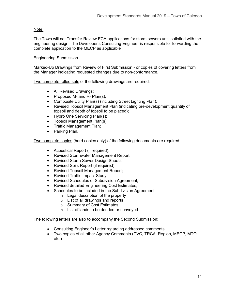#### Note:

The Town will not Transfer Review ECA applications for storm sewers until satisfied with the engineering design. The Developer's Consulting Engineer is responsible for forwarding the complete application to the MECP as applicable

#### Engineering Submission

Marked-Up Drawings from Review of First Submission - or copies of covering letters from the Manager indicating requested changes due to non-conformance.

Two complete rolled sets of the following drawings are required:

- All Revised Drawings;
- Proposed M- and R- Plan(s);
- Composite Utility Plan(s) (including Street Lighting Plan);
- Revised Topsoil Management Plan (indicating pre-development quantity of topsoil and depth of topsoil to be placed);
- Hydro One Servicing Plan(s);
- Topsoil Management Plan(s);
- Traffic Management Plan;
- Parking Plan.

Two complete copies (hard copies only) of the following documents are required:

- Acoustical Report (if required);
- Revised Stormwater Management Report;
- Revised Storm Sewer Design Sheets;
- Revised Soils Report (if required);
- Revised Topsoil Management Report;
- Revised Traffic Impact Study;
- Revised Schedules of Subdivision Agreement;
- Revised detailed Engineering Cost Estimates;
- Schedules to be included in the Subdivision Agreement:
	- $\circ$  Legal description of the property
	- o List of all drawings and reports
	- o Summary of Cost Estimates
	- o List of lands to be deeded or conveyed

The following letters are also to accompany the Second Submission:

- Consulting Engineer's Letter regarding addressed comments
- Two copies of all other Agency Comments (CVC, TRCA, Region, MECP, MTO etc.)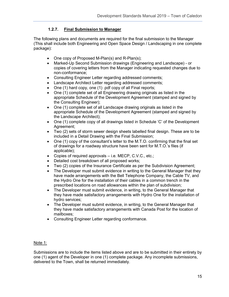#### **1.2.7. Final Submission to Manager**

<span id="page-14-0"></span>The following plans and documents are required for the final submission to the Manager (This shall include both Engineering and Open Space Design / Landscaping in one complete package):

- One copy of Proposed M-Plan(s) and R-Plan(s);
- Marked-Up Second Submission drawings (Engineering and Landscape) or copies of covering letters from the Manager indicating requested changes due to non-conformance;
- Consulting Engineer Letter regarding addressed comments;
- Landscape Architect Letter regarding addressed comments;
- One (1) hard copy, one (1) .pdf copy of all Final reports;
- One (1) complete set of all Engineering drawing originals as listed in the appropriate Schedule of the Development Agreement (stamped and signed by the Consulting Engineer);
- One (1) complete set of all Landscape drawing originals as listed in the appropriate Schedule of the Development Agreement (stamped and signed by the Landscape Architect);
- One (1) complete copy of all drawings listed in Schedule 'C' of the Development Agreement:
- Two (2) sets of storm sewer design sheets labelled final design. These are to be included in a Detail Drawing with the Final Submission;
- One (1) copy of the consultant's letter to the M.T.O. confirming that the final set of drawings for a roadway structure have been sent for M.T.O.'s files (if applicable);
- Copies of required approvals i.e. MECP, C.V.C., etc.;
- Detailed cost breakdown of all proposed works;
- Two (2) copies of the Insurance Certificate as per the Subdivision Agreement;
- The Developer must submit evidence in writing to the General Manager that they have made arrangements with the Bell Telephone Company, the Cable TV, and the Hydro One for the installation of their cables in a common trench in the prescribed locations on road allowances within the plan of subdivision;
- The Developer must submit evidence, in writing, to the General Manager that they have made satisfactory arrangements with Hydro One for the installation of hydro services;
- The Developer must submit evidence, in writing, to the General Manager that they have made satisfactory arrangements with Canada Post for the location of mailboxes;
- Consulting Engineer Letter regarding conformance.

#### Note 1:

Submissions are to include the items listed above and are to be submitted in their entirety by one (1) agent of the Developer in one (1) complete package. Any incomplete submissions, delivered to the Town, shall be returned immediately.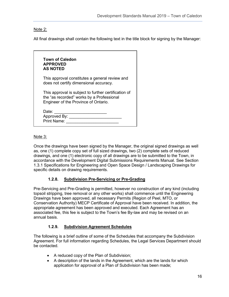#### Note 2:

All final drawings shall contain the following text in the title block for signing by the Manager:

| <b>Town of Caledon</b><br><b>APPROVED</b><br><b>AS NOTED</b>                                                                              |  |
|-------------------------------------------------------------------------------------------------------------------------------------------|--|
| This approval constitutes a general review and<br>does not certify dimensional accuracy.                                                  |  |
| This approval is subject to further certification of<br>the "as recorded" works by a Professional<br>Engineer of the Province of Ontario. |  |
| Date:<br>Approved By:<br>Print Name:                                                                                                      |  |

#### Note 3:

Once the drawings have been signed by the Manager, the original signed drawings as well as, one (1) complete copy set of full sized drawings, two (2) complete sets of reduced drawings, and one (1) electronic copy of all drawings are to be submitted to the Town, in accordance with the Development Digital Submissions Requirements Manual. See Section 1.3.1 Specifications for Engineering and Open Space Design / Landscaping Drawings for specific details on drawing requirements.

#### **1.2.8. Subdivision Pre-Servicing or Pre-Grading**

<span id="page-15-0"></span>Pre-Servicing and Pre-Grading is permitted, however no construction of any kind (including topsoil stripping, tree removal or any other works) shall commence until the Engineering Drawings have been approved, all necessary Permits (Region of Peel, MTO, or Conservation Authority) MECP Certificate of Approval have been received. In addition, the appropriate agreement has been approved and executed. Each Agreement has an associated fee, this fee is subject to the Town's fee By-law and may be revised on an annual basis.

#### **1.2.9. Subdivision Agreement Schedules**

<span id="page-15-1"></span>The following is a brief outline of some of the Schedules that accompany the Subdivision Agreement. For full information regarding Schedules, the Legal Services Department should be contacted.

- A reduced copy of the Plan of Subdivision;
- A description of the lands in the Agreement, which are the lands for which application for approval of a Plan of Subdivision has been made;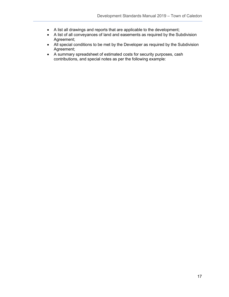- A list all drawings and reports that are applicable to the development;
- A list of all conveyances of land and easements as required by the Subdivision Agreement;
- All special conditions to be met by the Developer as required by the Subdivision Agreement;
- A summary spreadsheet of estimated costs for security purposes, cash contributions, and special notes as per the following example: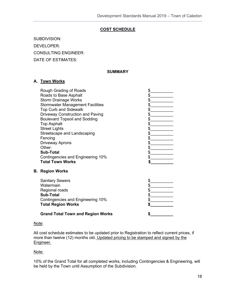#### **COST SCHEDULE**

SUBDIVISION: DEVELOPER: CONSULTING ENGINEER: DATE OF ESTIMATES:

#### **SUMMARY**

#### **A. Town Works**

| Rough Grading of Roads<br>Roads to Base Asphalt |  |
|-------------------------------------------------|--|
| <b>Storm Drainage Works</b>                     |  |
| <b>Stormwater Management Facilities</b>         |  |
| <b>Top Curb and Sidewalk</b>                    |  |
| <b>Driveway Construction and Paving</b>         |  |
| <b>Boulevard Topsoil and Sodding</b>            |  |
| <b>Top Asphalt</b>                              |  |
| <b>Street Lights</b>                            |  |
| Streetscape and Landscaping                     |  |
| Fencing                                         |  |
| <b>Driveway Aprons</b>                          |  |
| Other:                                          |  |
| <b>Sub-Total</b>                                |  |
| Contingencies and Engineering 10%               |  |
| <b>Total Town Works</b>                         |  |

#### **B. Region Works**

Sanitary Sewers \$\_\_\_\_\_\_\_\_\_\_ Watermain Regional roads Sub-Total Contingencies and Engineering 10% **Total Region Works** 

**Grand Total Town and Region Works** 

| 899999 |  |  |
|--------|--|--|
|        |  |  |
|        |  |  |
|        |  |  |
|        |  |  |
|        |  |  |
| \$     |  |  |

#### Note:

All cost schedule estimates to be updated prior to Registration to reflect current prices, if more than twelve (12) months old. Updated pricing to be stamped and signed by the Engineer.

#### Note:

10% of the Grand Total for all completed works, including Contingencies & Engineering, will be held by the Town until Assumption of the Subdivision.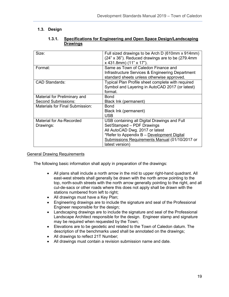#### <span id="page-18-1"></span><span id="page-18-0"></span>**1.3. Design**

| 1.3.1. | Specifications for Engineering and Open Space Design/Landscaping |
|--------|------------------------------------------------------------------|
|        | <b>Drawings</b>                                                  |

| Size:                           | Full sized drawings to be Arch D (610mm x 914mm)<br>(24" x 36"). Reduced drawings are to be (279.4mm<br>$x$ 431.8mm) (11" $x$ 17").   |
|---------------------------------|---------------------------------------------------------------------------------------------------------------------------------------|
| Format:                         | Same as Town of Caledon Finance and<br>Infrastructure Services & Engineering Department<br>standard sheets unless otherwise approved. |
| <b>CAD Standards:</b>           | Typical Plan Profile sheet complete with required<br>Symbol and Layering in AutoCAD 2017 (or latest)<br>format.                       |
| Material for Preliminary and    | <b>Bond</b>                                                                                                                           |
| <b>Second Submissions:</b>      | Black Ink (permanent)                                                                                                                 |
| Materials for Final Submission: | <b>Bond</b>                                                                                                                           |
|                                 | Black Ink (permanent)<br><b>USB</b>                                                                                                   |
| Material for As-Recorded        | USB containing all Digital Drawings and Full                                                                                          |
| Drawings:                       | Set/Stamped - PDF Drawings                                                                                                            |
|                                 | All AutoCAD Dwg. 2017 or latest                                                                                                       |
|                                 | *Refer to Appendix B - Development Digital                                                                                            |
|                                 | Submissions Requirements Manual (01/10/2017 or                                                                                        |
|                                 | latest version)                                                                                                                       |

#### General Drawing Requirements

The following basic information shall apply in preparation of the drawings:

- All plans shall include a north arrow in the mid to upper right-hand quadrant. All east-west streets shall generally be drawn with the north arrow pointing to the top, north-south streets with the north arrow generally pointing to the right, and all cul-de-sacs or other roads where this does not apply shall be drawn with the stations numbered from left to right;
- All drawings must have a Key Plan;
- Engineering drawings are to include the signature and seal of the Professional Engineer responsible for the design;
- Landscaping drawings are to include the signature and seal of the Professional Landscape Architect responsible for the design. Engineer stamp and signature may be required when requested by the Town;
- Elevations are to be geodetic and related to the Town of Caledon datum. The description of the benchmarks used shall be annotated on the drawings;
- All drawings to reflect 21T Number;
- All drawings must contain a revision submission name and date.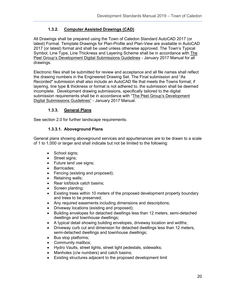#### **1.3.2. Computer Assisted Drawings (CAD)**

<span id="page-19-0"></span>All Drawings shall be prepared using the Town of Caledon Standard AutoCAD 2017 (or latest) Format. Template Drawings for Plan-Profile and Plan-View are available in AutoCAD 2017 (or latest) format and shall be used unless otherwise approved. The Town's Typical Symbol, Line Type, Line Thickness and Layering Scheme shall be in accordance with The Peel Group's Development Digital Submissions Guidelines - January 2017 Manual for all drawings.

Electronic files shall be submitted for review and acceptance and all file names shall reflect the drawing numbers in the Engineered Drawing Set. The Final submission and "As Recorded" submission shall also include an AutoCAD file that meets the Towns format; if layering, line type & thickness or format is not adhered to, the submission shall be deemed incomplete. Development drawing submissions, specifically tailored to the digital submission requirements shall be in accordance with "The Peel Group's Development Digital Submissions Guidelines" - January 2017 Manual.

#### **1.3.3. General Plans**

<span id="page-19-1"></span>See section 2.0 for further landscape requirements.

#### **1.3.3.1. Aboveground Plans**

General plans showing aboveground services and appurtenances are to be drawn to a scale of 1 to 1,000 or larger and shall indicate but not be limited to the following:

- School signs;
- Street signs;
- Future land use signs;
- Barricades;
- Fencing (existing and proposed);
- Retaining walls;
- Rear lot/block catch basins:
- Screen planting:
- Existing trees within 10 meters of the proposed development property boundary and trees to be preserved;
- Any required easements including dimensions and descriptions;
- Driveway locations (existing and proposed);
- Building envelopes for detached dwellings less than 12 meters, semi-detached dwellings and townhouse dwellings;
- A typical detail showing building envelopes, driveway location and widths;
- Driveway curb cut and dimension for detached dwellings less than 12 meters, semi-detached dwellings and townhouse dwellings;
- Bus stop platforms;
- Community mailbox;
- Hydro Vaults, street lights, street light pedestals, sidewalks;
- Manholes (c/w numbers) and catch basins;
- Existing structures adjacent to the proposed development limit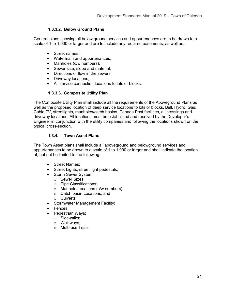#### **1.3.3.2. Below Ground Plans**

General plans showing all below ground services and appurtenances are to be drawn to a scale of 1 to 1,000 or larger and are to include any required easements, as well as:

- Street names;
- Watermain and appurtenances;
- Manholes (c/w numbers);
- Sewer size, slope and material;
- Directions of flow in the sewers;
- Driveway locations;
- All service connection locations to lots or blocks.

#### **1.3.3.3. Composite Utility Plan**

The Composite Utility Plan shall include all the requirements of the Aboveground Plans as well as the proposed location of deep service locations to lots or blocks, Bell, Hydro, Gas, Cable TV, streetlights, manholes/catch basins, Canada Post facilities, all crossings and driveway locations. All locations must be established and resolved by the Developer's Engineer in conjunction with the utility companies and following the locations shown on the typical cross-section.

#### **1.3.4. Town Asset Plans**

<span id="page-20-0"></span>The Town Asset plans shall include all aboveground and belowground services and appurtenances to be drawn to a scale of 1 to 1,000 or larger and shall indicate the location of, but not be limited to the following:

- Street Names;
- Street Lights, street light pedestals;
- Storm Sewer System:
	- o Sewer Sizes;
	- o Pipe Classifications;
	- o Manhole Locations (c/w numbers);
	- o Catch basin Locations; and
	- o Culverts
- Stormwater Management Facility;
- Fences;
- Pedestrian Ways:
	- o Sidewalks;
	- o Walkways;
	- o Multi-use Trails.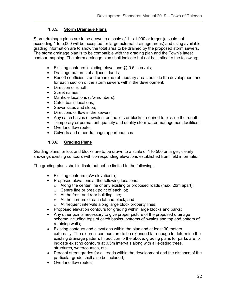#### **1.3.5. Storm Drainage Plans**

<span id="page-21-0"></span>Storm drainage plans are to be drawn to a scale of 1 to 1,000 or larger (a scale not exceeding 1 to 5,000 will be accepted for large external drainage areas) and using available grading information are to show the total area to be drained by the proposed storm sewers. The storm drainage plan is to be compatible with the grading plan and the Town's latest contour mapping. The storm drainage plan shall indicate but not be limited to the following:

- Existing contours including elevations @ 0.5 intervals;
- Drainage patterns of adjacent lands;
- Runoff coefficients and areas (ha) of tributary areas outside the development and for each section of the storm sewers within the development;
- Direction of runoff;
- Street names;
- Manhole locations (c/w numbers);
- Catch basin locations;
- Sewer sizes and slope;
- Directions of flow in the sewers;
- Any catch basins or swales, on the lots or blocks, required to pick-up the runoff;
- Temporary or permanent quantity and quality stormwater management facilities:
- Overland flow route;
- Culverts and other drainage appurtenances

#### **1.3.6. Grading Plans**

<span id="page-21-1"></span>Grading plans for lots and blocks are to be drawn to a scale of 1 to 500 or larger, clearly showings existing contours with corresponding elevations established from field information.

The grading plans shall indicate but not be limited to the following:

- Existing contours (c/w elevations);
- Proposed elevations at the following locations:
	- $\circ$  Along the center line of any existing or proposed roads (max. 20m apart);
	- o Centre line or break point of each lot;
	- $\circ$  At the front and rear building line:
	- o At the corners of each lot and block; and
	- o At frequent intervals along large block property lines;
- Proposed elevation contours for grading within large blocks and parks;
- Any other points necessary to give proper picture of the proposed drainage scheme including tops of catch basins, bottoms of swales and top and bottom of retaining walls;
- Existing contours and elevations within the plan and at least 30 meters externally. The external contours are to be extended far enough to determine the existing drainage pattern. In addition to the above, grading plans for parks are to indicate existing contours at 0.5m intervals along with all existing trees, structures, watercourses, etc.;
- Percent street grades for all roads within the development and the distance of the particular grade shall also be included;
- Overland flow routes: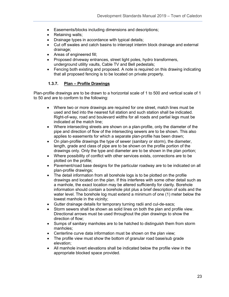- Easements/blocks including dimensions and descriptions;
- Retaining walls;
- Drainage types in accordance with typical details;
- Cut off swales and catch basins to intercept interim block drainage and external drainage;
- Areas of engineered fill;
- Proposed driveway entrances, street light poles, hydro transformers, underground utility vaults, Cable TV and Bell pedestals;
- Fencing both existing and proposed. A note is required on this drawing indicating that all proposed fencing is to be located on private property.

#### **1.3.7. Plan – Profile Drawings**

<span id="page-22-0"></span>Plan-profile drawings are to be drawn to a horizontal scale of 1 to 500 and vertical scale of 1 to 50 and are to conform to the following:

- Where two or more drawings are required for one street, match lines must be used and tied into the nearest full station and such station shall be indicated. Right-of-way, road and boulevard widths for all roads and partial legs must be indicated at the match line;
- Where intersecting streets are shown on a plan-profile, only the diameter of the pipe and direction of flow of the intersecting sewers are to be shown. This also applies to easements for which a separate plan-profile has been drawn;
- On plan-profile drawings the type of sewer (sanitary or storm), the diameter, length, grade and class of pipe are to be shown on the profile portion of the drawings only. Only the type and diameter are to be shown in the plan portion;
- Where possibility of conflict with other services exists, connections are to be plotted on the profile;
- Pavement/road base designs for the particular roadway are to be indicated on all plan-profile drawings;
- The detail information from all borehole logs is to be plotted on the profile drawings and located on the plan. If this interferes with some other detail such as a manhole, the exact location may be altered sufficiently for clarity. Borehole information should contain a borehole plot plus a brief description of soils and the water level. The borehole log must extend a minimum of one (1) meter below the lowest manhole in the vicinity;
- Gutter drainage details for temporary turning radii and cul-de-sacs;
- Storm sewers shall be shown as solid lines on both the plan and profile view. Directional arrows must be used throughout the plan drawings to show the direction of flow;
- Sumps of sanitary manholes are to be hatched to distinguish them from storm manholes;
- Centerline curve data information must be shown on the plan view;
- The profile view must show the bottom of granular road base/sub grade elevation;
- All manhole invert elevations shall be indicated below the profile view in the appropriate blocked space provided.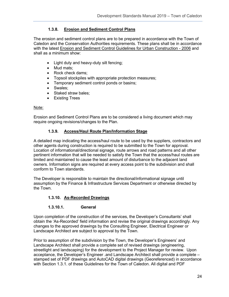#### **1.3.8. Erosion and Sediment Control Plans**

<span id="page-23-0"></span>The erosion and sediment control plans are to be prepared in accordance with the Town of Caledon and the Conservation Authorities requirements. These plans shall be in accordance with the latest Erosion and Sediment Control Guidelines for Urban Construction - 2006 and shall as a minimum show:

- Light duty and heavy-duty silt fencing;
- Mud mats;
- Rock check dams;
- Topsoil stockpiles with appropriate protection measures;
- Temporary sediment control ponds or basins;
- Swales;
- Staked straw bales;
- Existing Trees

#### Note:

Erosion and Sediment Control Plans are to be considered a living document which may require ongoing revisions/changes to the Plan.

#### **1.3.9. Access/Haul Route Plan/Information Stage**

<span id="page-23-1"></span>A detailed map indicating the access/haul route to be used by the suppliers, contractors and other agents during construction is required to be submitted to the Town for approval. Location of informational/directional signage, route arrows and road patterns and all other pertinent information that will be needed to satisfy the Town that the access/haul routes are limited and maintained to cause the least amount of disturbance to the adjacent land owners. Information signs are required at every access point to the subdivision and shall conform to Town standards.

The Developer is responsible to maintain the directional/informational signage until assumption by the Finance & Infrastructure Services Department or otherwise directed by the Town.

#### **1.3.10. As-Recorded Drawings**

#### **1.3.10.1. General**

<span id="page-23-2"></span>Upon completion of the construction of the services, the Developer's Consultants' shall obtain the 'As-Recorded' field information and revise the original drawings accordingly. Any changes to the approved drawings by the Consulting Engineer, Electrical Engineer or Landscape Architect are subject to approval by the Town.

Prior to assumption of the subdivision by the Town, the Developer's Engineers' and Landscape Architect shall provide a complete set of revised drawings (engineering, streetlight and landscaping) for the development to the Project Manager for review. Upon acceptance, the Developer's Engineer .and Landscape Architect shall provide a complete – stamped set of PDF drawings and AutoCAD digital drawings (Georeferenced) in accordance with Section 1.3.1. of these Guidelines for the Town of Caledon. All digital and PDF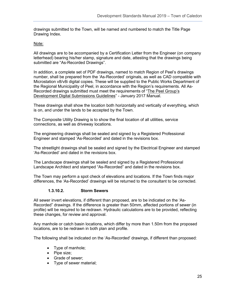drawings submitted to the Town, will be named and numbered to match the Title Page Drawing Index.

#### Note:

All drawings are to be accompanied by a Certification Letter from the Engineer (on company letterhead) bearing his/her stamp, signature and date, attesting that the drawings being submitted are "As-Recorded Drawings".

In addition, a complete set of PDF drawings, named to match Region of Peel's drawings number, shall be prepared from the 'As-Recorded' originals, as well as CAD compatible with Microstation v8/v8i digital copies. These will be supplied to the Public Works Department of the Regional Municipality of Peel, in accordance with the Region's requirements. All As-Recorded drawings submitted must meet the requirements of "The Peel Group's Development Digital Submissions Guidelines" - January 2017 Manual.

These drawings shall show the location both horizontally and vertically of everything, which is on, and under the lands to be accepted by the Town.

The Composite Utility Drawing is to show the final location of all utilities, service connections, as well as driveway locations.

The engineering drawings shall be sealed and signed by a Registered Professional Engineer and stamped 'As-Recorded' and dated in the revisions box.

The streetlight drawings shall be sealed and signed by the Electrical Engineer and stamped 'As-Recorded' and dated in the revisions box.

The Landscape drawings shall be sealed and signed by a Registered Professional Landscape Architect and stamped "As-Recorded" and dated in the revisions box.

The Town may perform a spot check of elevations and locations. If the Town finds major differences, the 'As-Recorded' drawings will be returned to the consultant to be corrected.

#### **1.3.10.2. Storm Sewers**

All sewer invert elevations, if different than proposed, are to be indicated on the 'As-Recorded" drawings. If the difference is greater than 50mm, affected portions of sewer (in profile) will be required to be redrawn. Hydraulic calculations are to be provided, reflecting these changes, for review and approval.

Any manhole or catch basin locations, which differ by more than 1.50m from the proposed locations, are to be redrawn in both plan and profile.

The following shall be indicated on the 'As-Recorded' drawings, if different than proposed:

- Type of manhole;
- Pipe size;
- Grade of sewer;
- Type of sewer material;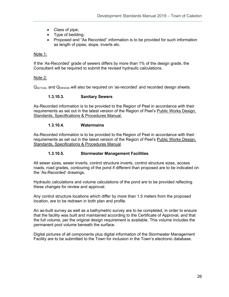- Class of pipe;
- Type of bedding;
- Proposed and "As Recorded" information is to be provided for such information as length of pipes, slope, inverts etc.

#### Note 1:

If the 'As-Recorded' grade of sewers differs by more than 1% of the design grade, the Consultant will be required to submit the revised hydraulic calculations.

#### Note 2:

 $Q_{\text{ACTUAL}}$  and  $Q_{\text{DESIGN}}$  will also be required on 'as-recorded' and recorded design sheets.

#### **1.3.10.3. Sanitary Sewers**

As-Recorded information is to be provided to the Region of Peel in accordance with their requirements as set out in the latest version of the Region of Peel's Public Works Design, Standards, Specifications & Procedures Manual.

#### **1.3.10.4. Watermains**

As-Recorded information is to be provided to the Region of Peel in accordance with their requirements as set out in the latest version of the Region of Peel's Public Works Design, Standards, Specifications & Procedures Manual.

#### **1.3.10.5. Stormwater Management Facilities**

All sewer sizes, sewer inverts, control structure inverts, control structure sizes, access roads, road grades, contouring of the pond if different than proposed are to be indicated on the 'As-Recorded' drawings.

Hydraulic calculations and volume calculations of the pond are to be provided reflecting these changes for review and approval.

Any control structure locations which differ by more than 1.5 meters from the proposed location, are to be redrawn in both plan and profile.

An as-built survey as well as a bathymetric survey are to be completed, in order to ensure that the facility was built and maintained according to the Certificate of Approval, and that the full volume, per the original design requirement is available. This volume includes the permanent pool volume beneath the surface.

Digital pictures of all components plus digital information of the Stormwater Management Facility are to be submitted to the Town for inclusion in the Town's electronic database.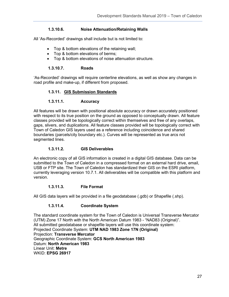#### **1.3.10.6. Noise Attenuation/Retaining Walls**

All 'As-Recorded' drawings shall include but is not limited to:

- Top & bottom elevations of the retaining wall;
- Top & bottom elevations of berms;
- Top & bottom elevations of noise attenuation structure.

#### **1.3.10.7. Roads**

<span id="page-26-0"></span>'As-Recorded' drawings will require centerline elevations, as well as show any changes in road profile and make-up, if different from proposed.

#### **1.3.11. GIS Submission Standards**

#### **1.3.11.1. Accuracy**

All features will be drawn with positional absolute accuracy or drawn accurately positioned with respect to its true position on the ground as opposed to conceptually drawn. All feature classes provided will be topologically correct within themselves and free of any overlaps, gaps, slivers, and duplications. All feature classes provided will be topologically correct with Town of Caledon GIS layers used as a reference including coincidence and shared boundaries (parcels/city boundary etc.). Curves will be represented as true arcs not segmented lines.

#### **1.3.11.2. GIS Deliverables**

An electronic copy of all GIS information is created in a digital GIS database. Data can be submitted to the Town of Caledon in a compressed format on an external hard drive, email, USB or FTP site. The Town of Caledon has standardized their GIS on the ESRI platform, currently leveraging version 10.7.1. All deliverables will be compatible with this platform and version.

#### **1.3.11.3. File Format**

All GIS data layers will be provided in a file geodatabase (.gdb) or Shapefile (.shp).

#### **1.3.11.4. Coordinate System**

The standard coordinate system for the Town of Caledon is Universal Transverse Mercator (UTM) Zone 17 North with the North American Datum 1983 - "NAD83 (Original)". All submitted geodatabase or shapefile layers will use this coordinate system: Projected Coordinate System: **UTM NAD 1983 Zone 17N (Original)**  Projection: **Transverse Mercator**  Geographic Coordinate System: **GCS North American 1983**  Datum: **North American 1983**  Linear Unit: **Metre** WKID: **EPSG 26917**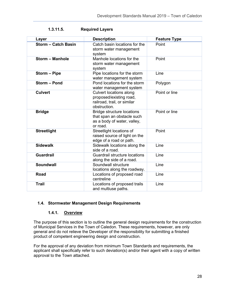| Layer                      | <b>Description</b>                                                                                         | <b>Feature Type</b> |
|----------------------------|------------------------------------------------------------------------------------------------------------|---------------------|
| <b>Storm - Catch Basin</b> | Catch basin locations for the<br>storm water management<br>system                                          | Point               |
| <b>Storm - Manhole</b>     | Manhole locations for the<br>storm water management<br>system                                              | Point               |
| Storm - Pipe               | Pipe locations for the storm<br>water management system                                                    | Line                |
| Storm - Pond               | Pond locations for the storm<br>water management system                                                    | Polygon             |
| <b>Culvert</b>             | <b>Culvert locations along</b><br>proposed/existing road,<br>railroad, trail, or similar<br>obstruction.   | Point or line       |
| <b>Bridge</b>              | <b>Bridge structure locations</b><br>that span an obstacle such<br>as a body of water, valley,<br>or road. | Point or line       |
| <b>Streetlight</b>         | Streetlight locations of<br>raised source of light on the<br>edge of a road or path.                       | Point               |
| <b>Sidewalk</b>            | Sidewalk locations along the<br>side of a road.                                                            | Line                |
| <b>Guardrail</b>           | <b>Guardrail structure locations</b><br>along the side of a road.                                          | Line                |
| <b>Soundwall</b>           | Soundwall structure<br>locations along the roadway.                                                        | Line                |
| <b>Road</b>                | Locations of proposed road<br>centreline                                                                   | Line                |
| <b>Trail</b>               | Locations of proposed trails<br>and multiuse paths.                                                        | Line                |

**1.3.11.5. Required Layers**

#### <span id="page-27-0"></span>**1.4. Stormwater Management Design Requirements**

#### **1.4.1. Overview**

<span id="page-27-1"></span>The purpose of this section is to outline the general design requirements for the construction of Municipal Services in the Town of Caledon. These requirements, however, are only general and do not relieve the Developer of the responsibility for submitting a finished product of competent engineering design and construction.

For the approval of any deviation from minimum Town Standards and requirements, the applicant shall specifically refer to such deviation(s) and/or their agent with a copy of written approval to the Town attached.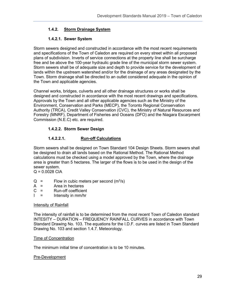#### **1.4.2. Storm Drainage System**

#### **1.4.2.1. Sewer System**

<span id="page-28-0"></span>Storm sewers designed and constructed in accordance with the most recent requirements and specifications of the Town of Caledon are required on every street within all proposed plans of subdivision. Inverts of service connections at the property line shall be surcharge free and be above the 100-year hydraulic grade line of the municipal storm sewer system. Storm sewers shall be of adequate size and depth to provide service for the development of lands within the upstream watershed and/or for the drainage of any areas designated by the Town. Storm drainage shall be directed to an outlet considered adequate in the opinion of the Town and applicable agencies.

Channel works, bridges, culverts and all other drainage structures or works shall be designed and constructed in accordance with the most recent drawings and specifications. Approvals by the Town and all other applicable agencies such as the Ministry of the Environment, Conservation and Parks (MECP), the Toronto Regional Conservation Authority (TRCA), Credit Valley Conservation (CVC), the Ministry of Natural Resources and Forestry (MNRF), Department of Fisheries and Oceans (DFO) and the Niagara Escarpment Commission (N.E.C) etc. are required.

#### **1.4.2.2. Storm Sewer Design**

#### **1.4.2.2.1. Run-off Calculations**

Storm sewers shall be designed on Town Standard 104 Design Sheets. Storm sewers shall be designed to drain all lands based on the Rational Method. The Rational Method calculations must be checked using a model approved by the Town, where the drainage area is greater than 5 hectares. The larger of the flows is to be used in the design of the sewer system.

 $Q = 0.0028$  CIA

- $Q =$  Flow in cubic meters per second (m<sup>3</sup>/s)
- $A =$  Area in hectares
- C = Run-off coefficient
- $I =$  Intensity in mm/hr

#### Intensity of Rainfall

The intensity of rainfall is to be determined from the most recent Town of Caledon standard INTESITY – DURATION – FREQUENCY RAINFALL CURVES in accordance with Town Standard Drawing No. 103. The equations for the I.D.F. curves are listed in Town Standard Drawing No. 103 and section 1.4.7. Meteorology.

#### Time of Concentration

The minimum initial time of concentration is to be 10 minutes.

#### Pre-Development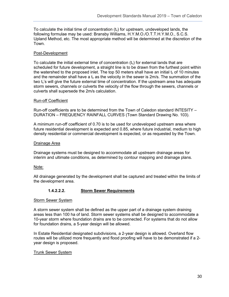To calculate the initial time of concentration  $(t<sub>c</sub>)$  for upstream, undeveloped lands, the following formulae may be used: Bransby Williams, H.Y.M.O./O.T.T.H.Y.M.O., S.C.S. Upland Method, etc. The most appropriate method will be determined at the discretion of the Town.

#### Post-Development

To calculate the initial external time of concentration  $(t<sub>c</sub>)$  for external lands that are scheduled for future development, a straight line is to be drawn from the furthest point within the watershed to the proposed inlet. The top 50 meters shall have an initial  $t_c$  of 10 minutes and the remainder shall have a  $t_c$  as the velocity in the sewer is 2m/s. The summation of the two  $t_c$ 's will give the future external time of concentration. If the upstream area has adequate storm sewers, channels or culverts the velocity of the flow through the sewers, channels or culverts shall supersede the 2m/s calculation.

#### Run-off Coefficient

Run-off coefficients are to be determined from the Town of Caledon standard INTESITY – DURATION – FREQUENCY RAINFALL CURVES (Town Standard Drawing No. 103).

A minimum run-off coefficient of 0.70 is to be used for undeveloped upstream area where future residential development is expected and 0.85, where future industrial, medium to high density residential or commercial development is expected, or as requested by the Town.

#### Drainage Area

Drainage systems must be designed to accommodate all upstream drainage areas for interim and ultimate conditions, as determined by contour mapping and drainage plans.

#### Note:

All drainage generated by the development shall be captured and treated within the limits of the development area.

#### **1.4.2.2.2. Storm Sewer Requirements**

#### Storm Sewer System

A storm sewer system shall be defined as the upper part of a drainage system draining areas less than 100 ha of land. Storm sewer systems shall be designed to accommodate a 10-year storm where foundation drains are to be connected. For systems that do not allow for foundation drains, a 5-year design will be allowed.

In Estate Residential designated subdivisions, a 2-year design is allowed. Overland flow routes will be utilized more frequently and flood proofing will have to be demonstrated if a 2 year design is proposed.

#### Trunk Sewer System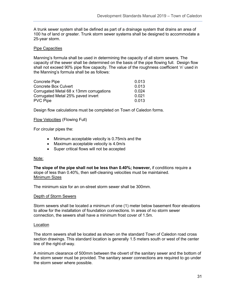A trunk sewer system shall be defined as part of a drainage system that drains an area of 100 ha of land or greater. Trunk storm sewer systems shall be designed to accommodate a 25-year storm.

#### Pipe Capacities

Manning's formula shall be used in determining the capacity of all storm sewers. The capacity of the sewer shall be determined on the basis of the pipe flowing full. Design flow shall not exceed 90% pipe flow capacity. The value of the roughness coefficient 'n' used in the Manning's formula shall be as follows:

| <b>Concrete Pipe</b>                    | 0.013 |
|-----------------------------------------|-------|
| <b>Concrete Box Culvert</b>             | 0.013 |
| Corrugated Metal 68 x 13mm corrugations | 0.024 |
| Corrugated Metal 25% paved invert       | 0.021 |
| <b>PVC Pipe</b>                         | 0.013 |

Design flow calculations must be completed on Town of Caledon forms.

#### Flow Velocities (Flowing Full)

For circular pipes the:

- Minimum acceptable velocity is 0.75m/s and the
- Maximum acceptable velocity is 4.0m/s
- Super critical flows will not be accepted

#### Note:

**The slope of the pipe shall not be less than 0.40%; however,** if conditions require a slope of less than 0.40%, then self-cleaning velocities must be maintained. Minimum Sizes

The minimum size for an on-street storm sewer shall be 300mm.

#### Depth of Storm Sewers

Storm sewers shall be located a minimum of one (1) meter below basement floor elevations to allow for the installation of foundation connections. In areas of no storm sewer connection, the sewers shall have a minimum frost cover of 1.5m.

#### Location

The storm sewers shall be located as shown on the standard Town of Caledon road cross section drawings. This standard location is generally 1.5 meters south or west of the center line of the right-of-way.

A minimum clearance of 500mm between the obvert of the sanitary sewer and the bottom of the storm sewer must be provided. The sanitary sewer connections are required to go under the storm sewer where possible.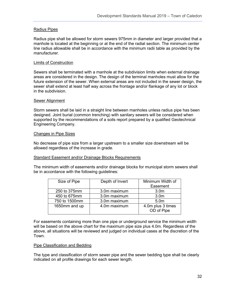#### Radius Pipes

Radius pipe shall be allowed for storm sewers 975mm in diameter and larger provided that a manhole is located at the beginning or at the end of the radial section. The minimum center line radius allowable shall be in accordance with the minimum radii table as provided by the manufacturer.

#### Limits of Construction

Sewers shall be terminated with a manhole at the subdivision limits when external drainage areas are considered in the design. The design of the terminal manholes must allow for the future extension of the sewer. When external areas are not included in the sewer design, the sewer shall extend at least half way across the frontage and/or flankage of any lot or block in the subdivision.

#### Sewer Alignment

Storm sewers shall be laid in a straight line between manholes unless radius pipe has been designed. Joint burial (common trenching) with sanitary sewers will be considered when supported by the recommendations of a soils report prepared by a qualified Geotechnical Engineering Company.

#### Changes in Pipe Sizes

No decrease of pipe size from a larger upstream to a smaller size downstream will be allowed regardless of the increase in grade.

#### Standard Easement and/or Drainage Blocks Requirements

The minimum width of easements and/or drainage blocks for municipal storm sewers shall be in accordance with the following guidelines:

| Size of Pipe  | Depth of Invert | Minimum Width of                |
|---------------|-----------------|---------------------------------|
|               |                 | Easement                        |
| 250 to 375mm  | 3.0m maximum    | 3.0 <sub>m</sub>                |
| 450 to 675mm  | 3.0m maximum    | 3.0 <sub>m</sub>                |
| 750 to 1500mm | 3.0m maximum    | 5.0 <sub>m</sub>                |
| 1650mm and up | 4.0m maximum    | 4.0m plus 3 times<br>OD of Pipe |

For easements containing more than one pipe or underground service the minimum width will be based on the above chart for the maximum pipe size plus 4.0m. Regardless of the above, all situations will be reviewed and judged on individual cases at the discretion of the Town.

#### Pipe Classification and Bedding

The type and classification of storm sewer pipe and the sewer bedding type shall be clearly indicated on all profile drawings for each sewer length.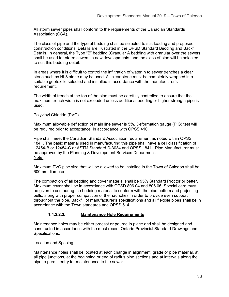All storm sewer pipes shall conform to the requirements of the Canadian Standards Association (CSA).

The class of pipe and the type of bedding shall be selected to suit loading and proposed construction conditions. Details are illustrated in the OPSD Standard Bedding and Backfill Details. In general, the Type "B" bedding (Granular A bedding with granular over the sewer) shall be used for storm sewers in new developments, and the class of pipe will be selected to suit this bedding detail.

In areas where it is difficult to control the infiltration of water in to sewer trenches a clear stone such as HL8 stone may be used. All clear stone must be completely wrapped in a suitable geotextile selected and installed in accordance with the manufacturer's requirement.

The width of trench at the top of the pipe must be carefully controlled to ensure that the maximum trench width is not exceeded unless additional bedding or higher strength pipe is used.

#### Polyvinyl Chloride (PVC)

Maximum allowable deflection of main line sewer is 5%. Deformation gauge (PIG) test will be required prior to acceptance, in accordance with OPSS 410.

Pipe shall meet the Canadian Standard Association requirement as noted within OPSS 1841. The basic material used in manufacturing this pipe shall have a cell classification of 12454-B or 12454-C or ASTM Standard D-3034 and OPSS 1841. Pipe Manufacturer must be approved by the Planning & Development Services Department. Note:

Maximum PVC pipe size that will be allowed to be installed in the Town of Caledon shall be 600mm diameter.

The compaction of all bedding and cover material shall be 95% Standard Proctor or better. Maximum cover shall be in accordance with OPSD 806.04 and 806.06. Special care must be given to contouring the bedding material to conform with the pipe bottom and projecting bells, along with proper compaction of the haunches in order to provide even support throughout the pipe. Backfill of manufacturer's specifications and all flexible pipes shall be in accordance with the Town standards and OPSS 514.

#### **1.4.2.2.3. Maintenance Hole Requirements**

Maintenance holes may be either precast or poured in place and shall be designed and constructed in accordance with the most recent Ontario Provincial Standard Drawings and Specifications.

#### Location and Spacing

Maintenance holes shall be located at each change in alignment, grade or pipe material, at all pipe junctions, at the beginning or end of radius pipe sections and at intervals along the pipe to permit entry for maintenance to the sewer.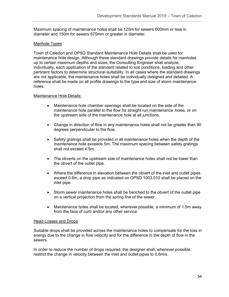Maximum spacing of maintenance holes shall be 120m for sewers 600mm or less in diameter and 150m for sewers 675mm or greater in diameter.

#### Manhole Types

Town of Caledon and OPSD Standard Maintenance Hole Details shall be used for maintenance hole design. Although these standard drawings provide details for manholes up to certain maximum depths and sizes, the Consulting Engineer shall analyze, individually, each application of the standard related to soil conditions, loading and other pertinent factors to determine structural suitability. In all cases where the standard drawings are not applicable, the maintenance holes shall be individually designed and detailed. A reference shall be made on all profile drawings to the type and size of storm maintenance holes.

#### Maintenance Hole Details:

- Maintenance hole chamber openings shall be located on the side of the maintenance hole parallel to the flow for straight run maintenance holes, or on the upstream side of the maintenance hole at all junctions.
- Change in direction of flow in any maintenance holes shall not be greater than 90 degrees perpendicular to the flow.
- Safety gratings shall be provided in all maintenance holes when the depth of the maintenance hole exceeds 5m. The maximum spacing between safety gratings shall not exceed 4.5m.
- The obverts on the upstream side of maintenance holes shall not be lower than the obvert of the outlet pipe.
- Where the difference in elevation between the obvert of the inlet and outlet pipes exceed 0.6m, a drop pipe as indicated on OPSD 1003.010 shall be placed on the inlet pipe.
- Storm sewer maintenance holes shall be benched to the obvert of the outlet pipe on a vertical projection from the spring line of the sewer.
- Maintenance holes shall be located, wherever possible, a minimum of 1.5m away from the face of curb and/or any other service.

#### Head Losses and Drops

Suitable drops shall be provided across the maintenance holes to compensate for the loss in energy due to the change in flow velocity and for the difference in the depth of flow in the sewers.

In order to reduce the number of drops required, the designer shall, wherever possible, restrict the change in velocity between the inlet and outlet pipes to 0.6m/s.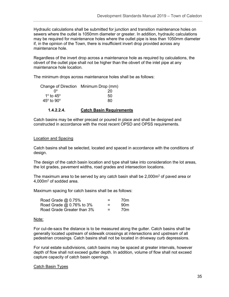Hydraulic calculations shall be submitted for junction and transition maintenance holes on sewers where the outlet is 1050mm diameter or greater. In addition, hydraulic calculations may be required for maintenance holes where the outlet pipe is less than 1050mm diameter if, in the opinion of the Town, there is insufficient invert drop provided across any maintenance hole.

Regardless of the invert drop across a maintenance hole as required by calculations, the obvert of the outlet pipe shall not be higher than the obvert of the inlet pipe at any maintenance hole location.

The minimum drops across maintenance holes shall be as follows:

|                                   | Change of Direction Minimum Drop (mm) |
|-----------------------------------|---------------------------------------|
| n۰                                | 20                                    |
| 1 <sup>o</sup> to 45 <sup>o</sup> | 50                                    |
| $45^\circ$ to $90^\circ$          | 80                                    |
|                                   |                                       |

#### **1.4.2.2.4. Catch Basin Requirements**

Catch basins may be either precast or poured in place and shall be designed and constructed in accordance with the most recent OPSD and OPSS requirements.

#### Location and Spacing

Catch basins shall be selected, located and spaced in accordance with the conditions of design.

The design of the catch basin location and type shall take into consideration the lot areas, the lot grades, pavement widths, road grades and intersection locations.

The maximum area to be served by any catch basin shall be  $2,000m^2$  of paved area or  $4,000$ m<sup>2</sup> of sodded area.

Maximum spacing for catch basins shall be as follows:

| Road Grade @ 0.75%         | $\equiv$ | 70m             |
|----------------------------|----------|-----------------|
| Road Grade @ 0.76% to 3%   | $=$      | 90 <sub>m</sub> |
| Road Grade Greater than 3% | $=$      | 70m             |

#### Note:

For cul-de-sacs the distance is to be measured along the gutter. Catch basins shall be generally located upstream of sidewalk crossings at intersections and upstream of all pedestrian crossings. Catch basins shall not be located in driveway curb depressions.

For rural estate subdivisions, catch basins may be spaced at greater intervals, however depth of flow shall not exceed gutter depth. In addition, volume of flow shall not exceed capture capacity of catch basin openings.

#### Catch Basin Types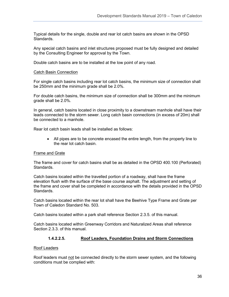Typical details for the single, double and rear lot catch basins are shown in the OPSD Standards.

Any special catch basins and inlet structures proposed must be fully designed and detailed by the Consulting Engineer for approval by the Town.

Double catch basins are to be installed at the low point of any road.

#### Catch Basin Connection

For single catch basins including rear lot catch basins, the minimum size of connection shall be 250mm and the minimum grade shall be 2.0%.

For double catch basins, the minimum size of connection shall be 300mm and the minimum grade shall be 2.0%.

In general, catch basins located in close proximity to a downstream manhole shall have their leads connected to the storm sewer. Long catch basin connections (in excess of 20m) shall be connected to a manhole.

Rear lot catch basin leads shall be installed as follows:

• All pipes are to be concrete encased the entire length, from the property line to the rear lot catch basin.

#### Frame and Grate

The frame and cover for catch basins shall be as detailed in the OPSD 400.100 (Perforated) Standards.

Catch basins located within the travelled portion of a roadway, shall have the frame elevation flush with the surface of the base course asphalt. The adjustment and setting of the frame and cover shall be completed in accordance with the details provided in the OPSD Standards.

Catch basins located within the rear lot shall have the Beehive Type Frame and Grate per Town of Caledon Standard No. 503.

Catch basins located within a park shall reference Section 2.3.5. of this manual.

Catch basins located within Greenway Corridors and Naturalized Areas shall reference Section 2.3.3. of this manual.

#### **1.4.2.2.5. Roof Leaders, Foundation Drains and Storm Connections**

#### Roof Leaders

Roof leaders must not be connected directly to the storm sewer system, and the following conditions must be complied with: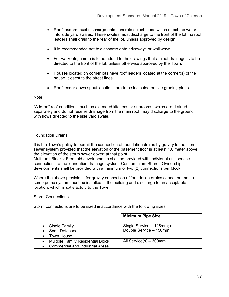- Roof leaders must discharge onto concrete splash pads which direct the water into side yard swales. These swales must discharge to the front of the lot, no roof leaders shall drain to the rear of the lot, unless approved by design.
- It is recommended not to discharge onto driveways or walkways.
- For walkouts, a note is to be added to the drawings that all roof drainage is to be directed to the front of the lot, unless otherwise approved by the Town.
- Houses located on corner lots have roof leaders located at the corner(s) of the house, closest to the street lines.
- Roof leader down spout locations are to be indicated on site grading plans.

#### Note:

"Add-on" roof conditions, such as extended kitchens or sunrooms, which are drained separately and do not receive drainage from the main roof, may discharge to the ground, with flows directed to the side yard swale.

## Foundation Drains

It is the Town's policy to permit the connection of foundation drains by gravity to the storm sewer system provided that the elevation of the basement floor is at least 1.0 meter above the elevation of the storm sewer obvert at that point.

Multi-unit Blocks: Freehold developments shall be provided with individual unit service connections to the foundation drainage system. Condominium Shared Ownership developments shall be provided with a minimum of two (2) connections per block.

Where the above provisions for gravity connection of foundation drains cannot be met, a sump pump system must be installed in the building and discharge to an acceptable location, which is satisfactory to the Town.

#### Storm Connections

Storm connections are to be sized in accordance with the following sizes:

|                                          | <b>Minimum Pipe Size</b>   |
|------------------------------------------|----------------------------|
| Single Family                            | Single Service - 125mm; or |
| Semi-Detached                            | Double Service - 150mm     |
| Town House                               |                            |
| <b>Multiple Family Residential Block</b> | All Service(s) - 300mm     |
| <b>Commercial and Industrial Areas</b>   |                            |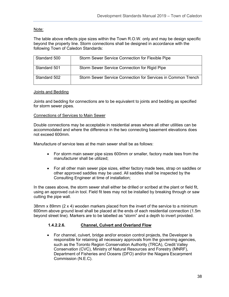## Note:

The table above reflects pipe sizes within the Town R.O.W. only and may be design specific beyond the property line. Storm connections shall be designed in accordance with the following Town of Caledon Standards:

| Standard 500 | Storm Sewer Service Connection for Flexible Pipe             |
|--------------|--------------------------------------------------------------|
| Standard 501 | Storm Sewer Service Connection for Rigid Pipe                |
| Standard 502 | Storm Sewer Service Connection for Services in Common Trench |

#### Joints and Bedding

Joints and bedding for connections are to be equivalent to joints and bedding as specified for storm sewer pipes.

#### Connections of Services to Main Sewer

Double connections may be acceptable in residential areas where all other utilities can be accommodated and where the difference in the two connecting basement elevations does not exceed 600mm.

Manufacture of service tees at the main sewer shall be as follows:

- For storm main sewer pipe sizes 600mm or smaller, factory made tees from the manufacturer shall be utilized;
- For all other main sewer pipe sizes, either factory made tees, strap on saddles or other approved saddles may be used. All saddles shall be inspected by the Consulting Engineer at time of installation;

In the cases above, the storm sewer shall either be drilled or scribed at the plant or field fit, using an approved cut-in tool. Field fit tees may not be installed by breaking through or saw cutting the pipe wall.

38mm x 89mm (2 x 4) wooden markers placed from the invert of the service to a minimum 600mm above ground level shall be placed at the ends of each residential connection (1.5m beyond street line). Markers are to be labelled as "storm" and a depth to invert provided.

#### **1.4.2.2.6. Channel, Culvert and Overland Flow**

• For channel, culvert, bridge and/or erosion control projects, the Developer is responsible for retaining all necessary approvals from the governing agencies, such as the Toronto Region Conservation Authority (TRCA), Credit Valley Conservation (CVC), Ministry of Natural Resources and Forestry (MNRF), Department of Fisheries and Oceans (DFO) and/or the Niagara Escarpment Commission (N.E.C).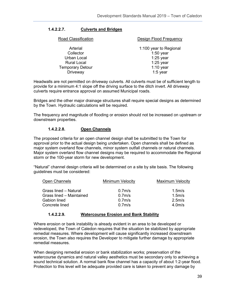### **1.4.2.2.7. Culverts and Bridges**

| Road Classification     | Design Flood Frequency |
|-------------------------|------------------------|
| Arterial                | 1:100 year to Regional |
| Collector               | $1:50$ year            |
| <b>Urban Local</b>      | $1:25$ year            |
| <b>Rural Local</b>      | $1:25$ year            |
| <b>Temporary Detour</b> | $1:10$ year            |
| Driveway                | 1:5 year               |

Headwalls are not permitted on driveway culverts. All culverts must be of sufficient length to provide for a minimum 4:1 slope off the driving surface to the ditch invert. All driveway culverts require entrance approval on assumed Municipal roads.

Bridges and the other major drainage structures shall require special designs as determined by the Town. Hydraulic calculations will be required.

The frequency and magnitude of flooding or erosion should not be increased on upstream or downstream properties.

#### **1.4.2.2.8. Open Channels**

The proposed criteria for an open channel design shall be submitted to the Town for approval prior to the actual design being undertaken. Open channels shall be defined as major system overland flow channels, minor system outfall channels or natural channels. Major system overland flow channel designs may be required to accommodate the Regional storm or the 100-year storm for new development.

"Natural" channel design criteria will be determined on a site by site basis. The following guidelines must be considered:

| <b>Open Channels</b>         | <b>Minimum Velocity</b> | <b>Maximum Velocity</b> |
|------------------------------|-------------------------|-------------------------|
| <b>Grass lined - Natural</b> | 0.7 <sub>m</sub>        | $1.5m$ /s               |
| Grass lined - Maintained     | $0.7m$ /s               | 1.5 <sub>m</sub> /s     |
| <b>Gabion lined</b>          | $0.7m$ /s               | $2.5m$ /s               |
| Concrete lined               | 0.7 <sub>m</sub> /s     | 4.0 <sub>m/s</sub>      |

#### **1.4.2.2.9. Watercourse Erosion and Bank Stability**

Where erosion or bank instability is already evident in an area to be developed or redeveloped, the Town of Caledon requires that the situation be stabilized by appropriate remedial measures. Where development will cause significantly increased downstream erosion, the Town also requires the Developer to mitigate further damage by appropriate remedial measures.

When designing remedial erosion or bank stabilization works; preservation of the watercourse dynamics and natural valley aesthetics must be secondary only to achieving a sound technical solution. A normal bank flow channel has a capacity of about 1:2-year flood. Protection to this level will be adequate provided care is taken to prevent any damage by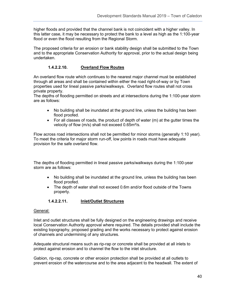higher floods and provided that the channel bank is not coincident with a higher valley. In this latter case, it may be necessary to protect the bank to a level as high as the 1:100-year flood or even the flood resulting from the Regional Storm.

The proposed criteria for an erosion or bank stability design shall be submitted to the Town and to the appropriate Conservation Authority for approval, prior to the actual design being undertaken.

## **1.4.2.2.10. Overland Flow Routes**

An overland flow route which continues to the nearest major channel must be established through all areas and shall be contained within either the road right-of-way or by Town properties used for lineal passive parks/walkways. Overland flow routes shall not cross private property.

The depths of flooding permitted on streets and at intersections during the 1:100-year storm are as follows:

- No building shall be inundated at the ground line, unless the building has been flood proofed.
- For all classes of roads, the product of depth of water (m) at the gutter times the velocity of flow (m/s) shall not exceed 0.65m²/s.

Flow across road intersections shall not be permitted for minor storms (generally 1:10 year). To meet the criteria for major storm run-off, low points in roads must have adequate provision for the safe overland flow.

The depths of flooding permitted in lineal passive parks/walkways during the 1:100-year storm are as follows:

- No building shall be inundated at the ground line, unless the building has been flood proofed.
- The depth of water shall not exceed 0.6m and/or flood outside of the Towns property.

## **1.4.2.2.11. Inlet/Outlet Structures**

#### General:

Inlet and outlet structures shall be fully designed on the engineering drawings and receive local Conservation Authority approval where required. The details provided shall include the existing topography, proposed grading and the works necessary to protect against erosion of channels and undermining of any structures.

Adequate structural means such as rip-rap or concrete shall be provided at all inlets to protect against erosion and to channel the flow to the inlet structure.

Gabion, rip-rap, concrete or other erosion protection shall be provided at all outlets to prevent erosion of the watercourse and to the area adjacent to the headwall. The extent of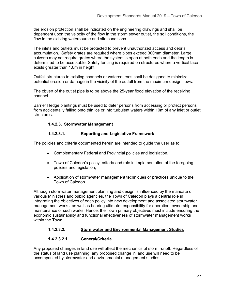the erosion protection shall be indicated on the engineering drawings and shall be dependent upon the velocity of the flow in the storm sewer outlet, the soil conditions, the flow in the existing watercourse and site conditions.

The inlets and outlets must be protected to prevent unauthorized access and debris accumulation. Safety grates are required where pipes exceed 300mm diameter. Large culverts may not require grates where the system is open at both ends and the length is determined to be acceptable. Safety fencing is required on structures where a vertical face exists greater than 1.0m in height.

Outfall structures to existing channels or watercourses shall be designed to minimize potential erosion or damage in the vicinity of the outfall from the maximum design flows.

The obvert of the outlet pipe is to be above the 25-year flood elevation of the receiving channel.

Barrier Hedge plantings must be used to deter persons from accessing or protect persons from accidentally falling onto thin ice or into turbulent waters within 10m of any inlet or outlet structures.

#### **1.4.2.3. Stormwater Management**

## **1.4.2.3.1. Reporting and Legislative Framework**

The policies and criteria documented herein are intended to guide the user as to:

- Complementary Federal and Provincial policies and legislation,
- Town of Caledon's policy, criteria and role in implementation of the foregoing policies and legislation,
- Application of stormwater management techniques or practices unique to the Town of Caledon.

Although stormwater management planning and design is influenced by the mandate of various Ministries and public agencies, the Town of Caledon plays a central role in integrating the objectives of each policy into new development and associated stormwater management works, as well as bearing ultimate responsibility for operation, ownership and maintenance of such works. Hence, the Town primary objectives must include ensuring the economic sustainability and functional effectiveness of stormwater management works within the Town.

## **1.4.2.3.2. Stormwater and Environmental Management Studies**

## **1.4.2.3.2.1. General/Criteria**

Any proposed changes in land use will affect the mechanics of storm runoff. Regardless of the status of land use planning, any proposed change in land use will need to be accompanied by stormwater and environmental management studies.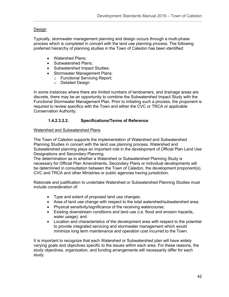## Design

Typically, stormwater management planning and design occurs through a multi-phase process which is completed in concert with the land use planning process. The following preferred hierarchy of planning studies in the Town of Caledon has been identified:

- Watershed Plans;
- Subwatershed Plans;
- Subwatershed Impact Studies;
- Stormwater Management Plans:
	- o Functional Servicing Report;
	- o Detailed Design

In some instances where there are limited numbers of landowners, and drainage areas are discrete, there may be an opportunity to combine the Subwatershed Impact Study with the Functional Stormwater Management Plan. Prior to initiating such a process, the proponent is required to review specifics with the Town and either the CVC or TRCA or applicable Conservation Authority.

## **1.4.2.3.2.2. Specifications/Terms of Reference**

#### Watershed and Subwatershed Plans

The Town of Caledon supports the implementation of Watershed and Subwatershed Planning Studies in concert with the land use planning process. Watershed and Subwatershed planning plays an important role in the development of Official Plan Land Use Designations and Secondary Planning.

The determination as to whether a Watershed or Subwatershed Planning Study is necessary for Official Plan Amendments, Secondary Plans or individual developments will be determined in consultation between the Town of Caledon, the development proponent(s), CVC and TRCA and other Ministries or public agencies having jurisdiction.

Rationale and justification to undertake Watershed or Subwatershed Planning Studies must include consideration of:

- Type and extent of proposed land use changes;
- Area of land use change with respect to the total watershed/subwatershed area;
- Physical sensitivity/significance of the receiving watercourse;
- Existing downstream conditions and land use (i.e. flood and erosion hazards, water usage); and
- Location and characteristics of the development area with respect to the potential to provide integrated servicing and stormwater management which would minimize long term maintenance and operation cost incurred to the Town.

It is important to recognize that each Watershed or Subwatershed plan will have widely varying goals and objectives specific to the issues within each area. For these reasons, the study objectives, organization, and funding arrangements will necessarily differ for each study.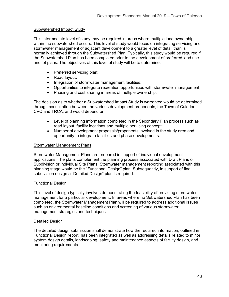#### Subwatershed Impact Study

This intermediate level of study may be required in areas where multiple land ownership within the subwatershed occurs. This level of study would focus on integrating servicing and stormwater management of adjacent development to a greater level of detail than is normally achieved through the Subwatershed Plan. Typically, this study would be required if the Subwatershed Plan has been completed prior to the development of preferred land use and lot plans. The objectives of this level of study will be to determine:

- Preferred servicing plan;
- Road layout;
- Integration of stormwater management facilities;
- Opportunities to integrate recreation opportunities with stormwater management;
- Phasing and cost sharing in areas of multiple ownership.

The decision as to whether a Subwatershed Impact Study is warranted would be determined through consultation between the various development proponents, the Town of Caledon, CVC and TRCA, and would depend on:

- Level of planning information completed in the Secondary Plan process such as road layout, facility locations and multiple servicing concept;
- Number of development proposals/proponents involved in the study area and opportunity to integrate facilities and phase developments.

#### Stormwater Management Plans

Stormwater Management Plans are prepared in support of individual development applications. The plans complement the planning process associated with Draft Plans of Subdivision or individual Site Plans. Stormwater management reporting associated with this planning stage would be the "Functional Design" plan. Subsequently, in support of final subdivision design a "Detailed Design" plan is required.

#### Functional Design

This level of design typically involves demonstrating the feasibility of providing stormwater management for a particular development. In areas where no Subwatershed Plan has been completed, the Stormwater Management Plan will be required to address additional issues such as environmental baseline conditions and screening of various stormwater management strategies and techniques.

#### Detailed Design

The detailed design submission shall demonstrate how the required information, outlined in Functional Design report, has been integrated as well as addressing details related to minor system design details, landscaping, safety and maintenance aspects of facility design, and monitoring requirements.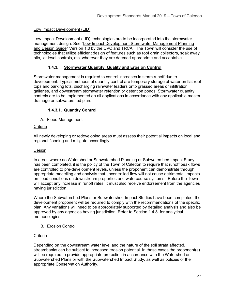### Low Impact Development (LID)

Low Impact Development (LID) technologies are to be incorporated into the stormwater management design. See "Low Impact Development Stormwater Management Planning and Design Guide" Version 1.0 by the CVC and TRCA. The Town will consider the use of technologies that utilize efficient design of features such as roof drain collectors, soak away pits, lot level controls, etc. wherever they are deemed appropriate and acceptable.

### **1.4.3. Stormwater Quantity, Quality and Erosion Control**

Stormwater management is required to control increases in storm runoff due to development. Typical methods of quantity control are temporary storage of water on flat roof tops and parking lots, discharging rainwater leaders onto grassed areas or infiltration galleries, and downstream stormwater retention or detention ponds. Stormwater quantity controls are to be implemented on all applications in accordance with any applicable master drainage or subwatershed plan.

#### **1.4.3.1. Quantity Control**

A. Flood Management

#### Criteria

All newly developing or redeveloping areas must assess their potential impacts on local and regional flooding and mitigate accordingly.

#### Design

In areas where no Watershed or Subwatershed Planning or Subwatershed Impact Study has been completed, it is the policy of the Town of Caledon to require that runoff peak flows are controlled to pre-development levels, unless the proponent can demonstrate through appropriate modelling and analysis that uncontrolled flow will not cause detrimental impacts on flood conditions on downstream properties and watercourse systems. Before the Town will accept any increase in runoff rates, it must also receive endorsement from the agencies having jurisdiction.

Where the Subwatershed Plans or Subwatershed Impact Studies have been completed, the development proponent will be required to comply with the recommendations of the specific plan. Any variations will need to be appropriately supported by detailed analysis and also be approved by any agencies having jurisdiction. Refer to Section 1.4.8. for analytical methodologies.

B. Erosion Control

#### **Criteria**

Depending on the downstream water level and the nature of the soil strata affected, streambanks can be subject to increased erosion potential. In these cases the proponent(s) will be required to provide appropriate protection in accordance with the Watershed or Subwatershed Plans or with the Subwatershed Impact Study, as well as policies of the appropriate Conservation Authority.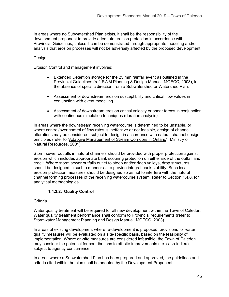In areas where no Subwatershed Plan exists, it shall be the responsibility of the development proponent to provide adequate erosion protection in accordance with Provincial Guidelines, unless it can be demonstrated through appropriate modeling and/or analysis that erosion processes will not be adversely affected by the proposed development.

#### Design

Erosion Control and management involves:

- Extended Detention storage for the 25 mm rainfall event as outlined in the Provincial Guidelines (ref. SWM Planning & Design Manual, MOECC, 2003), in the absence of specific direction from a Subwatershed or Watershed Plan.
- Assessment of downstream erosion susceptibility and critical flow values in conjunction with event modelling.
- Assessment of downstream erosion critical velocity or shear forces in conjunction with continuous simulation techniques (duration analysis).

In areas where the downstream receiving watercourse is determined to be unstable, or where control/over control of flow rates is ineffective or not feasible, design of channel alterations may be considered, subject to design in accordance with natural channel design principles (refer to "Adaptive Management of Stream Corridors in Ontario", Ministry of Natural Resources, 2001).

Storm sewer outfalls in natural channels should be provided with proper protection against erosion which includes appropriate bank scouring protection on either side of the outfall and creek. Where storm sewer outfalls outlet to steep and/or deep valleys, drop structures should be designed in such a manner as to provide integral bank stability. Such local erosion protection measures should be designed so as not to interfere with the natural channel forming processes of the receiving watercourse system. Refer to Section 1.4.8. for analytical methodologies.

## **1.4.3.2. Quality Control**

## **Criteria**

Water quality treatment will be required for all new development within the Town of Caledon. Water quality treatment performance shall conform to Provincial requirements (refer to Stormwater Management Planning and Design Manual, MOECC, 2003).

In areas of existing development where re-development is proposed, provisions for water quality measures will be evaluated on a site-specific basis, based on the feasibility of implementation. Where on-site measures are considered infeasible, the Town of Caledon may consider the potential for contributions to off-site improvements (i.e. cash-in-lieu), subject to agency concurrence.

In areas where a Subwatershed Plan has been prepared and approved, the guidelines and criteria cited within the plan shall be adopted by the Development Proponent.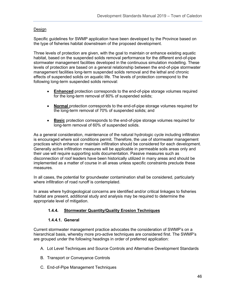#### Design

Specific guidelines for SWMP application have been developed by the Province based on the type of fisheries habitat downstream of the proposed development.

Three levels of protection are given, with the goal to maintain or enhance existing aquatic habitat, based on the suspended solids removal performance for the different end-of-pipe stormwater management facilities developed in the continuous simulation modelling. These levels of protection are based on a general relationship between the end-of-pipe stormwater management facilities long-term suspended solids removal and the lethal and chronic effects of suspended solids on aquatic life. The levels of protection correspond to the following long-term suspended solids removal:

- **Enhanced** protection corresponds to the end-of-pipe storage volumes required for the long-term removal of 80% of suspended solids;
- **Normal** protection corresponds to the end-of-pipe storage volumes required for the long-term removal of 70% of suspended solids; and
- **Basic** protection corresponds to the end-of-pipe storage volumes required for long-term removal of 60% of suspended solids.

As a general consideration, maintenance of the natural hydrologic cycle including infiltration is encouraged where soil conditions permit. Therefore, the use of stormwater management practices which enhance or maintain infiltration should be considered for each development. Generally active infiltration measures will be applicable in permeable soils areas only and their use will require supporting soils documentation. Passive measures such as disconnection of roof leaders have been historically utilized in many areas and should be implemented as a matter of course in all areas unless specific constraints preclude these measures.

In all cases, the potential for groundwater contamination shall be considered, particularly where infiltration of road runoff is contemplated.

In areas where hydrogeological concerns are identified and/or critical linkages to fisheries habitat are present, additional study and analysis may be required to determine the appropriate level of mitigation.

#### **1.4.4. Stormwater Quantity/Quality Erosion Techniques**

#### **1.4.4.1. General**

Current stormwater management practice advocates the consideration of SWMP's on a hierarchical basis, whereby more pro-active techniques are considered first. The SWMP's are grouped under the following headings in order of preferred application:

- A. Lot Level Techniques and Source Controls and Alternative Development Standards
- B. Transport or Conveyance Controls
- C. End-of-Pipe Management Techniques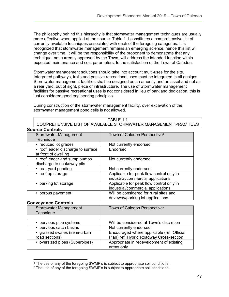The philosophy behind this hierarchy is that stormwater management techniques are usually more effective when applied at the source. Table 1.1 constitutes a comprehensive list of currently available techniques associated with each of the foregoing categories. It is recognized that stormwater management remains an emerging science; hence this list will change over time. It will be the responsibility of the proponent to demonstrate that any technique, not currently approved by the Town, will address the intended function within expected maintenance and cost parameters, to the satisfaction of the Town of Caledon.

Stormwater management solutions should take into account multi-uses for the site. Integrated pathways, trails and passive recreational uses must be integrated in all designs. Stormwater management facilities shall be designed as an amenity and an asset and not as a rear yard, out of sight, piece of infrastructure. The use of Stormwater management facilities for passive recreational uses is not considered in lieu of parkland dedication, this is just considered good engineering principles.

During construction of the stormwater management facility, over excavation of the stormwater management pond cells is not allowed.

| <b>TABLE 1.1</b>                                                  |
|-------------------------------------------------------------------|
| 'COMPREHENSIVE LIST OF AVAILABLE STORMWATER MANAGEMENT PRACTICES_ |

| <b>Source Controls</b>             |                                          |
|------------------------------------|------------------------------------------|
| <b>Stormwater Management</b>       | Town of Caledon Perspective <sup>1</sup> |
| Technique                          |                                          |
| • reduced lot grades               | Not currently endorsed                   |
| • roof leader discharge to surface | Endorsed                                 |
| at front of dwelling               |                                          |
| • roof leader and sump pumps       | Not currently endorsed                   |
| discharge to soakaway pits         |                                          |
| • rear yard ponding                | Not currently endorsed                   |
| • rooftop storage                  | Applicable for peak flow control only in |
|                                    | industrial/commercial applications       |
| • parking lot storage              | Applicable for peak flow control only in |
|                                    | industrial/commercial applications       |
| • porous pavement                  | Will be considered for rural sites and   |
|                                    | driveway/parking lot applications        |

## **Conveyance Controls**

| <b>Stormwater Management</b><br><b>Technique</b> | Town of Caledon Perspective <sup>2</sup>                                              |
|--------------------------------------------------|---------------------------------------------------------------------------------------|
|                                                  |                                                                                       |
| • pervious pipe systems                          | Will be considered at Town's discretion                                               |
| • pervious catch basins                          | Not currently endorsed                                                                |
| • grassed swales (semi-urban<br>road sections)   | Encouraged where applicable (ref. Official<br>Plan) ref. Hybrid Roadway Cross-section |
| • oversized pipes (Superpipes)                   | Appropriate in redevelopment of existing<br>areas only                                |

<span id="page-46-0"></span><sup>&</sup>lt;sup>1</sup> The use of any of the foregoing SWMP's is subject to appropriate soil conditions.

<span id="page-46-1"></span><sup>&</sup>lt;sup>2</sup> The use of any of the foregoing SWMP's is subject to appropriate soil conditions.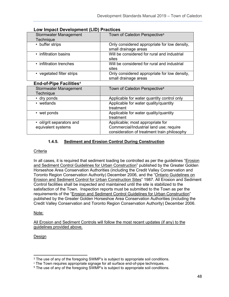Commercial/Industrial land use; require consideration of treatment train philosophy

| Low impact Development (LID) I Tachecs    |                                                                      |
|-------------------------------------------|----------------------------------------------------------------------|
| <b>Stormwater Management</b><br>Technique | Town of Caledon Perspective <sup>3</sup>                             |
| • buffer strips                           | Only considered appropriate for low density,<br>small drainage areas |
| • infiltration basins                     | Will be considered for rural and industrial<br>sites                 |
| • infiltration trenches                   | Will be considered for rural and industrial<br>sites                 |
| • vegetated filter strips                 | Only considered appropriate for low density,<br>small drainage areas |
| <b>End-of-Pipe Facilities<sup>4</sup></b> |                                                                      |
| <b>Stormwater Management</b><br>Technique | Town of Caledon Perspective <sup>5</sup>                             |
| • dry ponds                               | Applicable for water quantity control only                           |
| • wetlands                                | Applicable for water quality/quantity<br>treatment                   |
| • wet ponds                               | Applicable for water quality/quantity<br>treatment                   |
| • oil/grit separators and                 | Applicable; most appropriate for                                     |

## **Low Impact Development (LID) Practices**

## **1.4.5. Sediment and Erosion Control During Construction**

### **Criteria**

equivalent systems

In all cases, it is required that sediment loading be controlled as per the guidelines "Erosion and Sediment Control Guidelines for Urban Construction" published by the Greater Golden Horseshoe Area Conservation Authorities (including the Credit Valley Conservation and Toronto Region Conservation Authority) December 2006, and the "Ontario Guidelines on Erosion and Sediment Control for Urban Construction Sites" 1987. All Erosion and Sediment Control facilities shall be inspected and maintained until the site is stabilized to the satisfaction of the Town. Inspection reports must be submitted to the Town as per the requirements of the "Erosion and Sediment Control Guidelines for Urban Construction" published by the Greater Golden Horseshoe Area Conservation Authorities (including the Credit Valley Conservation and Toronto Region Conservation Authority) December 2006.

## Note:

All Erosion and Sediment Controls will follow the most recent updates (if any) to the guidelines provided above.

## Design

<span id="page-47-0"></span><sup>&</sup>lt;sup>3</sup> The use of any of the foregoing SWMP's is subject to appropriate soil conditions.

<span id="page-47-1"></span><sup>4</sup> The Town requires appropriate signage for all surface end-of-pipe techniques.

<span id="page-47-2"></span><sup>&</sup>lt;sup>5</sup> The use of any of the foregoing SWMP's is subject to appropriate soil conditions.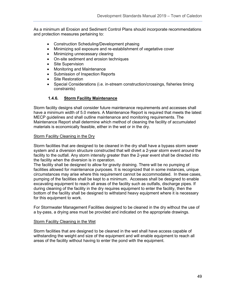As a minimum all Erosion and Sediment Control Plans should incorporate recommendations and protection measures pertaining to:

- Construction Scheduling/Development phasing
- Minimizing soil exposure and re-establishment of vegetative cover
- Minimizing unnecessary clearing
- On-site sediment and erosion techniques
- Site Supervision
- Monitoring and Maintenance
- Submission of Inspection Reports
- Site Restoration
- Special Considerations (i.e. in-stream construction/crossings, fisheries timing constraints)

#### **1.4.6. Storm Facility Maintenance**

Storm facility designs shall consider future maintenance requirements and accesses shall have a minimum width of 5.0 meters. A Maintenance Report is required that meets the latest MECP guidelines and shall outline maintenance and monitoring requirements. The Maintenance Report shall determine which method of cleaning the facility of accumulated materials is economically feasible, either in the wet or in the dry.

#### Storm Facility Cleaning in the Dry

Storm facilities that are designed to be cleaned in the dry shall have a bypass storm sewer system and a diversion structure constructed that will divert a 2-year storm event around the facility to the outfall. Any storm intensity greater than the 2-year event shall be directed into the facility when the diversion is in operation.

The facility shall be designed to allow for gravity draining. There will be no pumping of facilities allowed for maintenance purposes. It is recognized that in some instances, unique circumstances may arise where this requirement cannot be accommodated. In these cases, pumping of the facilities shall be kept to a minimum. Accesses shall be designed to enable excavating equipment to reach all areas of the facility such as outfalls, discharge pipes. If during cleaning of the facility in the dry requires equipment to enter the facility, then the bottom of the facility shall be designed to withstand heavy equipment where it is necessary for this equipment to work.

For Stormwater Management Facilities designed to be cleaned in the dry without the use of a by-pass, a drying area must be provided and indicated on the appropriate drawings.

#### Storm Facility Cleaning in the Wet

Storm facilities that are designed to be cleaned in the wet shall have access capable of withstanding the weight and size of the equipment and will enable equipment to reach all areas of the facility without having to enter the pond with the equipment.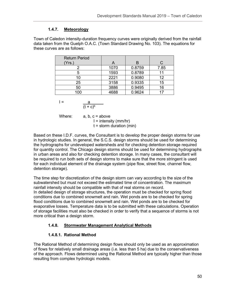## **1.4.7. Meteorology**

Town of Caledon intensity-duration frequency curves were originally derived from the rainfall data taken from the Guelph O.A.C. (Town Standard Drawing No. 103). The equations for these curves are as follows:

| <b>Return Period</b><br>(Yrs.) | A    | в      |      |
|--------------------------------|------|--------|------|
|                                | 1070 | 0.8759 | 7.85 |
|                                | 1593 | 0.8789 |      |
|                                | 2221 | 0.9080 | 12   |
| 25                             | 3158 | 0.9335 | 15   |
| 50                             | 3886 | 0.9495 | 16   |
| 100                            | 4688 | 0.9624 |      |

$$
I = \frac{a}{(1-x)^b}
$$

 $(t + c)^b$ 

Where:  $a, b, c = above$  $I =$  intensity (mm/hr)  $t =$  storm duration (min)

Based on these I.D.F. curves, the Consultant is to develop the proper design storms for use in hydrologic studies. In general, the S.C.S. design storms should be used for determining the hydrographs for undeveloped watersheds and for checking detention storage required for quantity control. The Chicago design storms should be used for determining hydrographs in urban areas and also for checking detention storage. In many cases, the consultant will be required to run both sets of design storms to make sure that the more stringent is used for each individual element of the drainage system (pipe flow, street flow, channel flow, detention storage).

The time step for discretization of the design storm can vary according to the size of the subwatershed but must not exceed the estimated time of concentration. The maximum rainfall intensity should be compatible with that of real storms on record. In detailed design of storage structures, the operation must be checked for spring flood conditions due to combined snowmelt and rain. Wet ponds are to be checked for spring flood conditions due to combined snowmelt and rain. Wet ponds are to be checked for evaporative losses. Temperature data is to be submitted with these calculations. Operation of storage facilities must also be checked in order to verify that a sequence of storms is not more critical than a design storm.

# **1.4.8. Stormwater Management Analytical Methods**

# **1.4.8.1. Rational Method**

The Rational Method of determining design flows should only be used as an approximation of flows for relatively small drainage areas (i.e. less than 5 ha) due to the conservativeness of the approach. Flows determined using the Rational Method are typically higher than those resulting from complex hydrologic models.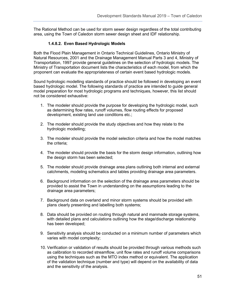The Rational Method can be used for storm sewer design regardless of the total contributing area, using the Town of Caledon storm sewer design sheet and IDF relationship.

## **1.4.8.2. Even Based Hydrologic Models**

Both the Flood Plain Management in Ontario Technical Guidelines, Ontario Ministry of Natural Resources, 2001 and the Drainage Management Manual Parts 3 and 4, Ministry of Transportation, 1997 provide general guidelines on the selection of hydrologic models. The Ministry of Transportation document lists the characteristics of each model, from which the proponent can evaluate the appropriateness of certain event based hydrologic models.

Sound hydrologic modelling standards of practice should be followed in developing an event based hydrologic model. The following standards of practice are intended to guide general model preparation for most hydrologic programs and techniques, however, this list should not be considered exhaustive:

- 1. The modeler should provide the purpose for developing the hydrologic model, such as determining flow rates, runoff volumes, flow routing effects for proposed development, existing land use conditions etc.;
- 2. The modeler should provide the study objectives and how they relate to the hydrologic modelling;
- 3. The modeler should provide the model selection criteria and how the model matches the criteria;
- 4. The modeler should provide the basis for the storm design information, outlining how the design storm has been selected;
- 5. The modeler should provide drainage area plans outlining both internal and external catchments, modeling schematics and tables providing drainage area parameters.
- 6. Background information on the selection of the drainage area parameters should be provided to assist the Town in understanding on the assumptions leading to the drainage area parameters;
- 7. Background data on overland and minor storm systems should be provided with plans clearly presenting and labelling both systems;
- 8. Data should be provided on routing through natural and manmade storage systems, with detailed plans and calculations outlining how the stage/discharge relationship has been developed;
- 9. Sensitivity analysis should be conducted on a minimum number of parameters which varies with model complexity;
- 10. Verification or validation of results should be provided through various methods such as calibration to recorded streamflow, unit flow rates and runoff volume comparisons using the techniques such as the MTO index method or equivalent. The application of the validation technique (number and type) will depend on the availability of data and the sensitivity of the analysis.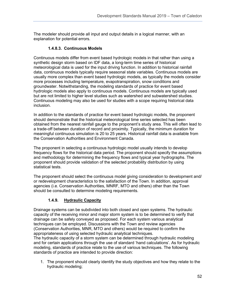The modeler should provide all input and output details in a logical manner, with an explanation for potential errors.

## **1.4.8.3. Continuous Models**

Continuous models differ from event based hydrologic models in that rather than using a synthetic design storm based on IDF data, a long-term time series of historical meteorological data is used for the input driving function. In addition to historical rainfall data, continuous models typically require seasonal state variables. Continuous models are usually more complex than event based hydrologic models, as typically the models consider more processes including temperature, evapotranspiration, snow conditions and groundwater. Notwithstanding, the modeling standards of practice for event based hydrologic models also apply to continuous models. Continuous models are typically used but are not limited to higher level studies such as watershed and subwatershed studies. Continuous modeling may also be used for studies with a scope requiring historical data inclusion.

In addition to the standards of practice for event based hydrologic models, the proponent should demonstrate that the historical meteorological time series selected has been obtained from the nearest rainfall gauge to the proponent's study area. This will often lead to a trade-off between duration of record and proximity. Typically, the minimum duration for meaningful continuous simulation is 20 to 25 years. Historical rainfall data is available from the Conservation Authorities and Environment Canada.

The proponent in selecting a continuous hydrologic model usually intends to develop frequency flows for the historical data period. The proponent should specify the assumptions and methodology for determining the frequency flows and typical year hydrographs. The proponent should provide validation of the selected probability distribution by using statistical tests.

The proponent should select the continuous model giving consideration to development and/ or redevelopment characteristics to the satisfaction of the Town. In addition, approval agencies (i.e. Conservation Authorities, MNRF, MTO and others) other than the Town should be consulted to determine modeling requirements.

## **1.4.9. Hydraulic Capacity**

Drainage systems can be subdivided into both closed and open systems. The hydraulic capacity of the receiving minor and major storm system is to be determined to verify that drainage can be safely conveyed as proposed. For each system various analytical techniques can be employed. Discussions with the Town and review agencies (Conservation Authorities, MNR, MTO and others) would be required to confirm the appropriateness of using selected hydraulic analytical techniques. The hydraulic capacity of a storm system can be determined through hydraulic modeling and for certain applications through the use of standard 'hand calculations'. As for hydraulic modeling, standards of practice relate to the use of various techniques. The following standards of practice are intended to provide direction:

1. The proponent should clearly identify the study objectives and how they relate to the hydraulic modeling;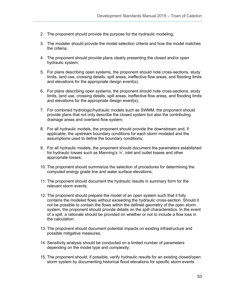- 2. The proponent should provide the purpose for the hydraulic modeling;
- 3. The modeler should provide the model selection criteria and how the model matches the criteria;
- 4. The proponent should provide plans clearly presenting the closed and/or open hydraulic system;
- 5. For plans describing open systems, the proponent should note cross-sections, study limits, land use, crossing details, spill areas, ineffective flow areas, and flooding limits and elevations for the appropriate design event(s);
- 6. For plans describing open systems, the proponent should note cross-sections, study limits, land use, crossing details, spill areas, ineffective flow areas, and flooding limits and elevations for the appropriate design event(s);
- 7. For combined hydrologic/hydraulic models such as SWMM, the proponent should provide plans that not only describe the closed system but also the contributing drainage areas and overland flow system;
- 8. For all hydraulic models, the proponent should provide the downstream and, if applicable, the upstream boundary conditions for each storm modeled and the assumptions used to define the boundary conditions;
- 9. For all hydraulic models, the proponent should document the parameters established for hydraulic losses such as Manning's 'n', inlet and outlet losses and other appropriate losses;
- 10. The proponent should summarize the selection of procedures for determining the computed energy grade line and water surface elevations;
- 11. The proponent should document the hydraulic results in summary form for the relevant storm events;
- 12. The proponent should prepare the model of an open system such that it fully contains the modeled flows without exceeding the hydraulic cross-section. Should it not be possible to contain the flows within the defined geometry of the open storm system, the proponent should provide details on the spill characteristics. In the event of a spill, a rationale should be provided on whether or not to include a flow loss in the calculation;
- 13. The proponent should document potential impacts on existing infrastructure and possible mitigative measures;
- 14. Sensitivity analysis should be conducted on a limited number of parameters depending on the model type and complexity;
- 15. The proponent should, if possible, verify hydraulic results for an existing closed/open storm system by documenting historical flood elevations for specific storm events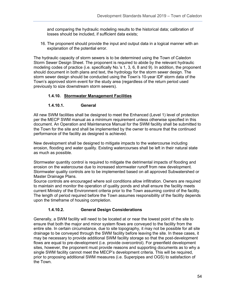and comparing the hydraulic modeling results to the historical data; calibration of losses should be included, if sufficient data exists;

16. The proponent should provide the input and output data in a logical manner with an explanation of the potential error.

The hydraulic capacity of storm sewers is to be determined using the Town of Caledon Storm Sewer Design Sheet. The proponent is required to abide by the relevant hydraulic modeling codes of practice (i.e. specifically No.'s 1, 3, 6, 8 and 9). In addition, the proponent should document in both plans and text, the hydrology for the storm sewer design. The storm sewer design should be conducted using the Town's 10-year IDF storm data of the Town's approved storm event for the study area (regardless of the return period used previously to size downstream storm sewers).

# **1.4.10. Stormwater Management Facilities**

# **1.4.10.1. General**

All new SWM facilities shall be designed to meet the Enhanced (Level 1) level of protection per the MECP SWM manual as a minimum requirement unless otherwise specified in this document. An Operation and Maintenance Manual for the SWM facility shall be submitted to the Town for the site and shall be implemented by the owner to ensure that the continued performance of the facility as designed is achieved.

New development shall be designed to mitigate impacts to the watercourse including erosion, flooding and water quality. Existing watercourses shall be left in their natural state as much as possible.

Stormwater quantity control is required to mitigate the detrimental impacts of flooding and erosion on the watercourse due to increased stormwater runoff from new development. Stormwater quality controls are to be implemented based on all approved Subwatershed or Master Drainage Plans.

Source controls are encouraged where soil conditions allow infiltration. Owners are required to maintain and monitor the operation of quality ponds and shall ensure the facility meets current Ministry of the Environment criteria prior to the Town assuming control of the facility. The length of period required before the Town assumes responsibility of the facility depends upon the timeframe of housing completion.

# **1.4.10.2. General Design Considerations**

Generally, a SWM facility will need to be located at or near the lowest point of the site to ensure that both the major and minor system flows are conveyed to the facility from the entire site. In certain circumstance, due to site topography, it may not be possible for all site drainage to be conveyed through the SWM facility before leaving the site. In these cases, it may be necessary to provide additional SWM facility storage so that the post-development flows are equal to pre-development (i.e. provide overcontrol). For greenfield development sites, however, the proponent must provide reasons and supporting documents as to why a single SWM facility cannot meet the MECP's development criteria. This will be required, prior to proposing additional SWM measures (i.e. Superpipes and OGS) to satisfaction of the Town.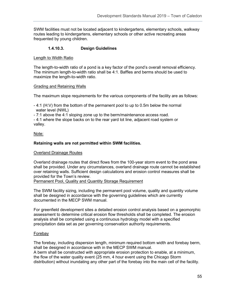SWM facilities must not be located adjacent to kindergartens, elementary schools, walkway routes leading to kindergartens, elementary schools or other active recreating areas frequented by young children.

## **1.4.10.3. Design Guidelines**

#### Length to Width Ratio

The length-to-width ratio of a pond is a key factor of the pond's overall removal efficiency. The minimum length-to-width ratio shall be 4:1. Baffles and berms should be used to maximize the length-to-width ratio.

#### Grading and Retaining Walls

The maximum slope requirements for the various components of the facility are as follows:

- 4:1 (H:V) from the bottom of the permanent pool to up to 0.5m below the normal water level (NWL)
- 7:1 above the 4:1 sloping zone up to the berm/maintenance access road.

- 4:1 where the slope backs on to the rear yard lot line, adjacent road system or valley.

## Note:

## **Retaining walls are not permitted within SWM facilities.**

## **Overland Drainage Routes**

Overland drainage routes that direct flows from the 100-year storm event to the pond area shall be provided. Under any circumstances, overland drainage route cannot be established over retaining walls. Sufficient design calculations and erosion control measures shall be provided for the Town's review.

Permanent Pool, Quality and Quantity Storage Requirement

The SWM facility sizing, including the permanent pool volume, quality and quantity volume shall be designed in accordance with the governing guidelines which are currently documented in the MECP SWM manual.

For greenfield development sites a detailed erosion control analysis based on a geomorphic assessment to determine critical erosion flow thresholds shall be completed. The erosion analysis shall be completed using a continuous hydrology model with a specified precipitation data set as per governing conservation authority requirements.

## Forebay

The forebay, including dispersion length, minimum required bottom width and forebay berm, shall be designed in accordance with in the MECP SWM manual.

A berm shall be constructed with appropriate erosion protection to enable, at a minimum, the flow of the water quality event (25 mm, 4 hour event using the Chicago Storm distribution) without inundating any other part of the forebay into the main cell of the facility.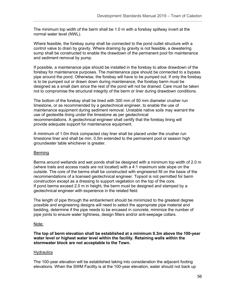The minimum top width of the berm shall be 1.0 m with a forebay spillway invert at the normal water level (NWL).

Where feasible, the forebay sump shall be connected to the pond outlet structure with a control valve to drain by gravity. Where draining by gravity is not feasible, a dewatering sump shall be constructed to enable the drawdown of the permanent pool for maintenance and sediment removal by pump.

If possible, a maintenance pipe should be installed in the forebay to allow drawdown of the forebay for maintenance purposes. The maintenance pipe should be connected to a bypass pipe around the pond. Otherwise, the forebay will have to be pumped out. If only the forebay is to be pumped out or drawn down during maintenance, the forebay berm must be designed as a small dam since the rest of the pond will not be drained. Care must be taken not to compromise the structural integrity of the berm or liner during drawdown conditions.

The bottom of the forebay shall be lined with 300 mm of 50 mm diameter crusher run limestone, or as recommended by a geotechnical engineer, to enable the use of maintenance equipment during sediment removal. Unstable native soils may warrant the use of geotextile lining under the limestone as per geotechnical recommendations. A geotechnical engineer shall certify that the forebay lining will provide adequate support for maintenance equipment.

A minimum of 1.0m thick compacted clay liner shall be placed under the crusher run limestone liner and shall be min. 0.5m extended to the permanent pool or season high groundwater table whichever is greater.

#### **Berming**

Berms around wetlands and wet ponds shall be designed with a minimum top width of 2.0 m (where trails and access roads are not located) with a 4:1 maximum side slope on the outside. The core of the berms shall be constructed with engineered fill on the basis of the recommendations of a licensed geotechnical engineer. Topsoil is not permitted for berm construction except as a dressing to support vegetation on the top of the core. If pond berms exceed 2.0 m in height, the berm must be designed and stamped by a geotechnical engineer with experience in the related field.

The length of pipe through the embankment should be minimized to the greatest degree possible and engineering designs will need to select the appropriate pipe material and bedding, determine if the pipe needs to be encased in concrete, minimize the number of pipe joints to ensure water tightness, design filters and/or anti-seepage collars.

#### Note:

**The top of berm elevation shall be established at a minimum 0.3m above the 100-year water level or highest water level within the facility. Retaining walls within the stormwater block are not acceptable to the Town.**

#### **Hydraulics**

The 100-year elevation will be established taking into consideration the adjacent footing elevations. When the SWM Facility is at the 100-year elevation, water should not back up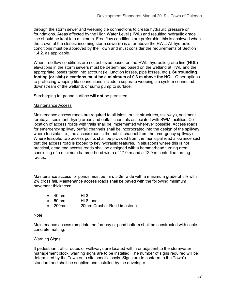through the storm sewer and weeping tile connections to create hydraulic pressure on foundations. Areas affected by the High Water Level (HWL) and resulting hydraulic grade line should be kept to a minimum. Free flow conditions are preferable; this is achieved when the crown of the closest incoming storm sewer(s) is at or above the HWL. All hydraulic conditions must be approved by the Town and must consider the requirements of Section 1.4.2. as applicable.

When free flow conditions are not achieved based on the HWL, hydraulic grade line (HGL) elevations in the storm sewers must be determined based on the wetland at HWL and the appropriate losses taken into account (ie. junction losses, pipe losses, etc.). **Surrounding footing (or slab) elevations must be a minimum of 0.3 m above the HGL.** Other options to protecting weeping tile connections include a separate weeping tile system connected downstream of the wetland, or sump pump to surface.

Surcharging to ground surface will **not** be permitted.

#### Maintenance Access

Maintenance access roads are required to all inlets, outlet structures, spillways, sediment forebays, sediment drying areas and outfall channels associated with SWM facilities. Colocation of access roads with trails shall be implemented wherever possible. Access roads for emergency spillway outfall channels shall be incorporated into the design of the spillway where feasible (i.e., the access road is the outfall channel from the emergency spillway). Where feasible, two access points shall be provided from the municipal road allowance such that the access road is looped to key hydraulic features. In situations where this is not practical, dead end access roads shall be designed with a hammerhead turning area consisting of a minimum hammerhead width of 17.0 m and a 12.0 m centerline turning radius.

Maintenance access for ponds must be min. 5.0m wide with a maximum grade of 8% with 2% cross fall. Maintenance access roads shall be paved with the following minimum pavement thickness:

- 40mm HL3;
- 50mm HL8; and
- 200mm 20mm Crusher Run Limestone

#### Note:

Maintenance access ramp into the forebay or pond bottom shall be constructed with cable concrete matting.

#### Warning Signs

If pedestrian traffic routes or walkways are located within or adjacent to the stormwater management block, warning signs are to be installed. The number of signs required will be determined by the Town on a site specific basis. Signs are to conform to the Town's standard and shall be supplied and installed by the developer.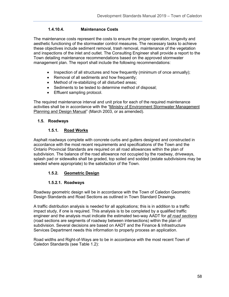## **1.4.10.4. Maintenance Costs**

The maintenance costs represent the costs to ensure the proper operation, longevity and aesthetic functioning of the stormwater control measures. The necessary tasks to achieve these objectives include sediment removal, trash removal, maintenance of the vegetation and inspections of the inlet and outlet. The Consulting Engineer shall provide a report to the Town detailing maintenance recommendations based on the approved stormwater management plan. The report shall include the following recommendations:

- Inspection of all structures and how frequently (minimum of once annually);
- Removal of all sediments and how frequently;
- Method of re-stabilizing of all disturbed areas;
- Sediments to be tested to determine method of disposal;
- Effluent sampling protocol.

The required maintenance interval and unit price for each of the required maintenance activities shall be in accordance with the "Ministry of Environment Stormwater Management Planning and Design Manual" (March 2003, or as amended).

## **1.5. Roadways**

## **1.5.1. Road Works**

Asphalt roadways complete with concrete curbs and gutters designed and constructed in accordance with the most recent requirements and specifications of the Town and the Ontario Provincial Standards are required on all road allowances within the plan of subdivision. The balance of the road allowance not occupied by the roadway, driveways, splash pad or sidewalks shall be graded, top soiled and sodded (estate subdivisions may be seeded where appropriate) to the satisfaction of the Town.

## **1.5.2. Geometric Design**

## **1.5.2.1. Roadways**

Roadway geometric design will be in accordance with the Town of Caledon Geometric Design Standards and Road Sections as outlined in Town Standard Drawings.

A traffic distribution analysis is needed for all applications; this is in addition to a traffic impact study, if one is required. This analysis is to be completed by a qualified traffic engineer and the analysis must indicate the estimated two-way AADT for *all road sections* (road sections are segments of roadway between intersections) within the plan of subdivision. Several decisions are based on AADT and the Finance & Infrastructure Services Department needs this information to properly process an application.

Road widths and Right-of-Ways are to be in accordance with the most recent Town of Caledon Standards (see Table 1.2):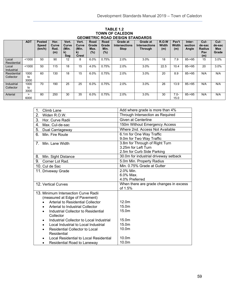#### **TABLE 1.2 TOWN OF CALEDON GEOMETRIC ROAD DESIGN STANDARDS**

| <u>ULUMLIINU INUAD DLUIUN UIANDAINDU</u> |                    |                                         |                              |                                      |                                                         |                                 |                                 |                                                        |                                                    |                                     |                       |                            |                                               |                                       |
|------------------------------------------|--------------------|-----------------------------------------|------------------------------|--------------------------------------|---------------------------------------------------------|---------------------------------|---------------------------------|--------------------------------------------------------|----------------------------------------------------|-------------------------------------|-----------------------|----------------------------|-----------------------------------------------|---------------------------------------|
|                                          | <b>ADT</b>         | <b>Posted</b><br><b>Speed</b><br>(km/h) | Hor.<br>Curve<br>Rad.<br>(m) | Vert.<br>Curve<br>(Min.<br>k)<br>Sag | Vert.<br>Curve<br>(Min.<br>$\mathbf{k}$<br><b>Crest</b> | Road<br>Grade<br>Max.<br>$(\%)$ | Road<br>Grade<br>Min.<br>$(\%)$ | <b>Grade at</b><br><b>Intersections</b><br><b>Stop</b> | Grade at<br><b>Intersections</b><br><b>Through</b> | <b>R.O.W</b><br><b>Width</b><br>(m) | Pav't<br>Width<br>(m) | Inter-<br>section<br>Angle | Cul-<br>de-sac<br><b>Radius</b><br>Pav<br>(m) | Cul-<br>de-sac<br><b>Max</b><br>Grade |
| Local<br>Residential                     | < 1000             | 50                                      | 90                           | 12                                   | 8                                                       | 6.0%                            | 0.75%                           | 2.0%                                                   | 3.0%                                               | 18                                  | 7.9                   | $85 - 95$                  | 15                                            | 3.0%                                  |
| Local<br>Industrial                      | < 1000             | 50                                      | 115                          | 18                                   | 15                                                      | 4.0%                            | 0.75%                           | 2.0%                                                   | 3.0%                                               | 22.5                                | 10.4                  | $85 - 95$                  | 20                                            | 3.0%                                  |
| Residential<br>Collector                 | 1000<br>to<br>3000 | 60                                      | 130                          | 18                                   | 15                                                      | 6.0%                            | 0.75%                           | 2.0%                                                   | 3.0%                                               | 20                                  | 8.9                   | $85 - 95$                  | N/A                                           | N/A                                   |
| Industrial<br>Collector                  | 1000<br>to<br>3000 | 70                                      | 190                          | 25                                   | 25                                                      | 6.0%                            | 0.75%                           | 2.0%                                                   | 3.0%                                               | 26                                  | 13.9                  | 85->95                     | N/A                                           | N/A                                   |
| Arterial                                 | ⋗<br>6000          | 80                                      | 250                          | 30                                   | 35                                                      | 6.0%                            | 0.75%                           | 2.0%                                                   | 3.0%                                               | 30                                  | $7.0 -$<br>15.0       | $85 - 95$                  | N/A                                           | N/A                                   |

| 1.<br>Climb Lane                                  | Add where grade is more than 4%        |
|---------------------------------------------------|----------------------------------------|
| 2.<br>Widen R.O.W.                                | Through Intersection as Required       |
| 3. Hor. Curve Radii                               | Given at Centerline                    |
| 4.<br>Max. Cul-de-sac                             | 150m Without Emergency Access          |
| 5.<br>Dual Carriageway                            | Where 2nd. Access Not Available        |
| 6.<br>Min. Fire Route                             | 6.1m for One Way Traffic               |
|                                                   | 9.0m for Two Way Traffic               |
| 7. Min. Lane Width                                | 3.8m for Through of Right Turn         |
|                                                   | 3.25m for Left Turn                    |
|                                                   | 2.5m for Curb Side Parking             |
| 8.<br>Min. Sight Distance                         | 30.0m for industrial driveway setback  |
| 9. Corner Lot Rad.                                | 5.0m Min. Property Radius              |
| 10. Cul de Sac                                    | Min. 0.75% Grade at Gutter             |
| 11. Driveway Grade                                | 2.0% Min.                              |
|                                                   | $6.0\%$ Max.                           |
|                                                   | 4.0% Preferred                         |
| 12. Vertical Curves                               | When there are grade changes in excess |
|                                                   | of 1.5%                                |
| 13. Minimum Intersection Curve Radii              |                                        |
| (measured at Edge of Pavement)                    |                                        |
| Arterial to Residential Collector                 | 12.0 <sub>m</sub>                      |
| Arterial to Industrial Collector                  | 15.0m                                  |
| Industrial Collector to Residential<br>$\bullet$  | 15.0m                                  |
| Collector                                         |                                        |
| Industrial Collector to Local Industrial          | 15.0m                                  |
| Local Industrial to Local Industrial<br>$\bullet$ | 15.0m                                  |
| Residential Collector to Local                    | 10.0 <sub>m</sub>                      |
| Residential                                       |                                        |
| Local Residential to Local Residential            | 10.0 <sub>m</sub>                      |
| Residential Road to Laneway<br>٠                  | 10.0m                                  |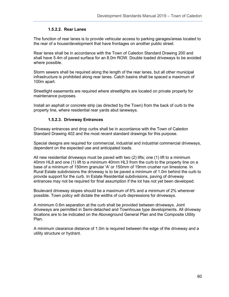#### **1.5.2.2. Rear Lanes**

The function of rear lanes is to provide vehicular access to parking garages/areas located to the rear of a house/development that have frontages on another public street.

Rear lanes shall be in accordance with the Town of Caledon Standard Drawing 200 and shall have 5.4m of paved surface for an 8.0m ROW. Double loaded driveways to be avoided where possible.

Storm sewers shall be required along the length of the rear lanes, but all other municipal infrastructure is prohibited along rear lanes. Catch basins shall be spaced a maximum of 100m apart.

Streetlight easements are required where streetlights are located on private property for maintenance purposes.

Install an asphalt or concrete strip (as directed by the Town) from the back of curb to the property line, where residential rear yards abut laneways.

#### **1.5.2.3. Driveway Entrances**

Driveway entrances and drop curbs shall be in accordance with the Town of Caledon Standard Drawing 402 and the most recent standard drawings for this purpose.

Special designs are required for commercial, industrial and industrial commercial driveways, dependent on the expected use and anticipated loads.

All new residential driveways must be paved with two (2) lifts; one (1) lift to a minimum 40mm HL8 and one (1) lift to a minimum 40mm HL3 from the curb to the property line on a base of a minimum of 150mm granular 'A' or 150mm of 19mm crusher run limestone. In Rural Estate subdivisions the driveway is to be paved a minimum of 1.0m behind the curb to provide support for the curb. In Estate Residential subdivisions, paving of driveway entrances may not be required for final assumption if the lot has not yet been developed.

Boulevard driveway slopes should be a maximum of 6% and a minimum of 2% wherever possible. Town policy will dictate the widths of curb depressions for driveways.

A minimum 0.6m separation at the curb shall be provided between driveways. Joint driveways are permitted in Semi-detached and Townhouse type developments. All driveway locations are to be indicated on the Aboveground General Plan and the Composite Utility Plan.

A minimum clearance distance of 1.0m is required between the edge of the driveway and a utility structure or hydrant.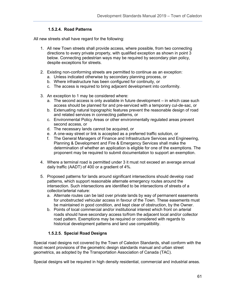## **1.5.2.4. Road Patterns**

All new streets shall have regard for the following:

- 1. All new Town streets shall provide access, where possible, from two connecting directions to every private property, with qualified exception as shown in point 3 below. Connecting pedestrian ways may be required by secondary plan policy, despite exceptions for streets.
- 2. Existing non-conforming streets are permitted to continue as an exception:
	- a. Unless indicated otherwise by secondary planning process, or
	- b. Where infrastructure has been configured for continuity, or
	- c. The access is required to bring adjacent development into conformity.
- 3. An exception to 1 may be considered where:
	- a. The second access is only available in future development in which case such access should be planned for and pre-serviced with a temporary cul-de-sac, or
	- b. Extenuating natural topographic features prevent the reasonable design of road and related services in connecting patterns, or
	- c. Environmental Policy Areas or other environmentally regulated areas prevent second access, or
	- d. The necessary lands cannot be acquired, or
	- e. A one-way street or link is accepted as a preferred traffic solution, or
	- f. The General Managers of Finance and Infrastructure Services and Engineering, Planning & Development and Fire & Emergency Services shall make the determination of whether an application is eligible for one of the exemptions. The proponent may be required to submit documentation to support an exemption.
- 4. Where a terminal road is permitted under 3 it must not exceed an average annual daily traffic (AADT) of 400 or a gradient of 4%.
- 5. Proposed patterns for lands around significant intersections should develop road patterns, which support reasonable alternate emergency routes around the intersection. Such intersections are identified to be intersections of streets of a collector/arterial nature:
	- a. Alternate routes can be laid over private lands by way of permanent easements for unobstructed vehicular access in favour of the Town. These easements must be maintained in good condition, and kept clear of obstruction, by the Owner.
	- b. Points of local commercial and/or institutional interest which front on arterial roads should have secondary access to/from the adjacent local and/or collector road pattern. Exemptions may be required or considered with regards to historical development patterns and land use compatibility.

# **1.5.2.5. Special Road Designs**

Special road designs not covered by the Town of Caledon Standards, shall conform with the most recent provisions of the geometric design standards manual and urban street geometrics, as adopted by the Transportation Association of Canada (TAC).

Special designs will be required in high density residential, commercial and industrial areas.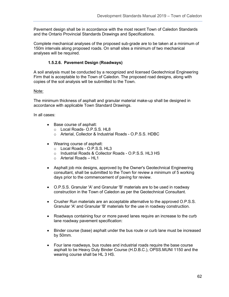Pavement design shall be in accordance with the most recent Town of Caledon Standards and the Ontario Provincial Standards Drawings and Specifications.

Complete mechanical analyses of the proposed sub-grade are to be taken at a minimum of 150m intervals along proposed roads. On small sites a minimum of two mechanical analyses will be required.

## **1.5.2.6. Pavement Design (Roadways)**

A soil analysis must be conducted by a recognized and licensed Geotechnical Engineering Firm that is acceptable to the Town of Caledon. The proposed road designs, along with copies of the soil analysis will be submitted to the Town.

#### Note:

The minimum thickness of asphalt and granular material make-up shall be designed in accordance with applicable Town Standard Drawings.

In all cases:

- Base course of asphalt:
	- o Local Roads- O.P.S.S. HL8
	- o Arterial, Collector & Industrial Roads O.P.S.S. HDBC
- Wearing course of asphalt:
	- o Local Roads O.P.S.S. HL3
	- o Industrial Roads & Collector Roads O.P.S.S. HL3 HS
	- o Arterial Roads HL1
- Asphalt job mix designs, approved by the Owner's Geotechnical Engineering consultant, shall be submitted to the Town for review a minimum of 5 working days prior to the commencement of paving for review.
- O.P.S.S. Granular 'A' and Granular 'B' materials are to be used in roadway construction in the Town of Caledon as per the Geotechnical Consultant.
- Crusher Run materials are an acceptable alternative to the approved O.P.S.S. Granular 'A' and Granular 'B' materials for the use in roadway construction.
- Roadways containing four or more paved lanes require an increase to the curb lane roadway pavement specification:
- Binder course (base) asphalt under the bus route or curb lane must be increased by 50mm.
- Four lane roadways, bus routes and industrial roads require the base course asphalt to be Heavy Duty Binder Course (H.D.B.C.), OPSS.MUNI 1150 and the wearing course shall be HL 3 HS.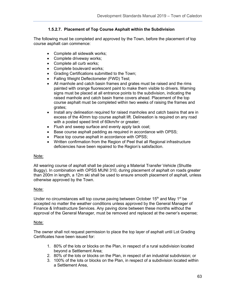## **1.5.2.7. Placement of Top Course Asphalt within the Subdivision**

The following must be completed and approved by the Town, before the placement of top course asphalt can commence:

- Complete all sidewalk works;
- Complete driveway works;
- Complete all curb works;
- Complete boulevard works;
- Grading Certifications submitted to the Town;
- Falling Weight Deflectometer (FWD) Test;
- All manhole and catch basin frames and grates must be raised and the rims painted with orange fluorescent paint to make them visible to drivers. Warning signs must be placed at all entrance points to the subdivision, indicating the raised manhole and catch basin frame covers ahead. Placement of the top course asphalt must be completed within two weeks of raising the frames and grates;
- Install any delineation required for raised manholes and catch basins that are in excess of the 40mm top course asphalt lift. Delineation is required on any road with a posted speed limit of 60km/hr or greater;
- Flush and sweep surface and evenly apply tack coat;
- Base course asphalt padding as required in accordance with OPSS;
- Place top course asphalt in accordance with OPSS;
- Written confirmation from the Region of Peel that all Regional infrastructure deficiencies have been repaired to the Region's satisfaction.

## Note:

All wearing course of asphalt shall be placed using a Material Transfer Vehicle (Shuttle Buggy). In combination with OPSS MUNI 310, during placement of asphalt on roads greater than 200m in length, a 12m ski shall be used to ensure smooth placement of asphalt, unless otherwise approved by the Town.

## Note:

Under no circumstances will top course paving between October  $15<sup>th</sup>$  and May  $1<sup>st</sup>$  be accepted no matter the weather conditions unless approved by the General Manager of Finance & Infrastructure Services. Any paving done between these months without the approval of the General Manager, must be removed and replaced at the owner's expense;

## Note:

The owner shall not request permission to place the top layer of asphalt until Lot Grading Certificates have been issued for:

- 1. 80% of the lots or blocks on the Plan, in respect of a rural subdivision located beyond a Settlement Area;
- 2. 80% of the lots or blocks on the Plan, in respect of an industrial subdivision; or
- 3. 100% of the lots or blocks on the Plan, in respect of a subdivision located within a Settlement Area,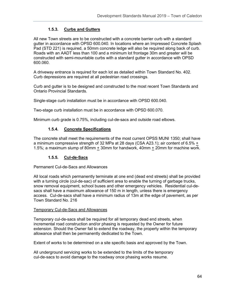## **1.5.3. Curbs and Gutters**

All new Town streets are to be constructed with a concrete barrier curb with a standard gutter in accordance with OPSD 600.040. In locations where an Impressed Concrete Splash Pad (STD 221) is required, a 50mm concrete ledge will also be required along back of curb. Roads with an AADT less than 100 and a minimum lot frontage 30m and greater will be constructed with semi-mountable curbs with a standard gutter in accordance with OPSD 600.060.

A driveway entrance is required for each lot as detailed within Town Standard No. 402. Curb depressions are required at all pedestrian road crossings.

Curb and gutter is to be designed and constructed to the most recent Town Standards and Ontario Provincial Standards.

Single-stage curb installation must be in accordance with OPSD 600.040.

Two-stage curb installation must be in accordance with OPSD 600.070.

Minimum curb grade is 0.75%, including cul-de-sacs and outside road elbows.

## **1.5.4. Concrete Specifications**

The concrete shall meet the requirements of the most current OPSS MUNI 1350; shall have a minimum compressive strength of 32 MPa at 28 days (CSA A23.1); air content of  $6.5\% +$ 1.5%; a maximum slump of 80mm + 30mm for handwork, 40mm + 20mm for machine work.

## **1.5.5. Cul-de-Sacs**

Permanent Cul-de-Sacs and Allowances

All local roads which permanently terminate at one end (dead end streets) shall be provided with a turning circle (cul-de-sac) of sufficient area to enable the turning of garbage trucks, snow removal equipment, school buses and other emergency vehicles. Residential cul-desacs shall have a maximum allowance of 150 m in length, unless there is emergency access. Cul-de-sacs shall have a minimum radius of 13m at the edge of pavement, as per Town Standard No. 216

#### Temporary Cul-de-Sacs and Allowances

Temporary cul-de-sacs shall be required for all temporary dead end streets, when incremental road construction and/or phasing is requested by the Owner for future extension. Should the Owner fail to extend the roadway, the property within the temporary allowance shall then be permanently dedicated to the Town.

Extent of works to be determined on a site specific basis and approved by the Town.

All underground servicing works to be extended to the limits of the temporary cul-de-sacs to avoid damage to the roadway once phasing works resume.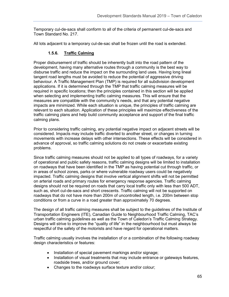Temporary cul-de-sacs shall conform to all of the criteria of permanent cul-de-sacs and Town Standard No. 217.

All lots adjacent to a temporary cul-de-sac shall be frozen until the road is extended.

## **1.5.6. Traffic Calming**

Proper disbursement of traffic should be inherently built into the road pattern of the development, having many alternative routes through a community is the best way to disburse traffic and reduce the impact on the surrounding land uses. Having long lineal tangent road lengths must be avoided to reduce the potential of aggressive driving behaviour. A Traffic Management Plan (TMP) is required for all subdivision development applications. If it is determined through the TMP that traffic calming measures will be required in specific locations; then the principles contained in this section will be applied when selecting and implementing traffic calming measures. This will ensure that the measures are compatible with the community's needs, and that any potential negative impacts are minimized. While each situation is unique, the principles of traffic calming are relevant to each situation. Application of these principles will maximize effectiveness of the traffic calming plans and help build community acceptance and support of the final traffic calming plans.

Prior to considering traffic calming, any potential negative impact on adjacent streets will be considered. Impacts may include traffic diverted to another street, or changes in turning movements with increase delays with other intersections. These effects will be considered in advance of approval, so traffic calming solutions do not create or exacerbate existing problems.

Since traffic calming measures should not be applied to all types of roadways, for a variety of operational and public safety reasons, traffic calming designs will be limited to installation on roadways that have been identified in the TMP as having potential cut through traffic, or in areas of school zones, parks or where vulnerable roadway users could be negatively impacted. Traffic calming designs that involve vertical alignment shifts will not be permitted on arterial roads and primary routes for emergency response agencies. Traffic calming designs should not be required on roads that carry local traffic only with less than 500 ADT, such as, short cul-de-sacs and short crescents. Traffic calming will not be supported on roadways that do not have more than 200m of uncontrolled length, i.e. 200m between stop conditions or from a curve in a road greater than approximately 70 degrees.

The design of all traffic calming measures shall be subject to the guidelines of the Institute of Transportation Engineers (ITE), Canadian Guide to Neighbourhood Traffic Calming, TAC's urban traffic calming guidelines as well as the Town of Caledon's Traffic Calming Strategy. Designs will strive to improve the "quality of life" in the neighbourhood but must always be respectful of the safety of the motorists and have regard for operational matters.

Traffic calming usually involves the installation of or a combination of the following roadway design characteristics or features:

- Installation of special pavement markings and/or signage;
- Installation of visual treatments that may include entrance or gateways features, roadside trees, and/or ground cover;
- Changes to the roadways surface texture and/or colour;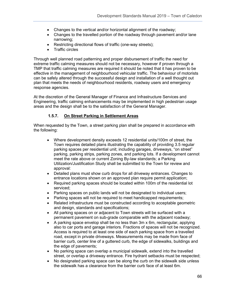- Changes to the vertical and/or horizontal alignment of the roadway;
- Changes to the travelled portion of the roadway through pavement and/or lane narrowing;
- Restricting directional flows of traffic (one-way streets);
- Traffic circles

Through well planned road patterning and proper disbursement of traffic the need for extreme traffic calming measures should not be necessary, however if proven through a TMP that traffic calming measures are required it should be noted that it has proven to be effective in the management of neighbourhood vehicular traffic. The behaviour of motorists can be safely altered through the successful design and installation of a well thought out plan that meets the needs of neighbourhood residents, roadway users and emergency response agencies.

At the discretion of the General Manager of Finance and Infrastructure Services and Engineering, traffic calming enhancements may be implemented in high pedestrian usage areas and the design shall be to the satisfaction of the General Manager.

## **1.5.7. On Street Parking in Settlement Areas**

When requested by the Town, a street parking plan shall be prepared in accordance with the following:

- Where development density exceeds 12 residential units/100m of street, the Town requires detailed plans illustrating the capability of providing 3.5 regular parking spaces per residential unit; including garages, driveways, "on street" parking, parking strips, parking zones, and parking lots. If a development cannot meet the rate above or current Zoning By-law standards; a Parking Utilization/Justification Study shall be submitted to the Town for review and approval:
- Detailed plans must show curb drops for all driveway entrances. Changes to entrance locations shown on an approved plan require permit application;
- Required parking spaces should be located within 100m of the residential lot serviced;
- Parking spaces on public lands will not be designated to individual users;
- Parking spaces will not be required to meet handicapped requirements;
- Related infrastructure must be constructed according to acceptable geometric and design, standards and specifications;
- All parking spaces on or adjacent to Town streets will be surfaced with a permanent pavement on sub-grade comparable with the adjacent roadway;
- A parking space envelop shall be no less than 3m x 6m, rectangular, applying also to car ports and garage interiors. Fractions of spaces will not be recognized. Access is required to at least one side of each parking space from a travelled road, except in private driveways. Measurements may be made from face of barrier curb, center line of a guttered curb, the edge of sidewalks, buildings and the edge of pavements;
- No parking space can overlap a municipal sidewalk, extend into the travelled street, or overlap a driveway entrance. Fire hydrant setbacks must be respected;
- No designated parking space can be along the curb on the sidewalk side unless the sidewalk has a clearance from the barrier curb face of at least 6m.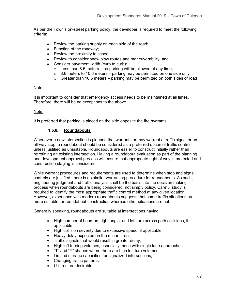As per the Town's on-street parking policy, the developer is required to meet the following criteria:

- Review the parking supply on each side of the road;
- Function of the roadway;
- Review the proximity to school;
- Review to consider snow plow routes and maneuverability; and
- Consider pavement width (curb to curb):
	- $\circ$  Less than 8.6 meters no parking will be allowed at any time;
	- $\circ$  8.6 meters to 10.6 meters parking may be permitted on one side only;
	- $\circ$  Greater than 10.6 meters parking may be permitted on both sides of road

#### Note:

It is important to consider that emergency access needs to be maintained at all times. Therefore, there will be no exceptions to the above.

#### Note:

It is preferred that parking is placed on the side opposite the fire hydrants.

## **1.5.8. Roundabouts**

Whenever a new intersection is planned that warrants or may warrant a traffic signal or an all-way stop, a roundabout should be considered as a preferred option of traffic control unless justified as unsuitable. Roundabouts are easier to construct initially rather than retrofitting an existing intersection. Having a roundabout evaluation as part of the planning and development approval process will ensure that appropriate right of way is protected and construction staging is considered.

While warrant procedures and requirements are used to determine when stop and signal controls are justified, there is no similar warranting procedure for roundabouts. As such, engineering judgment and traffic analysis shall be the basis into the decision making process when roundabouts are being considered, not simply policy. Careful study is required to identify the most appropriate traffic control method at any given location. However, experience with modern roundabouts suggests that some traffic situations are more suitable for roundabout construction whereas other situations are not.

Generally speaking, roundabouts are suitable at intersections having:

- High number of head-on, right angle, and left turn across path collisions, if applicable;
- High collision severity due to excessive speed, if applicable;
- Heavy delay expected on the minor street;
- Traffic signals that would result in greater delay;
- High left turning volumes, especially those with single lane approaches;
- "T" and "Y" shapes where there are high left turn volumes;
- Limited storage capacities for signalized intersections;
- Changing traffic patterns;
- U-turns are desirable;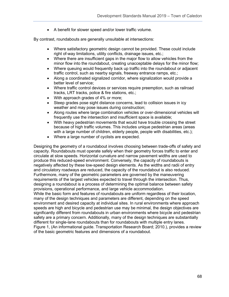• A benefit for slower speed and/or lower traffic volume.

By contrast, roundabouts are generally unsuitable at intersections:

- Where satisfactory geometric design cannot be provided. These could include right of-way limitations, utility conflicts, drainage issues, etc.;
- Where there are insufficient gaps in the major flow to allow vehicles from the minor flow into the roundabout, creating unacceptable delays for the minor flow;
- Where queuing would frequently back up traffic into the roundabout or adjacent traffic control, such as nearby signals, freeway entrance ramps, etc.;
- Along a coordinated signalized corridor, where signalization would provide a better level of service;
- Where traffic control devices or services require preemption, such as railroad tracks, LRT tracks, police & fire stations, etc.;
- With approach grades of 4% or more;
- Steep grades pose sight distance concerns, lead to collision issues in icy weather and may pose issues during construction;
- Along routes where large combination vehicles or over-dimensional vehicles will frequently use the intersection and insufficient space is available;
- With heavy pedestrian movements that would have trouble crossing the street because of high traffic volumes. This includes unique pedestrian areas (areas with a large number of children, elderly people, people with disabilities, etc.);
- Where a large number of cyclists are expected.

Designing the geometry of a roundabout involves choosing between trade-offs of safety and capacity. Roundabouts must operate safely when their geometry forces traffic to enter and circulate at slow speeds. Horizontal curvature and narrow pavement widths are used to produce this reduced-speed environment. Conversely, the capacity of roundabouts is negatively affected by these low-speed design elements. As the widths and radii of entry and circulatory roadways are reduced, the capacity of the roundabout is also reduced. Furthermore, many of the geometric parameters are governed by the maneuvering requirements of the largest vehicles expected to travel through the intersection. Thus, designing a roundabout is a process of determining the optimal balance between safety provisions, operational performance, and large vehicle accommodation. While the basic form and features of roundabouts are uniform regardless of their location,

many of the design techniques and parameters are different, depending on the speed environment and desired capacity at individual sites. In rural environments where approach speeds are high and bicycle and pedestrian use may be minimal, the design objectives are significantly different from roundabouts in urban environments where bicycle and pedestrian safety are a primary concern. Additionally, many of the design techniques are substantially different for single-lane roundabouts than for roundabouts with multiple entry lanes. Figure 1, (An informational guide. Transportation Research Board; 2010.), provides a review of the basic geometric features and dimensions of a roundabout.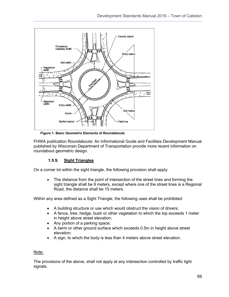

**Figure 1: Basic Geometric Elements of Roundabouts**

FHWA publication Roundabouts: An Informational Guide and Facilities Development Manual published by Wisconsin Department of Transportation provide more recent information on roundabout geometric design.

## **1.5.9. Sight Triangles**

On a corner lot within the sight triangle, the following provision shall apply:

• The distance from the point of intersection of the street lines and forming the sight triangle shall be 9 meters, except where one of the street lines is a Regional Road, the distance shall be 15 meters.

Within any area defined as a Sight Triangle, the following uses shall be prohibited:

- A building structure or use which would obstruct the vision of drivers;
- A fence, tree, hedge, bush or other vegetation to which the top exceeds 1 meter in height above street elevation;
- Any portion of a parking space;
- A berm or other ground surface which exceeds 0.5m in height above street elevation;
- A sign, to which the body is less than 4 meters above street elevation.

#### Note:

The provisions of the above, shall not apply at any intersection controlled by traffic light signals.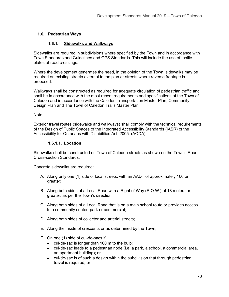## **1.6. Pedestrian Ways**

## **1.6.1. Sidewalks and Walkways**

Sidewalks are required in subdivisions where specified by the Town and in accordance with Town Standards and Guidelines and OPS Standards. This will include the use of tactile plates at road crossings.

Where the development generates the need, in the opinion of the Town, sidewalks may be required on existing streets external to the plan or streets where reverse frontage is proposed.

Walkways shall be constructed as required for adequate circulation of pedestrian traffic and shall be in accordance with the most recent requirements and specifications of the Town of Caledon and in accordance with the Caledon Transportation Master Plan, Community Design Plan and The Town of Caledon Trails Master Plan.

#### Note:

Exterior travel routes (sidewalks and walkways) shall comply with the technical requirements of the Design of Public Spaces of the Integrated Accessibility Standards (IASR) of the Accessibility for Ontarians with Disabilities Act, 2005. (AODA)

#### **1.6.1.1. Location**

Sidewalks shall be constructed on Town of Caledon streets as shown on the Town's Road Cross-section Standards.

Concrete sidewalks are required:

- A. Along only one (1) side of local streets, with an AADT of approximately 100 or greater;
- B. Along both sides of a Local Road with a Right of Way (R.O.W.) of 18 meters or greater, as per the Town's direction
- C. Along both sides of a Local Road that is on a main school route or provides access to a community center, park or commercial;
- D. Along both sides of collector and arterial streets;
- E. Along the inside of crescents or as determined by the Town;
- F. On one (1) side of cul-de-sacs if:
	- cul-de-sac is longer than 100 m to the bulb;
	- cul-de-sac leads to a pedestrian node (i.e. a park, a school, a commercial area, an apartment building); or
	- cul-de-sac is of such a design within the subdivision that through pedestrian travel is required; or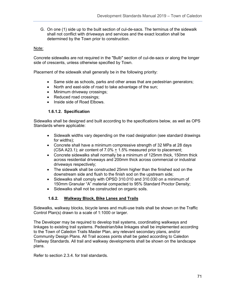G. On one (1) side up to the built section of cul-de-sacs. The terminus of the sidewalk shall not conflict with driveways and services and the exact location shall be determined by the Town prior to construction.

## Note:

Concrete sidewalks are not required in the "Bulb" section of cul-de-sacs or along the longer side of crescents, unless otherwise specified by Town.

Placement of the sidewalk shall generally be in the following priority:

- Same side as schools, parks and other areas that are pedestrian generators;
- North and east-side of road to take advantage of the sun;
- Minimum driveway crossings;
- Reduced road crossings;
- Inside side of Road Elbows.

#### **1.6.1.2. Specification**

Sidewalks shall be designed and built according to the specifications below, as well as OPS Standards where applicable:

- Sidewalk widths vary depending on the road designation (see standard drawings for widths);
- Concrete shall have a minimum compressive strength of 32 MPa at 28 days (CSA A23.1); air content of  $7.0\% \pm 1.5\%$  measured prior to placement;
- Concrete sidewalks shall normally be a minimum of 125mm thick, 150mm thick across residential driveways and 200mm thick across commercial or industrial driveways respectively;
- The sidewalk shall be constructed 25mm higher than the finished sod on the downstream side and flush to the finish sod on the upstream side;
- Sidewalks shall comply with OPSD 310.010 and 310.030 on a minimum of 150mm Granular "A" material compacted to 95% Standard Proctor Density;
- Sidewalks shall not be constructed on organic soils.

## **1.6.2. Walkway Block, Bike Lanes and Trails**

Sidewalks, walkway blocks, bicycle lanes and multi-use trails shall be shown on the Traffic Control Plan(s) drawn to a scale of 1:1000 or larger.

The Developer may be required to develop trail systems, coordinating walkways and linkages to existing trail systems. Pedestrian/bike linkages shall be implemented according to the Town of Caledon Trails Master Plan, any relevant secondary plans, and/or Community Design Plans. All Trail access points shall be gated according to Caledon Trailway Standards. All trail and walkway developments shall be shown on the landscape plans.

Refer to section 2.3.4. for trail standards.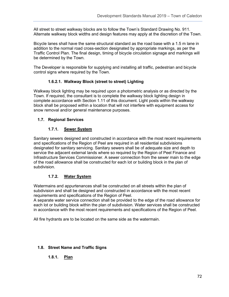All street to street walkway blocks are to follow the Town's Standard Drawing No. 911. Alternate walkway block widths and design features may apply at the discretion of the Town.

Bicycle lanes shall have the same structural standard as the road base with a 1.5 m lane in addition to the normal road cross-section designated by appropriate markings, as per the Traffic Control Plan. The final design, timing of bicycle circulation signage and markings will be determined by the Town.

The Developer is responsible for supplying and installing all traffic, pedestrian and bicycle control signs where required by the Town.

## **1.6.2.1. Walkway Block (street to street) Lighting**

Walkway block lighting may be required upon a photometric analysis or as directed by the Town. If required, the consultant is to complete the walkway block lighting design in complete accordance with Section 1.11 of this document. Light posts within the walkway block shall be proposed within a location that will not interfere with equipment access for snow removal and/or general maintenance purposes.

## **1.7. Regional Services**

## **1.7.1. Sewer System**

Sanitary sewers designed and constructed in accordance with the most recent requirements and specifications of the Region of Peel are required in all residential subdivisions designated for sanitary servicing. Sanitary sewers shall be of adequate size and depth to service the adjacent external lands where so required by the Region of Peel Finance and Infrastructure Services Commissioner. A sewer connection from the sewer main to the edge of the road allowance shall be constructed for each lot or building block in the plan of subdivision.

## **1.7.2. Water System**

Watermains and appurtenances shall be constructed on all streets within the plan of subdivision and shall be designed and constructed in accordance with the most recent requirements and specifications of the Region of Peel.

A separate water service connection shall be provided to the edge of the road allowance for each lot or building block within the plan of subdivision. Water services shall be constructed in accordance with the most recent requirements and specifications of the Region of Peel.

All fire hydrants are to be located on the same side as the watermain.

## **1.8. Street Name and Traffic Signs**

# **1.8.1. Plan**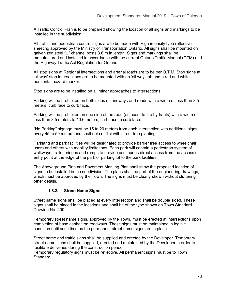A Traffic Control Plan is to be prepared showing the location of all signs and markings to be installed in the subdivision.

All traffic and pedestrian control signs are to be made with High intensity type reflective sheeting approved by the Ministry of Transportation Ontario. All signs shall be mounted on galvanized steel "U" channel posts 3.6 m in length. Signs and markings shall be manufactured and installed in accordance with the current Ontario Traffic Manual (OTM) and the Highway Traffic Act Regulation for Ontario.

All stop signs at Regional intersections and arterial roads are to be per O.T.M. Stop signs at 'all way' stop intersections are to be mounted with an 'all way' tab and a red and white horizontal hazard marker.

Stop signs are to be installed on all minor approaches to intersections.

Parking will be prohibited on both sides of laneways and roads with a width of less than 8.5 meters, curb face to curb face.

Parking will be prohibited on one side of the road (adjacent to fire hydrants) with a width of less than 8.5 meters to 10.6 meters, curb face to curb face.

"No Parking" signage must be 15 to 20 meters from each intersection with additional signs every 45 to 50 meters and shall not conflict with street tree planting.

Parkland and park facilities will be designated to provide barrier free access to wheelchair users and others with mobility limitations. Each park will contain a pedestrian system of walkways, trails, bridges and ramps to provide continuous direct access from the access or entry point at the edge of the park or parking lot to the park facilities.

The Aboveground Plan and Pavement Marking Plan shall show the proposed location of signs to be installed in the subdivision. The plans shall be part of the engineering drawings, which must be approved by the Town. The signs must be clearly shown without cluttering other details.

# **1.8.2. Street Name Signs**

Street name signs shall be placed at every intersection and shall be double sided. These signs shall be placed in the locations and shall be of the type shown on Town Standard Drawing No. 400.

Temporary street name signs, approved by the Town, must be erected at intersections upon completion of base asphalt on roadways. These signs must be maintained in legible condition until such time as the permanent street name signs are in place.

Street name and traffic signs shall be supplied and erected by the Developer. Temporary street name signs shall be supplied, erected and maintained by the Developer in order to facilitate deliveries during the construction period.

Temporary regulatory signs must be reflective. All permanent signs must be to Town Standard.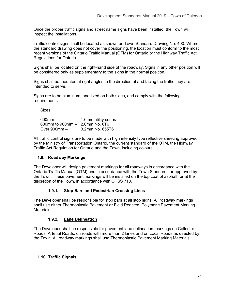Once the proper traffic signs and street name signs have been installed, the Town will inspect the installations.

Traffic control signs shall be located as shown on Town Standard Drawing No. 400. Where the standard drawing does not cover the positioning, the location must conform to the most recent versions of the Ontario Traffic Manual (OTM) for Ontario or the Highway Traffic Act Regulations for Ontario.

Signs shall be located on the right-hand side of the roadway. Signs in any other position will be considered only as supplementary to the signs in the normal position.

Signs shall be mounted at right angles to the direction of and facing the traffic they are intended to serve.

Signs are to be aluminum, anodized on both sides, and comply with the following requirements:

Sizes

600mm – 1.6mm utility series 600mm to 900mm – 2.0mm No. 6T6 Over 900mm – 3.2mm No. 655T6

All traffic control signs are to be made with high intensity type reflective sheeting approved by the Ministry of Transportation Ontario, the current standard of the OTM, the Highway Traffic Act Regulation for Ontario and the Town, including colours.

## **1.9. Roadway Markings**

The Developer will design pavement markings for all roadways in accordance with the Ontario Traffic Manual (OTM) and in accordance with the Town Standards or approved by the Town. These pavement markings will be installed on the top coat of asphalt, or at the discretion of the Town, in accordance with OPSS 710.

## **1.9.1. Stop Bars and Pedestrian Crossing Lines**

The Developer shall be responsible for stop bars at all stop signs. All roadway markings shall use either Thermoplastic Pavement or Field Reacted, Polymeric Pavement Marking Materials.

## **1.9.2. Lane Delineation**

The Developer shall be responsible for pavement lane delineation markings on Collector Roads, Arterial Roads, on roads with more than 2 lanes and on Local Roads as directed by the Town. All roadway markings shall use Thermoplastic Pavement Marking Materials.

## **1.10. Traffic Signals**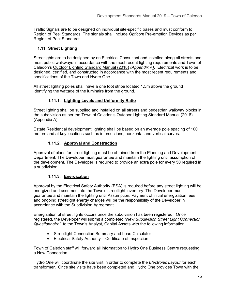Traffic Signals are to be designed on individual site-specific bases and must conform to Region of Peel Standards. The signals shall include *Opticom* Pre-emption Devices as per Region of Peel Standards

# **1.11. Street Lighting**

Streetlights are to be designed by an Electrical Consultant and installed along all streets and most public walkways in accordance with the most recent lighting requirements and Town of Caledon's Outdoor Lighting Standard Manual (2018) *(Appendix A)*. Electrical work is to be designed, certified, and constructed in accordance with the most recent requirements and specifications of the Town and Hydro One.

All street lighting poles shall have a one foot stripe located 1.5m above the ground identifying the wattage of the luminaire from the ground.

# **1.11.1. Lighting Levels and Uniformity Ratio**

Street lighting shall be supplied and installed on all streets and pedestrian walkway blocks in the subdivision as per the Town of Caledon's Outdoor Lighting Standard Manual (2018) (Appendix A).

Estate Residential development lighting shall be based on an average pole spacing of 100 meters and at key locations such as intersections, horizontal and vertical curves.

# **1.11.2. Approval and Construction**

Approval of plans for street lighting must be obtained from the Planning and Development Department. The Developer must guarantee and maintain the lighting until assumption of the development. The Developer is required to provide an extra pole for every 50 required in a subdivision.

# **1.11.3. Energization**

Approval by the Electrical Safety Authority (ESA) is required before any street lighting will be energized and assumed into the Town's streetlight inventory. The Developer must guarantee and maintain the lighting until Assumption. Payment of initial energization fees and ongoing streetlight energy charges will be the responsibility of the Developer in accordance with the Subdivision Agreement.

Energization of street lights occurs once the subdivision has been registered. Once registered, the Developer will submit a completed *"New Subdivision Street Light Connection Questionnaire",* to the Town's Analyst, Capital Assets with the following information:

- Streetlight Connection Summary and Load Calculator
- Electrical Safety Authority Certificate of Inspection

Town of Caledon staff will forward all information to Hydro One Business Centre requesting a New Connection.

Hydro One will coordinate the site visit in order to complete the *Electronic Layout* for each transformer. Once site visits have been completed and Hydro One provides Town with the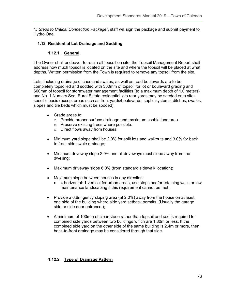"*5 Steps to Critical Connection Package"*, staff will sign the package and submit payment to Hydro One.

## **1.12. Residential Lot Drainage and Sodding**

## **1.12.1. General**

The Owner shall endeavor to retain all topsoil on site; the Topsoil Management Report shall address how much topsoil is located on the site and where the topsoil will be placed at what depths. Written permission from the Town is required to remove any topsoil from the site.

Lots, including drainage ditches and swales, as well as road boulevards are to be completely topsoiled and sodded with 300mm of topsoil for lot or boulevard grading and 600mm of topsoil for stormwater management facilities (to a maximum depth of 1.0 meters) and No. 1 Nursery Sod. Rural Estate residential lots rear yards may be seeded on a sitespecific basis (except areas such as front yards/boulevards, septic systems, ditches, swales, slopes and tile beds which must be sodded).

- Grade areas to:
	- o Provide proper surface drainage and maximum usable land area.
	- o Preserve existing trees where possible.
	- o Direct flows away from houses;
- Minimum yard slope shall be 2.0% for split lots and walkouts and 3.0% for back to front side swale drainage;
- Minimum driveway slope 2.0% and all driveways must slope away from the dwelling;
- Maximum driveway slope 6.0% (from standard sidewalk location);
- Maximum slope between houses in any direction:
	- 4 horizontal: 1 vertical for urban areas, use steps and/or retaining walls or low maintenance landscaping if this requirement cannot be met.
- Provide a 0.6m gently sloping area (at 2.0%) away from the house on at least one side of the building where side yard setback permits. (Usually the garage side or side door entrance.);
- A minimum of 100mm of clear stone rather than topsoil and sod is required for combined side yards between two buildings which are 1.80m or less. If the combined side yard on the other side of the same building is 2.4m or more, then back-to-front drainage may be considered through that side.

## **1.12.2. Type of Drainage Pattern**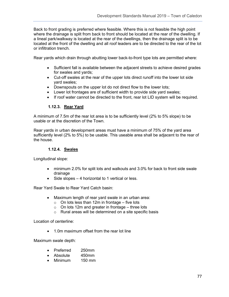Back to front grading is preferred where feasible. Where this is not feasible the high point where the drainage is split from back to front should be located at the rear of the dwelling. If a lineal park/walkway is located at the rear of the dwellings, then the drainage split is to be located at the front of the dwelling and all roof leaders are to be directed to the rear of the lot or infiltration trench.

Rear yards which drain through abutting lower back-to-front type lots are permitted where:

- Sufficient fall is available between the adjacent streets to achieve desired grades for swales and yards;
- Cut-off swales at the rear of the upper lots direct runoff into the lower lot side yard swales;
- Downspouts on the upper lot do not direct flow to the lower lots;
- Lower lot frontages are of sufficient width to provide side yard swales;
- If roof water cannot be directed to the front, rear lot LID system will be required.

## **1.12.3. Rear Yard**

A minimum of 7.5m of the rear lot area is to be sufficiently level (2% to 5% slope) to be usable or at the discretion of the Town.

Rear yards in urban development areas must have a minimum of 75% of the yard area sufficiently level (2% to 5%) to be usable. This useable area shall be adjacent to the rear of the house.

### **1.12.4. Swales**

Longitudinal slope:

- minimum 2.0% for split lots and walkouts and 3.0% for back to front side swale drainage
- Side slopes 4 horizontal to 1 vertical or less.

Rear Yard Swale to Rear Yard Catch basin:

- Maximum length of rear yard swale in an urban area:
	- $\circ$  On lots less than 12m in frontage five lots
	- $\circ$  On lots 12m and greater in frontage three lots
	- o Rural areas will be determined on a site specific basis

Location of centerline:

• 1.0m maximum offset from the rear lot line

Maximum swale depth:

- Preferred 250mm
- Absolute 450mm
- Minimum 150 mm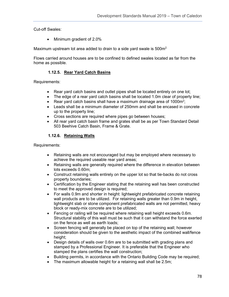Cut-off Swales:

• Minimum gradient of 2.0%

Maximum upstream lot area added to drain to a side yard swale is 500m<sup>2.</sup>

Flows carried around houses are to be confined to defined swales located as far from the home as possible.

## **1.12.5. Rear Yard Catch Basins**

Requirements:

- Rear yard catch basins and outlet pipes shall be located entirely on one lot;
- The edge of a rear yard catch basins shall be located 1.0m clear of property line;
- Rear yard catch basins shall have a maximum drainage area of 1000 $m^2$ ;
- Leads shall be a minimum diameter of 250mm and shall be encased in concrete up to the property line;
- Cross sections are required where pipes go between houses;
- All rear yard catch basin frame and grates shall be as per Town Standard Detail 503 Beehive Catch Basin, Frame & Grate.

## **1.12.6. Retaining Walls**

Requirements:

- Retaining walls are not encouraged but may be employed where necessary to achieve the required useable rear yard areas;
- Retaining walls are generally required where the difference in elevation between lots exceeds 0.60m;
- Construct retaining walls entirely on the upper lot so that tie-backs do not cross property boundaries;
- Certification by the Engineer stating that the retaining wall has been constructed to meet the approved design is required;
- For walls 0.9m and shorter in height: lightweight prefabricated concrete retaining wall products are to be utilized. For retaining walls greater than 0.9m in height, lightweight slab or stone component prefabricated walls are not permitted, heavy block or ready-mix concrete are to be utilized;
- Fencing or railing will be required where retaining wall height exceeds 0.6m. Structural stability of this wall must be such that it can withstand the force exerted on the fence as well as earth loads;
- Screen fencing will generally be placed on top of the retaining wall; however consideration should be given to the aesthetic impact of the combined wall/fence height;
- Design details of walls over 0.6m are to be submitted with grading plans and stamped by a Professional Engineer. It is preferable that the Engineer who stamped the plans certifies the wall construction;
- Building permits, in accordance with the Ontario Building Code may be required;
- The maximum allowable height for a retaining wall shall be 2.5m;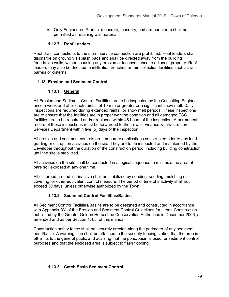• Only Engineered Product (concrete, masonry, and armour stone) shall be permitted as retaining wall material.

# **1.12.7. Roof Leaders**

Roof drain connections to the storm service connection are prohibited. Roof leaders shall discharge on ground via splash pads and shall be directed away from the building foundation walls, without causing any erosion or inconvenience to adjacent property. Roof leaders may also be directed to infiltration trenches or rain collection facilities such as rain barrels or cisterns.

## **1.13. Erosion and Sediment Control**

# **1.13.1. General**

All Erosion and Sediment Control Facilities are to be inspected by the Consulting Engineer once a week and after each rainfall of 10 mm or greater or a significant snow melt. Daily inspections are required during extended rainfall or snow melt periods. These inspections are to ensure that the facilities are in proper working condition and all damaged ESC facilities are to be repaired and/or replaced within 48 hours of the inspection. A permanent record of these inspections must be forwarded to the Town's Finance & Infrastructure Services Department within five (5) days of the inspection.

All erosion and sediment controls are temporary applications constructed prior to any land grading or disruption activities on the site. They are to be inspected and maintained by the Developer throughout the duration of the construction period, including building construction, until the site is stabilized.

All activities on the site shall be conducted in a logical sequence to minimize the area of bare soil exposed at any one time.

All disturbed ground left inactive shall be stabilized by seeding, sodding, mulching or covering, or other equivalent control measure. The period of time of inactivity shall not exceed 30 days, unless otherwise authorized by the Town.

# **1.13.2. Sediment Control Facilities/Basins**

All Sediment Control Facilities/Basins are to be designed and constructed in accordance with Appendix "C" of the Erosion and Sediment Control Guidelines for Urban Construction published by the Greater Golden Horseshoe Conservation Authorities in December 2006, as amended and as per Section 1.4.5. of this manual.

Construction safety fence shall be securely erected along the perimeter of any sediment pond/basin. A warning sign shall be attached to the security fencing stating that the area is off limits to the general public and advising that the pond/basin is used for sediment control purposes and that the enclosed area is subject to flash flooding.

# **1.13.3. Catch Basin Sediment Control**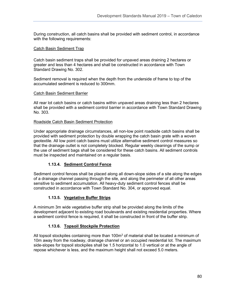During construction, all catch basins shall be provided with sediment control, in accordance with the following requirements:

### Catch Basin Sediment Trap

Catch basin sediment traps shall be provided for unpaved areas draining 2 hectares or greater and less than 4 hectares and shall be constructed in accordance with Town Standard Drawing No. 302.

Sediment removal is required when the depth from the underside of frame to top of the accumulated sediment is reduced to 300mm.

### Catch Basin Sediment Barrier

All rear lot catch basins or catch basins within unpaved areas draining less than 2 hectares shall be provided with a sediment control barrier in accordance with Town Standard Drawing No. 303.

### Roadside Catch Basin Sediment Protection

Under appropriate drainage circumstances, all non-low point roadside catch basins shall be provided with sediment protection by double wrapping the catch basin grate with a woven geotextile. All low point catch basins must utilize alternative sediment control measures so that the drainage outlet is not completely blocked. Regular weekly cleanings of the sump or the use of sediment bags shall be considered for these catch basins. All sediment controls must be inspected and maintained on a regular basis.

## **1.13.4. Sediment Control Fence**

Sediment control fences shall be placed along all down-slope sides of a site along the edges of a drainage channel passing through the site, and along the perimeter of all other areas sensitive to sediment accumulation. All heavy-duty sediment control fences shall be constructed in accordance with Town Standard No. 304, or approved equal.

## **1.13.5. Vegetative Buffer Strips**

A minimum 3m wide vegetative buffer strip shall be provided along the limits of the development adjacent to existing road boulevards and existing residential properties. Where a sediment control fence is required, it shall be constructed in front of the buffer strip.

## **1.13.6. Topsoil Stockpile Protection**

All topsoil stockpiles containing more than  $100<sup>m</sup>$  of material shall be located a minimum of 10m away from the roadway, drainage channel or an occupied residential lot. The maximum side-slopes for topsoil stockpiles shall be 1.5 horizontal to 1.0 vertical or at the angle of repose whichever is less, and the maximum height shall not exceed 5.0 meters.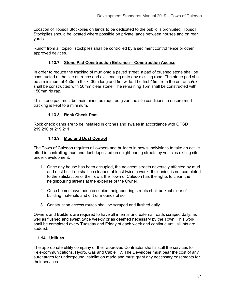Location of Topsoil Stockpiles on lands to be dedicated to the public is prohibited. Topsoil Stockpiles should be located where possible on private lands between houses and on rear yards.

Runoff from all topsoil stockpiles shall be controlled by a sediment control fence or other approved devices.

# **1.13.7. Stone Pad Construction Entrance – Construction Access**

In order to reduce the tracking of mud onto a paved street, a pad of crushed stone shall be constructed at the site entrance and exit leading onto any existing road. The stone pad shall be a minimum of 450mm thick, 30m long and 5m wide. The first 15m from the entrance/exit shall be constructed with 50mm clear stone. The remaining 15m shall be constructed with 150mm rip rap.

This stone pad must be maintained as required given the site conditions to ensure mud tracking is kept to a minimum.

# **1.13.8. Rock Check Dam**

Rock check dams are to be installed in ditches and swales in accordance with OPSD 219.210 or 219.211.

## **1.13.9. Mud and Dust Control**

The Town of Caledon requires all owners and builders in new subdivisions to take an active effort in controlling mud and dust deposited on neighbouring streets by vehicles exiting sites under development:

- 1. Once any house has been occupied, the adjacent streets adversely affected by mud and dust build-up shall be cleaned at least twice a week. If cleaning is not completed to the satisfaction of the Town, the Town of Caledon has the rights to clean the neighbouring streets at the expense of the Owner.
- 2. Once homes have been occupied, neighbouring streets shall be kept clear of building materials and dirt or mounds of soil.
- 3. Construction access routes shall be scraped and flushed daily.

Owners and Builders are required to have all internal and external roads scraped daily, as well as flushed and swept twice weekly or as deemed necessary by the Town. This work shall be completed every Tuesday and Friday of each week and continue until all lots are sodded.

## **1.14. Utilities**

The appropriate utility company or their approved Contractor shall install the services for Tele-communications, Hydro, Gas and Cable TV. The Developer must bear the cost of any surcharges for underground installation made and must grant any necessary easements for their services.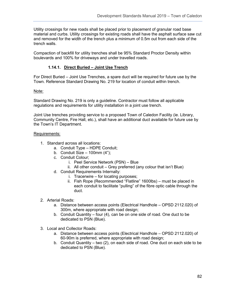Utility crossings for new roads shall be placed prior to placement of granular road base material and curbs. Utility crossings for existing roads shall have the asphalt surface saw cut and removed for the width of the trench plus a minimum of 0.5m out from each side of the trench walls.

Compaction of backfill for utility trenches shall be 95% Standard Proctor Density within boulevards and 100% for driveways and under travelled roads.

## **1.14.1. Direct Buried – Joint Use Trench**

For Direct Buried – Joint Use Trenches, a spare duct will be required for future use by the Town. Reference Standard Drawing No. 219 for location of conduit within trench.

### Note:

Standard Drawing No. 219 is only a guideline. Contractor must follow all applicable regulations and requirements for utility installation in a joint use trench.

Joint Use trenches providing service to a proposed Town of Caledon Facility (ie. Library, Community Centre, Fire Hall, etc.), shall have an additional duct available for future use by the Town's IT Department.

### Requirements:

- 1. Standard across all locations:
	- a. Conduit Type HDPE Conduit;
	- b. Conduit Size 100mm  $(4")$ ;
	- c. Conduit Colour;
		- i. Peel Service Network (PSN) Blue
		- ii. All other conduit Grey preferred (any colour that isn't Blue)
	- d. Conduit Requirements Internally:
		- i. Tracerwire for locating purposes;
		- ii. Fish Rope (Recommended "Flatline" 1600lbs) must be placed in each conduit to facilitate "pulling" of the fibre optic cable through the duct.
- 2. Arterial Roads:
	- a. Distance between access points (Electrical Handhole OPSD 2112.020) of 300m, where appropriate with road design;
	- b. Conduit Quantity four (4), can be on one side of road. One duct to be dedicated to PSN (Blue).
- 3. Local and Collector Roads:
	- a. Distance between access points (Electrical Handhole OPSD 2112.020) of 60-90m is preferred, where appropriate with road design;
	- b. Conduit Quantity two (2), on each side of road. One duct on each side to be dedicated to PSN (Blue).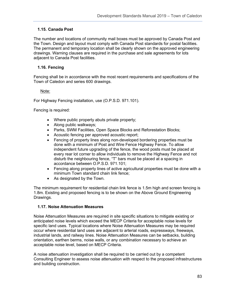# **1.15. Canada Post**

The number and locations of community mail boxes must be approved by Canada Post and the Town. Design and layout must comply with Canada Post standards for postal facilities. The permanent and temporary location shall be clearly shown on the approved engineering drawings. Warning clauses are required in the purchase and sale agreements for lots adjacent to Canada Post facilities.

# **1.16. Fencing**

Fencing shall be in accordance with the most recent requirements and specifications of the Town of Caledon and series 600 drawings.

## Note:

For Highway Fencing installation, use (O.P.S.D. 971.101).

Fencing is required:

- Where public property abuts private property;
- Along public walkways;
- Parks, SWM Facilities, Open Space Blocks and Reforestation Blocks;
- Acoustic fencing per approved acoustic report;
- Fencing of property lines along non-developed bordering properties must be done with a minimum of Post and Wire Fence Highway Fence. To allow independent future upgrading of the fence, the wood posts must be placed at every rear lot corner to allow individuals to remove the Highway Fence and not disturb the neighbouring fence, "T" bars must be placed at a spacing in accordance between O.P.S.D. 971.101;
- Fencing along property lines of active agricultural properties must be done with a minimum Town standard chain link fence;
- As designated by the Town.

The minimum requirement for residential chain link fence is 1.5m high and screen fencing is 1.8m. Existing and proposed fencing is to be shown on the Above Ground Engineering Drawings.

## **1.17. Noise Attenuation Measures**

Noise Attenuation Measures are required in site specific situations to mitigate existing or anticipated noise levels which exceed the MECP Criteria for acceptable noise levels for specific land uses. Typical locations where Noise Attenuation Measures may be required occur where residential land uses are adjacent to arterial roads, expressways, freeways, industrial lands, and railway lines. Noise Attenuation Measures can be setbacks, building orientation, earthen berms, noise walls, or any combination necessary to achieve an acceptable noise level, based on MECP Criteria.

A noise attenuation investigation shall be required to be carried out by a competent Consulting Engineer to assess noise attenuation with respect to the proposed infrastructures and building construction.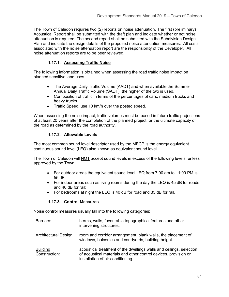The Town of Caledon requires two (2) reports on noise attenuation. The first (preliminary) Acoustical Report shall be submitted with the draft plan and indicate whether or not noise attenuation is required. The second report shall be submitted with the Subdivision Design Plan and indicate the design details of the proposed noise attenuation measures. All costs associated with the noise attenuation report are the responsibility of the Developer. All noise attenuation reports are to be peer reviewed.

# **1.17.1. Assessing Traffic Noise**

The following information is obtained when assessing the road traffic noise impact on planned sensitive land uses.

- The Average Daily Traffic Volume (AADT) and when available the Summer Annual Daily Traffic Volume (SADT), the higher of the two is used.
- Composition of traffic in terms of the percentages of cars, medium trucks and heavy trucks.
- Traffic Speed, use 10 km/h over the posted speed.

When assessing the noise impact, traffic volumes must be based in future traffic projections of at least 20 years after the completion of the planned project, or the ultimate capacity of the road as determined by the road authority.

# **1.17.2. Allowable Levels**

The most common sound level descriptor used by the MECP is the energy equivalent continuous sound level (LEQ) also known as equivalent sound level.

The Town of Caledon will NOT accept sound levels in excess of the following levels, unless approved by the Town:

- For outdoor areas the equivalent sound level LEQ from 7:00 am to 11:00 PM is 55 dB;
- For indoor areas such as living rooms during the day the LEQ is 45 dB for roads and 40 dB for rail;
- For bedrooms at night the LEQ is 40 dB for road and 35 dB for rail.

# **1.17.3. Control Measures**

Noise control measures usually fall into the following categories:

| Barriers:             | berms, walls, favourable topographical features and other<br>intervening structures. |  |  |
|-----------------------|--------------------------------------------------------------------------------------|--|--|
| Architectural Design: | room and corridor arrangement, blank walls, the placement of                         |  |  |

- windows, balconies and courtyards, building height.
- **Building** Construction: acoustical treatment of the dwellings walls and ceilings, selection of acoustical materials and other control devices, provision or installation of air conditioning.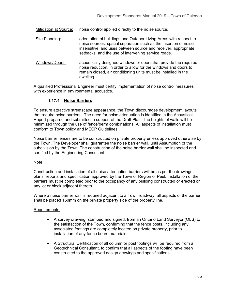| <b>Mitigation at Source:</b> | noise control applied directly to the noise source.                                                                                                                                                                                                            |
|------------------------------|----------------------------------------------------------------------------------------------------------------------------------------------------------------------------------------------------------------------------------------------------------------|
| Site Planning:               | orientation of buildings and Outdoor Living Areas with respect to<br>noise sources, spatial separation such as the insertion of noise<br>insensitive land uses between source and receiver, appropriate<br>setbacks, and the use of intervening service roads. |
| Windows/Doors:               | acoustically designed windows or doors that provide the required<br>noise reduction, in order to allow for the windows and doors to<br>remain closed, air conditioning units must be installed in the<br>dwelling.                                             |

A qualified Professional Engineer must certify implementation of noise control measures with experience in environmental acoustics.

# **1.17.4. Noise Barriers**

To ensure attractive streetscape appearance, the Town discourages development layouts that require noise barriers. The need for noise attenuation is identified in the Acoustical Report prepared and submitted in support of the Draft Plan. The heights of walls will be minimized through the use of fence/berm combinations. All aspects of installation must conform to Town policy and MECP Guidelines.

Noise barrier fences are to be constructed on private property unless approved otherwise by the Town. The Developer shall guarantee the noise barrier wall, until Assumption of the subdivision by the Town. The construction of the noise barrier wall shall be inspected and certified by the Engineering Consultant.

### Note:

Construction and installation of all noise attenuation barriers will be as per the drawings, plans, reports and specification approved by the Town or Region of Peel. Installation of the barriers must be completed prior to the occupancy of any building constructed or erected on any lot or block adjacent thereto.

Where a noise barrier wall is required adjacent to a Town roadway, all aspects of the barrier shall be placed 150mm on the private property side of the property line.

## Requirements:

- A survey drawing, stamped and signed, from an Ontario Land Surveyor (OLS) to the satisfaction of the Town, confirming that the fence posts, including any associated footings are completely located on private property, prior to installation of any fence board materials.
- A Structural Certification of all column or post footings will be required from a Geotechnical Consultant, to confirm that all aspects of the footing have been constructed to the approved design drawings and specifications.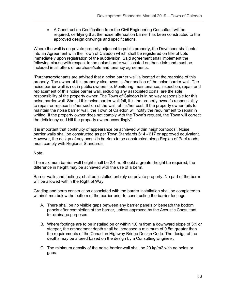• A Construction Certification from the Civil Engineering Consultant will be required, certifying that the noise attenuation barrier has been constructed to the approved design drawings and specifications.

Where the wall is on private property adjacent to public property, the Developer shall enter into an Agreement with the Town of Caledon which shall be registered on title of Lots immediately upon registration of the subdivision. Said agreement shall implement the following clause with respect to the noise barrier wall located on these lots and must be included in all offers of purchase/sale and tenancy agreements.

"Purchasers/tenants are advised that a noise barrier wall is located at the rear/side of this property. The owner of this property also owns his/her section of the noise barrier wall. The noise barrier wall is not in public ownership. Monitoring, maintenance, inspection, repair and replacement of this noise barrier wall, including any associated costs, are the sole responsibility of the property owner. The Town of Caledon is in no way responsible for this noise barrier wall. Should this noise barrier wall fail, it is the property owner's responsibility to repair or replace his/her section of the wall, at his/her cost. If the property owner fails to maintain the noise barrier wall, the Town of Caledon will notify the requirement to repair in writing. If the property owner does not comply with the Town's request, the Town will correct the deficiency and bill the property owner accordingly".

It is important that continuity of appearance be achieved within neighborhoods'. Noise barrier walls shall be constructed as per Town Standards 614 - 617 or approved equivalent. However, the design of any acoustic barriers to be constructed along Region of Peel roads, must comply with Regional Standards.

## Note:

The maximum barrier wall height shall be 2.4 m. Should a greater height be required, the difference in height may be achieved with the use of a berm.

Barrier walls and footings, shall be installed entirely on private property. No part of the berm will be allowed within the Right of Way.

Grading and berm construction associated with the barrier installation shall be completed to within 5 mm below the bottom of the barrier prior to constructing the barrier footings.

- A. There shall be no visible gaps between any barrier panels or beneath the bottom panels after completion of the barrier, unless approved by the Acoustic Consultant for drainage purposes.
- B. Where footings are to be installed on or within 1.0 m from a downward slope of 3:1 or steeper, the embedment depth shall be increased a minimum of 0.5m greater than the requirements of the Canadian Highway Bridge Design Code. The design of the depths may be altered based on the design by a Consulting Engineer.
- C. The minimum density of the noise barrier wall shall be 20 kg/m2 with no holes or gaps.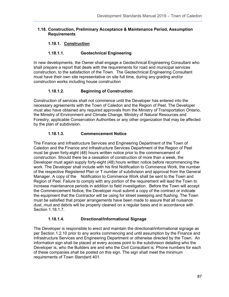### **1.18. Construction, Preliminary Acceptance & Maintenance Period, Assumption Requirements**

# **1.18.1. Construction**

## **1.18.1.1. Geotechnical Engineering**

In new developments, the Owner shall engage a Geotechnical Engineering Consultant who shall prepare a report that deals with the requirements for road and municipal services construction, to the satisfaction of the Town. The Geotechnical Engineering Consultant must have their own site representative on site full time, during any grading and/or construction works including house construction

# **1.18.1.2. Beginning of Construction**

Construction of services shall not commence until the Developer has entered into the necessary agreements with the Town of Caledon and the Region of Peel. The Developer must also have obtained any required approvals from the Ministry of Transportation Ontario, the Ministry of Environment and Climate Change, Ministry of Natural Resources and Forestry, applicable Conservation Authorities or any other organization that may be affected by the plan of subdivision.

## **1.18.1.3. Commencement Notice**

The Finance and Infrastructure Services and Engineering Department of the Town of Caledon and the Finance and Infrastructure Services Department of the Region of Peel must be given forty-eight (48) hours written notice prior to the commencement of construction. Should there be a cessation of construction of more than a week, the Developer must again supply forty-eight (48) hours written notice before recommencing the work. The Developer shall include with his first Notification to Commence Work, the number of the respective Registered Plan or T number of subdivision and approval from the General Manager. A copy of the Notification to Commence Work shall be sent to the Town and Region of Peel. Failure to comply with any portion of the requirement will lead the Town to increase maintenance periods in addition to field investigation. Before the Town will accept the Commencement Notice, the Developer must submit a copy of the contract or indicate the equipment that the Contractor will be using for street sweeping and flushing. The Town must be satisfied that proper arrangements have been made to assure that all nuisance dust, mud and debris will be properly cleaned on a regular basis and in accordance with Section 1.18.1.7.

## **1.18.1.4. Directional/Informational Signage**

The Developer is responsible to erect and maintain the directional/informational signage as per Section 1.2.10 prior to any works commencing and until assumption by the Finance and Infrastructure Services and Engineering Department or otherwise directed by the Town. An information sign shall be placed at every access point to the subdivision detailing who the Developer is, who the Builders are and who the Civil Consultant is. Phone numbers for each of these companies shall be posted on this sign. The sign shall meet the minimum requirements of Town Standard 401.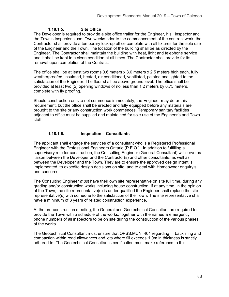## **1.18.1.5. Site Office**

The Developer is required to provide a site office trailer for the Engineer, his inspector and the Town's Inspector's use. Two weeks prior to the commencement of the contract work, the Contractor shall provide a temporary lock-up office complete with all fixtures for the sole use of the Engineer and the Town. The location of the building shall be as directed by the Engineer. The Contractor shall maintain the building with heat, light and telephone service and it shall be kept in a clean condition at all times. The Contractor shall provide for its removal upon completion of the Contract.

The office shall be at least two rooms 3.6 meters x 3.0 meters x 2.5 meters high each, fully weatherproofed, insulated, heated, air conditioned, ventilated, painted and lighted to the satisfaction of the Engineer. The floor shall be above ground level. The office shall be provided at least two (2) opening windows of no less than 1.2 meters by 0.75 meters, complete with fly proofing.

Should construction on site not commence immediately, the Engineer may defer this requirement, but the office shall be erected and fully equipped before any materials are brought to the site or any construction work commences. Temporary sanitary facilities adjacent to office must be supplied and maintained for sole use of the Engineer's and Town staff.

# **1.18.1.6. Inspection – Consultants**

The applicant shall engage the services of a consultant who is a Registered Professional Engineer with the Professional Engineers Ontario (P.E.O.). In addition to fulfilling a supervisory role for construction, the Consulting Engineer (General Consultant) will serve as liaison between the Developer and the Contractor(s) and other consultants, as well as between the Developer and the Town. They are to ensure the approved design intent is implemented, to expedite design decisions on site, and to deal with Homeowner enquiry's and concerns.

The Consulting Engineer *must* have their own site representative on site full time, during any grading and/or construction works including house construction. If at any time, in the opinion of the Town, the site representative(s) is under qualified the Engineer shall replace the site representative(s) with someone to the satisfaction of the Town. The site representative shall have a minimum of 3 years of related construction experience.

At the pre-construction meeting, the General and Geotechnical Consultant are required to provide the Town with a schedule of the works, together with the names & emergency phone numbers of all inspectors to be on site during the construction of the various phases of the works.

The Geotechnical Consultant must ensure that OPSS.MUNI 401 regarding backfilling and compaction within road allowances and lots where fill exceeds 1.0m in thickness is strictly adhered to. The Geotechnical Consultant's certification must make reference to this.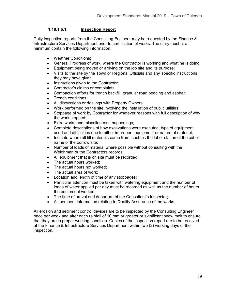# **1.18.1.6.1. Inspection Report**

Daily inspection reports from the Consulting Engineer may be requested by the Finance & Infrastructure Services Department prior to certification of works. The diary must at a minimum contain the following information:

- Weather Conditions;
- General Progress of work; where the Contractor is working and what he is doing;
- Equipment being moved or arriving on the job site and its purpose;
- Visits to the site by the Town or Regional Officials and any specific instructions they may have given;
- Instructions given to the Contractor;
- Contractor's claims or complaints;
- Compaction efforts for trench backfill, granular road bedding and asphalt;
- Trench conditions;
- All discussions or dealings with Property Owners;
- Work performed on the site involving the installation of public utilities;
- Stoppage of work by Contractor for whatever reasons with full description of why the work stopped;
- Extra works and miscellaneous happenings;
- Complete descriptions of how excavations were executed, type of equipment used and difficulties due to either improper equipment or nature of material;
- Indicate where all fill materials came from, such as the lot or station of the cut or name of the borrow site;
- Number of loads of material where possible without consulting with the Weighman or the Contractors records;
- All equipment that is on site must be recorded:
- The actual hours worked:
- The actual hours not worked:
- The actual area of work;
- Location and length of time of any stoppages;
- Particular attention must be taken with watering equipment and the number of loads of water applied per day must be recorded as well as the number of hours the equipment worked;
- The time of arrival and departure of the Consultant's Inspector;
- All pertinent information relating to Quality Assurance of the works.

All erosion and sediment control devices are to be inspected by the Consulting Engineer once per week and after each rainfall of 10 mm or greater or significant snow melt to ensure that they are in proper working condition. Copies of the inspection report are to be received at the Finance & Infrastructure Services Department within two (2) working days of the inspection.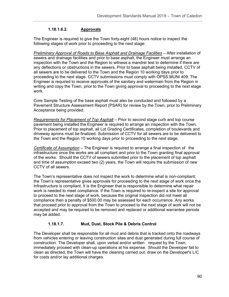# **1.18.1.6.2. Approvals**

The Engineer is required to give the Town forty-eight (48) hours notice to inspect the following stages of work prior to proceeding to the next stage:

*Preliminary Approval of Roads to Base Asphalt and Drainage Facilities* – After installation of sewers and drainage facilities and prior to base asphalt, the Engineer must arrange an inspection with the Town and the Region to witness a mandrel test to determine if there are any deflections or obstructions in the sewers. Prior to base asphalt being installed, CCTV of all sewers are to be delivered to the Town and the Region 10 working days prior to proceeding to the next stage. CCTV submissions must comply with OPSS.MUNI 409. The Engineer is required to receive approvals of the sanitary and watermain from the Region in writing and copy the Town, prior to the Town giving approval to proceeding to the next stage work.

Core Sample Testing of the base asphalt must also be conducted and followed by a Pavement Structure Assessment Report (PSAR) for review by the Town, prior to Preliminary Acceptance being provided.

*Requirements for Placement of Top Asphalt* – Prior to second stage curb and top course pavement being installed the Engineer is required to arrange an inspection with the Town. Prior to placement of top asphalt, all Lot Grading Certificates, completion of boulevards and driveway aprons must be finalized. Submission of CCTV for all sewers are to be delivered to the Town and the Region 10 working days prior to proceeding to the next stage.

*Certificate of Assumption* – The Engineer is required to arrange a final inspection of the infrastructure once the works are all compliant and prior to the Town granting final approval of the works. Should the CCTV of sewers submitted prior to the placement of top asphalt and time of assumption exceed two (2) years, the Town will require the submission of new CCTV of all sewers.

The Town's representative does not inspect the work to determine what is non-compliant; the Town's representative gives approvals for proceeding to the next stage of work once the Infrastructure is compliant. It is the Engineer that is responsible to determine what repair work is needed to meet compliance. If the Town is required to re-inspect a site for approval to proceed to the next stage of work, because the original inspection did not meet all compliance then a penalty of \$500.00 may be assessed for each occurrence. Any works that proceed prior to approval from the Town to proceed to the next stage of work will not be accepted and may be required to be removed and replaced or additional warrantee periods may be added.

## **1.18.1.7. Mud, Dust, Stock Pile & Debris Control**

The Developer shall be responsible for all mud and debris that is tracked onto the roadways from vehicles entering or leaving construction sites and dust generated during full course of construction. The Developer shall, upon verbal and/or written request by the Town, immediately proceed with clean-up operations at his expense. Should the Developer fail to clean as directed, the Town will have the cleaning carried out, draw on the Developer's L/C for costs and/or lay additional charges.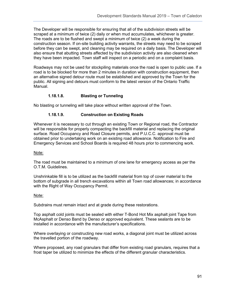The Developer will be responsible for ensuring that all of the subdivision streets will be scraped at a minimum of twice (2) daily or when mud accumulates, whichever is greater. The roads are to be flushed and swept a minimum of twice (2) a week during the construction season. If on-site building activity warrants, the streets may need to be scraped before they can be swept, and cleaning may be required on a daily basis. The Developer will also ensure that abutting streets affected by the subdivision activity are also cleaned when they have been impacted. Town staff will inspect on a periodic and on a complaint basis.

Roadways may not be used for stockpiling materials once the road is open to public use. If a road is to be blocked for more than 2 minutes in duration with construction equipment, then an alternative signed detour route must be established and approved by the Town for the public. All signing and detours must conform to the latest version of the Ontario Traffic Manual.

# **1.18.1.8. Blasting or Tunneling**

No blasting or tunneling will take place without written approval of the Town.

# **1.18.1.9. Construction on Existing Roads**

Whenever it is necessary to cut through an existing Town or Regional road, the Contractor will be responsible for properly compacting the backfill material and replacing the original surface. Road Occupancy and Road Closure permits, and P.U.C.C. approval must be obtained prior to undertaking work on an existing road allowance. Notification to Fire and Emergency Services and School Boards is required 48 hours prior to commencing work.

## Note:

The road must be maintained to a minimum of one lane for emergency access as per the O.T.M. Guidelines.

Unshrinkable fill is to be utilized as the backfill material from top of cover material to the bottom of subgrade in all trench excavations within all Town road allowances; in accordance with the Right of Way Occupancy Permit.

## Note:

Subdrains must remain intact and at grade during these restorations.

Top asphalt cold joints must be sealed with either T-Bond Hot Mix asphalt joint Tape from McAsphalt or Denso Band by Denso or approved equivalent. These sealants are to be installed in accordance with the manufacturer's specifications.

Where overlaying or constructing new road works, a diagonal joint must be utilized across the travelled portion of the roadway.

Where proposed, any road granulars that differ from existing road granulars, requires that a frost taper be utilized to minimize the effects of the different granular characteristics.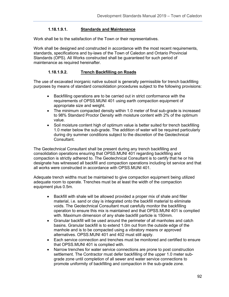## **1.18.1.9.1. Standards and Maintenance**

Work shall be to the satisfaction of the Town or their representatives.

Work shall be designed and constructed in accordance with the most recent requirements, standards, specifications and by-laws of the Town of Caledon and Ontario Provincial Standards (OPS). All Works constructed shall be guaranteed for such period of maintenance as required hereinafter.

## **1.18.1.9.2. Trench Backfilling on Roads**

The use of excavated inorganic native subsoil is generally permissible for trench backfilling purposes by means of standard consolidation procedures subject to the following provisions:

- Backfilling operations are to be carried out in strict conformance with the requirements of OPSS.MUNI 401 using earth compaction equipment of appropriate size and weight.
- The minimum compacted density within 1.0 meter of final sub-grade is increased to 98% Standard Proctor Density with moisture content with 2% of the optimum value.
- Soil moisture content high of optimum value is better suited for trench backfilling 1.0 meter below the sub-grade. The addition of water will be required particularly during dry summer conditions subject to the discretion of the Geotechnical Consultant.

The Geotechnical Consultant shall be present during any trench backfilling and consolidation operations ensuring that OPSS.MUNI 401 regarding backfilling and compaction is strictly adhered to. The Geotechnical Consultant is to certify that he or his designate has witnessed all backfill and compaction operations including lot service and that all works were constructed in accordance with OPSS.MUNI 401.

Adequate trench widths must be maintained to give compaction equipment being utilized adequate room to operate. Trenches must be at least the width of the compaction equipment plus 0.5m.

- Backfill with shale will be allowed provided a proper mix of shale and filler material, i.e. sand or clay is integrated onto the backfill material to eliminate voids. The Geotechnical Consultant must carefully monitor the backfilling operation to ensure this mix is maintained and that OPSS.MUNI 401 is complied with. Maximum dimension of any shale backfill particle is 150mm.
- Granular backfill will be used around the perimeter of all manholes and catch basins. Granular backfill is to extend 1.0m out from the outside edge of the manhole and is to be compacted using a vibratory means or approved alternatives. OPSS.MUNI 401 and 402 must still apply.
- Each service connection and trenches must be monitored and certified to ensure that OPSS.MUNI 401 is complied with.
- Narrow trenches for water service connections are prone to post construction settlement. The Contractor must defer backfilling of the upper 1.0 meter subgrade zone until completion of all sewer and water service connections to promote uniformity of backfilling and compaction in the sub-grade zone.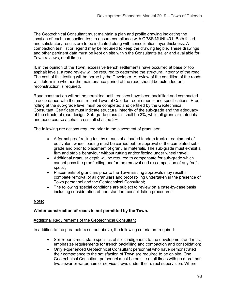The Geotechnical Consultant must maintain a plan and profile drawing indicating the location of each compaction test to ensure compliance with OPSS.MUNI 401. Both failed and satisfactory results are to be indicated along with consolidation layer thickness. A compaction test list or legend may be required to keep the drawing legible. These drawings and other pertinent data must be kept on site within the Consultants trailer and available for Town reviews, at all times.

If, in the opinion of the Town, excessive trench settlements have occurred at base or top asphalt levels, a road review will be required to determine the structural integrity of the road. The cost of this testing will be borne by the Developer. A review of the condition of the roads will determine whether the maintenance period of the road should be extended or if reconstruction is required.

Road construction will not be permitted until trenches have been backfilled and compacted in accordance with the most recent Town of Caledon requirements and specifications. Proof rolling at the sub-grade level must be completed and certified by the Geotechnical Consultant. Certificate must indicate structural integrity of the sub-grade and the adequacy of the structural road design. Sub-grade cross fall shall be 3%, while all granular materials and base course asphalt cross fall shall be 2%.

The following are actions required prior to the placement of granulars:

- A formal proof rolling test by means of a loaded tandem truck or equipment of equivalent wheel loading must be carried out for approval of the completed subgrade and prior to placement of granular materials. The sub-grade must exhibit a firm and stable behaviour without rutting and/or flexing under wheel travel;
- Additional granular depth will be required to compensate for sub-grade which cannot pass the proof rolling and/or the removal and re-compaction of any "soft spots";
- Placements of granulars prior to the Town issuing approvals may result in complete removal of all granulars and proof rolling undertaken in the presence of Town personnel and the Geotechnical Consultant;
- The following special conditions are subject to review on a case-by-case basis including consideration of non-standard consolidation procedures.

### **Note:**

### **Winter construction of roads is not permitted by the Town.**

#### Additional Requirements of the Geotechnical Consultant

In addition to the parameters set out above, the following criteria are required:

- Soil reports must state specifics of soils indigenous to the development and must emphasize requirements for trench backfilling and compaction and consolidation;
- Only experienced Geotechnical Consultant personnel who have demonstrated their competence to the satisfaction of Town are required to be on site. One Geotechnical Consultant personnel must be on site at all times with no more than two sewer or watermain or service crews under their direct supervision. Where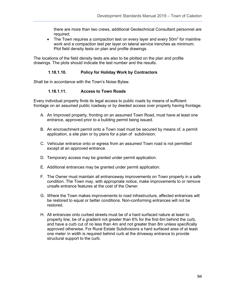there are more than two crews, additional Geotechnical Consultant personnel are required;

• The Town requires a compaction test on every layer and every  $50m^2$  for mainline work and a compaction test per layer on lateral service trenches as minimum. Plot field density tests on plan and profile drawings.

The locations of the field density tests are also to be plotted on the plan and profile drawings. The plots should indicate the test number and the results.

### **1.18.1.10. Policy for Holiday Work by Contractors**

Shall be in accordance with the Town's Noise Bylaw.

### **1.18.1.11. Access to Town Roads**

Every individual property finds its legal access to public roads by means of sufficient frontage on an assumed public roadway or by deeded access over property having frontage.

- A. An Improved property, fronting on an assumed Town Road, must have at least one entrance, approved prior to a building permit being issued.
- B. An encroachment permit onto a Town road must be secured by means of, a permit application, a site plan or by plans for a plan of subdivision.
- C. Vehicular entrance onto or egress from an assumed Town road is not permitted except at an approved entrance.
- D. Temporary access may be granted under permit application.
- E. Additional entrances may be granted under permit application.
- F. The Owner must maintain all entranceway improvements on Town property in a safe condition. The Town may, with appropriate notice, make improvements to or remove unsafe entrance features at the cost of the Owner.
- G. Where the Town makes improvements to road infrastructure, affected entrances will be restored to equal or better conditions. Non-conforming entrances will not be restored.
- H. All entrances onto curbed streets must be of a hard surfaced nature at least to property line, be of a gradient not greater than 6% for the first 6m behind the curb, and have a curb cut of no less than 4m and not greater than 8m unless specifically approved otherwise. For Rural Estate Subdivisions a hard surfaced area of at least one meter in width is required behind curb at the driveway entrance to provide structural support to the curb.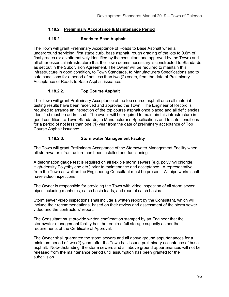# **1.18.2. Preliminary Acceptance & Maintenance Period**

## **1.18.2.1. Roads to Base Asphalt**

The Town will grant Preliminary Acceptance of Roads to Base Asphalt when all underground servicing, first stage curb, base asphalt, rough grading of the lots to 0.6m of final grades (or as alternatively identified by the consultant and approved by the Town) and all other essential infrastructure that the Town deems necessary is constructed to Standards as set out in the Subdivision Agreement. The Owner will be required to maintain this infrastructure in good condition, to Town Standards, to Manufacturers Specifications and to safe conditions for a period of not less than two (2) years, from the date of Preliminary Acceptance of Roads to Base Asphalt issuance.

# **1.18.2.2. Top Course Asphalt**

The Town will grant Preliminary Acceptance of the top course asphalt once all material testing results have been received and approved the Town. The Engineer of Record is required to arrange an inspection of the top course asphalt once placed and all deficiencies identified must be addressed. The owner will be required to maintain this infrastructure in good condition, to Town Standards, to Manufacturer's Specifications and to safe conditions for a period of not less than one (1) year from the date of preliminary acceptance of Top Course Asphalt issuance.

## **1.18.2.3. Stormwater Management Facility**

The Town will grant Preliminary Acceptance of the Stormwater Management Facility when all stormwater infrastructure has been installed and functioning.

A deformation gauge test is required on all flexible storm sewers (e.g. polyvinyl chloride, High-density Polyethylene etc.) prior to maintenance and acceptance. A representative from the Town as well as the Engineering Consultant must be present. All pipe works shall have video inspections.

The Owner is responsible for providing the Town with video inspection of all storm sewer pipes including manholes, catch basin leads, and rear lot catch basins.

Storm sewer video inspections shall include a written report by the Consultant, which will include their recommendations, based on their review and assessment of the storm sewer video and the contractors' report.

The Consultant must provide written confirmation stamped by an Engineer that the stormwater management facility has the required full storage capacity as per the requirements of the Certificate of Approval.

The Owner shall guarantee the storm sewers and all above ground appurtenances for a minimum period of two (2) years after the Town has issued preliminary acceptance of base asphalt. Notwithstanding, the storm sewers and all above ground appurtenances will not be released from the maintenance period until assumption has been granted for the subdivision.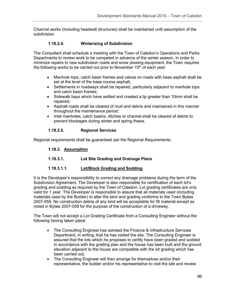Channel works (including headwall structures) shall be maintained until assumption of the subdivision.

# **1.18.2.4. Winterizing of Subdivision**

The Consultant shall schedule a meeting with the Town of Caledon's Operations and Parks Departments to review work to be competed in advance of the winter season. In order to minimize repairs to new subdivision roads and snow plowing equipment, the Town requires the following works to be carried out prior to November  $15<sup>th</sup>$  of each year:

- Manhole tops, catch basin frames and valves on roads with base asphalt shall be set at the level of the base course asphalt;
- Settlements in roadways shall be repaired, particularly adjacent to manhole tops and catch basin frames;
- Sidewalk bays which have settled and created a lip greater than 10mm shall be repaired;
- Asphalt roads shall be cleared of mud and debris and maintained in this manner throughout the maintenance period;
- Inlet manholes, catch basins, ditches or channel shall be cleared of debris to prevent blockages during winter and spring thaws.

## **1.18.2.5. Regional Services**

Regional requirements shall be guaranteed per the Regional Requirements.

## **1.18.3. Assumption**

**1.18.3.1. Lot Site Grading and Drainage Plans** 

## **1.18.3.1.1. Lot/Block Grading and Sodding**

It is the Developer's responsibility to correct any drainage problems during the term of the Subdivision Agreement. The Developer is also responsible for certification of each lot's grading and sodding as required by the Town of Caledon. Lot grading certificates are only valid for 1 year. The Developer is responsible to assure that all materials used (including materials used by the Builder) to alter the land and grading conforms to the Town Bylaw 2007-059. No construction debris of any kind will be acceptable for fill material except as noted in Bylaw 2007-059 for the purpose of the construction of a driveway.

The Town will not accept a Lot Grading Certificate from a Consulting Engineer without the following having taken place:

- The Consulting Engineer has advised the Finance & Infrastructure Services Department, in writing, that he has visited the site. The Consulting Engineer is assured that the lots which he proposes to certify have been graded and sodded in accordance with the grading plan and the house has been built and the ground elevation adjacent to the house are compatible with the lot grading which has been carried out;
- The Consulting Engineer will then arrange for themselves and/or their representative, the builder and/or his representative to visit the site and review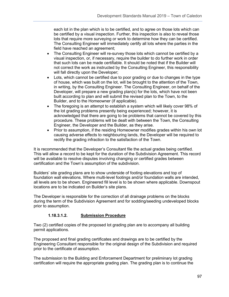each lot in the plan which is to be certified, and to agree on those lots which can be certified by a visual inspection. Further, this inspection is also to reveal those lots that require more surveying or work to determine how they can be certified. The Consulting Engineer will immediately certify all lots where the parties in the field have reached an agreement;

- The Consulting Engineer will re-survey those lots which cannot be certified by a visual inspection, or, if necessary, require the builder to do further work in order that such lots can be made certifiable. It should be noted that if the Builder will not correct the work as instructed by the Consulting Engineer, this responsibility will fall directly upon the Developer;
- Lots, which cannot be certified due to poor grading or due to changes in the type of house, which was built on the lot, will be brought to the attention of the Town, in writing, by the Consulting Engineer. The Consulting Engineer, on behalf of the Developer, will prepare a new grading plan(s) for the lots, which have not been built according to plan and will submit the revised plan to the Town, to the Builder, and to the Homeowner (if applicable).
- The foregoing is an attempt to establish a system which will likely cover 98% of the lot grading problems presently being experienced; however, it is acknowledged that there are going to be problems that cannot be covered by this procedure. These problems will be dealt with between the Town, the Consulting Engineer, the Developer and the Builder, as they arise.
- Prior to assumption, if the residing Homeowner modifies grades within his own lot causing adverse effects to neighbouring lands, the Developer will be required to rectify the grading infraction to the satisfaction of the Town.

It is recommended that the Developer's Consultant file the actual grades being certified. This will allow a record to be kept for the duration of the Subdivision Agreement. This record will be available to resolve disputes involving changing or certified grades between certification and the Town's assumption of the subdivision.

Builders' site grading plans are to show underside of footing elevations and top of foundation wall elevations. Where multi-level footings and/or foundation walls are intended, all levels are to be shown. Engineered fill level is to be shown where applicable. Downspout locations are to be indicated on Builder's site plans.

The Developer is responsible for the correction of all drainage problems on the blocks during the term of the Subdivision Agreement and for sodding/seeding undeveloped blocks prior to assumption.

# **1.18.3.1.2. Submission Procedure**

Two (2) certified copies of the proposed lot grading plan are to accompany all building permit applications.

The proposed and final grading certificates and drawings are to be certified by the Engineering Consultant responsible for the original design of the Subdivision and required prior to the certificate of assumption.

The submission to the Building and Enforcement Department for preliminary lot grading certification will require the appropriate grading plan. The grading plan is to continue the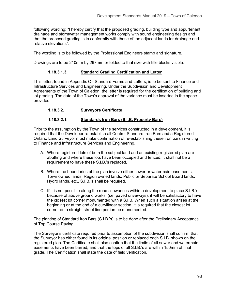following wording: "I hereby certify that the proposed grading, building type and appurtenant drainage and stormwater management works comply with sound engineering design and that the proposed grading is in conformity with those of the adjacent lands for drainage and relative elevations".

The wording is to be followed by the Professional Engineers stamp and signature.

Drawings are to be 210mm by 297mm or folded to that size with title blocks visible.

## **1.18.3.1.3. Standard Grading Certification and Letter**

This letter, found in Appendix C - Standard Forms and Letters, is to be sent to Finance and Infrastructure Services and Engineering. Under the Subdivision and Development Agreements of the Town of Caledon, the letter is required for the certification of building and lot grading. The date of the Town's approval of the variance must be inserted in the space provided.

## **1.18.3.2. Surveyors Certificate**

## **1.18.3.2.1. Standards Iron Bars (S.I.B. Property Bars)**

Prior to the assumption by the Town of the services constructed in a development, it is required that the Developer re-establish all Control Standard Iron Bars and a Registered Ontario Land Surveyor must make confirmation of re-establishing these iron bars in writing to Finance and Infrastructure Services and Engineering.

- A. Where registered lots of both the subject land and an existing registered plan are abutting and where these lots have been occupied and fenced, it shall not be a requirement to have these S.I.B.'s replaced.
- B. Where the boundaries of the plan involve either sewer or watermain easements, Town owned lands, Region owned lands, Public or Separate School Board lands, Hydro lands, etc., S.I.B.'s shall be required.
- C. If it is not possible along the road allowances within a development to place S.I.B.'s, because of above ground works, (i.e. paved driveways), it will be satisfactory to have the closest lot corner monumented with a S.I.B. When such a situation arises at the beginning or at the end of a curvilinear section, it is required that the closest lot corner on a straight street line portion be monumented.

The planting of Standard Iron Bars (S.I.B.'s) is to be done after the Preliminary Acceptance of Top Course Paving.

The Surveyor's certificate required prior to assumption of the subdivision shall confirm that the Surveyor has either found in its original position or replaced each S.I.B. shown on the registered plan. The Certificate shall also confirm that the limits of all sewer and watermain easements have been barred, and that the tops of all S.I.B.'s are within 150mm of final grade. The Certification shall state the date of field verification.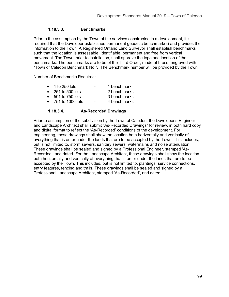# **1.18.3.3. Benchmarks**

Prior to the assumption by the Town of the services constructed in a development, it is required that the Developer establishes permanent geodetic benchmark(s) and provides the information to the Town. A Registered Ontario Land Surveyor shall establish benchmarks such that the location is assessable, identifiable, permanent and free from vertical movement. The Town, prior to installation, shall approve the type and location of the benchmarks. The benchmarks are to be of the Third Order, made of brass, engraved with "Town of Caledon Benchmark No.". The Benchmark number will be provided by the Town.

Number of Benchmarks Required:

- 1 to 250 lots 1 benchmark
- 251 to 500 lots 2 benchmarks
- 501 to 750 lots 3 benchmarks
- 751 to 1000 lots 4 benchmarks

### **1.18.3.4. As-Recorded Drawings**

Prior to assumption of the subdivision by the Town of Caledon, the Developer's Engineer and Landscape Architect shall submit "As-Recorded Drawings" for review, in both hard copy and digital format to reflect the 'As-Recorded' conditions of the development. For engineering, these drawings shall show the location both horizontally and vertically of everything that is on or under the lands that are to be accepted by the Town. This includes, but is not limited to, storm sewers, sanitary sewers, watermains and noise attenuation. These drawings shall be sealed and signed by a Professional Engineer, stamped 'As-Recorded', and dated. For the Landscape Architect, these drawings shall show the location both horizontally and vertically of everything that is on or under the lands that are to be accepted by the Town. This includes, but is not limited to, plantings, service connections, entry features, fencing and trails. These drawings shall be sealed and signed by a Professional Landscape Architect, stamped 'As-Recorded', and dated.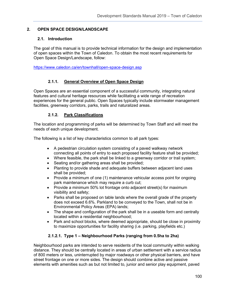## **2. OPEN SPACE DESIGN/LANDSCAPE**

### **2.1. Introduction**

The goal of this manual is to provide technical information for the design and implementation of open spaces within the Town of Caledon. To obtain the most recent requirements for Open Space Design/Landscape, follow:

<https://www.caledon.ca/en/townhall/open-space-design.asp>

## **2.1.1. General Overview of Open Space Design**

Open Spaces are an essential component of a successful community, integrating natural features and cultural heritage resources while facilitating a wide range of recreation experiences for the general public. Open Spaces typically include stormwater management facilities, greenway corridors, parks, trails and naturalized areas.

## **2.1.2. Park Classifications**

The location and programming of parks will be determined by Town Staff and will meet the needs of each unique development.

The following is a list of key characteristics common to all park types:

- A pedestrian circulation system consisting of a paved walkway network connecting all points of entry to each proposed facility feature shall be provided;
- Where feasible, the park shall be linked to a greenway corridor or trail system;
- Seating and/or gathering areas shall be provided;
- Planting to provide shade and adequate buffers between adjacent land uses shall be provided;
- Provide a minimum of one (1) maintenance vehicular access point for ongoing park maintenance which may require a curb cut;
- Provide a minimum 50% lot frontage onto adjacent street(s) for maximum visibility and safety;
- Parks shall be proposed on table lands where the overall grade of the property does not exceed 6.6%. Parkland to be conveyed to the Town, shall not be in Environmental Policy Areas (EPA) lands;
- The shape and configuration of the park shall be in a useable form and centrally located within a residential neighbourhood;
- Park and school blocks, where deemed appropriate, should be close in proximity to maximize opportunities for facility sharing (i.e. parking, playfields etc.)

## **2.1.2.1. Type 1 – Neighbourhood Parks (ranging from 0.5ha to 2ha)**

Neighbourhood parks are intended to serve residents of the local community within walking distance. They should be centrally located in areas of urban settlement with a service radius of 800 meters or less, uninterrupted by major roadways or other physical barriers, and have street frontage on one or more sides. The design should combine active and passive elements with amenities such as but not limited to, junior and senior play equipment, paved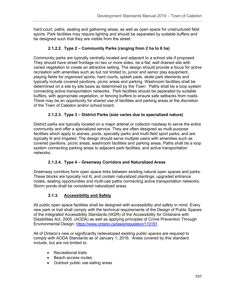hard court, paths, seating and gathering areas, as well as open space for unstructured field sports. Park facilities may require lighting and should be separated by suitable buffers and be designed such that they are visible from the street.

# **2.1.2.2. Type 2 – Community Parks (ranging from 2 ha to 6 ha)**

Community parks are typically centrally located and adjacent to a school site if proposed. They should have street frontage on two or more sides, be a flat, well drained site with varied vegetation to create an attractive setting. The design should provide a focus for active recreation with amenities such as but not limited to, junior and senior play equipment, playing fields for organized sports, hard courts, splash pads, skate park elements and typically include covered pavilions, picnic areas and parking. Washroom facilities shall be determined on a site by site basis as determined by the Town. Paths shall be a loop system connecting active transportation networks. Park facilities should be separated by suitable buffers, with appropriate vegetation, or fencing buffers to ensure safe setbacks from roads. There may be an opportunity for shared use of facilities and parking areas at the discretion of the Town of Caledon and/or school board.

# **2.1.2.3. Type 3 – District Parks (size varies due to specialized nature)**

District parks are typically located on a major arterial or collector roadway to serve the entire community and offer a specialized service. They are often designed as multi-purpose facilities which apply to arenas, pools, specialty parks and multi-field sport parks, and are typically lit and irrigated. The design should serve multiple users with amenities such as covered pavilions, picnic areas, washroom facilities and parking areas. Paths shall be a loop system connecting parking areas to adjacent park facilities, and active transportation networks.

# **2.1.2.4. Type 4 – Greenway Corridors and Naturalized Areas**

Greenway corridors form open space links between existing natural open spaces and parks. These blocks are typically not lit, and contain naturalized plantings, upgraded entrance nodes, seating opportunities and multi-use paths connecting active transportation networks. Storm ponds shall be considered naturalized areas.

# **2.1.3. Accessibility and Safety**

All public open space facilities shall be designed with accessibility and safety in mind. Every new park or trail shall comply with the technical requirements of the Design of Public Spaces of the Integrated Accessibility Standards (IASR) of the Accessibility for Ontarians with Disabilities Act, 2005. (AODA) as well as applying principles of Crime Prevention Through Environmental Design. <https://www.ontario.ca/laws/regulation/110191>

All of Ontario's new or significantly redeveloped existing public spaces are required to comply with AODA Standards as of January 1, 2016. Areas covered by this standard include, but are not limited to:

- Recreational trails
- Beach access routes
- Outdoor public use eating areas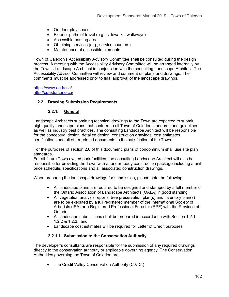- Outdoor play spaces
- Exterior paths of travel (e.g., sidewalks, walkways)
- Accessible parking area
- Obtaining services (e.g., service counters)
- Maintenance of accessible elements

Town of Caledon's Accessibility Advisory Committee shall be consulted during the design process. A meeting with the Accessibility Advisory Committee will be arranged internally by the Town's Landscape Architect in conjunction with the consulting Landscape Architect. The Accessibility Advisor Committee will review and comment on plans and drawings. Their comments must be addressed prior to final approval of the landscape drawings.

<https://www.aoda.ca/> <http://cptedontario.ca/>

### **2.2. Drawing Submission Requirements**

### **2.2.1. General**

Landscape Architects submitting technical drawings to the Town are expected to submit high quality landscape plans that conform to all Town of Caledon standards and guidelines, as well as industry best practices. The consulting Landscape Architect will be responsible for the conceptual design, detailed design, construction drawings, cost estimates, certifications and all other related documents to the satisfaction of the Town.

For the purposes of section 2.0 of this document, plans of condominium shall use site plan standards.

For all future Town owned park facilities, the consulting Landscape Architect will also be responsible for providing the Town with a tender ready construction package including a unit price schedule, specifications and all associated construction drawings.

When preparing the landscape drawings for submission, please note the following:

- All landscape plans are required to be designed and stamped by a full member of the Ontario Association of Landscape Architects (OALA) in good standing;
- All vegetation analysis reports, tree preservation plan(s) and inventory plan(s) are to be executed by a full registered member of the International Society of Arborists (ISA) or a Registered Professional Forester (RPF) with the Province of Ontario;
- All landscape submissions shall be prepared in accordance with Section 1.2.1, 1.2.2 & 1.2.3.; and
- Landscape cost estimates will be required for Letter of Credit purposes.

### **2.2.1.1. Submission to the Conservation Authority**

The developer's consultants are responsible for the submission of any required drawings directly to the conservation authority or applicable governing agency. The Conservation Authorities governing the Town of Caledon are:

• The Credit Valley Conservation Authority (C.V.C.)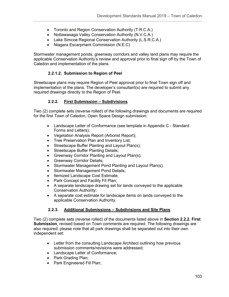- Toronto and Region Conservation Authority (T.R.C.A.)
- Nottawasaga Valley Conservation Authority (N.V.C.A.)
- Lake Simcoe Regional Conservation Authority (L.S.R.C.A.)
- Niagara Escarpment Commission (N.E.C)

Stormwater management ponds, greenway corridors and valley land plans may require the applicable Conservation Authority's review and approval prior to final sign off by the Town of Caledon and implementation of the plans.

### **2.2.1.2. Submission to Region of Peel**

Streetscape plans may require Region of Peel approval prior to final Town sign off and implementation of the plans. The developer's consultant(s) are required to submit any required drawings directly to the Region of Peel.

### **2.2.2. First Submission – Subdivisions**

Two (2) complete sets (reverse rolled) of the following drawings and documents are required for the first Town of Caledon, Open Space Design submission:

- Landscape Letter of Conformance (see template in Appendix C Standard Forms and Letters);
- Vegetation Analysis Report (Arborist Report);
- Tree Preservation Plan and Inventory List;
- Streetscape Buffer Planting and Layout Plan(s);
- Streetscape Buffer Planting Details;
- Greenway Corridor Planting and Layout Plan(s);
- Greenway Corridor Details;
- Stormwater Management Pond Planting and Layout Plan(s);
- Stormwater Management Pond Details;
- Itemized Landscape Cost Estimate;
- Park Concept and Facility Fit Plan;
- A separate landscape drawing set for lands conveyed to the applicable Conservation Authority;
- A separate cost estimate for landscape items on lands conveyed to the applicable Conservation Authority.

### **2.2.3. Additional Submissions – Subdivisions and Site Plans**

Two (2) complete sets (reverse rolled) of the documents listed above in **Section 2.2.2. First Submission**, revised based on Town comments are required. The following drawings are also required; please note that all park drawings shall be separated out into their own independent set:

- Letter from the consulting Landscape Architect outlining how previous submission comments/revisions were addressed;
- Landscape Letter of Conformance;
- Park Grading Plan;
- Park Engineered Fill Plan;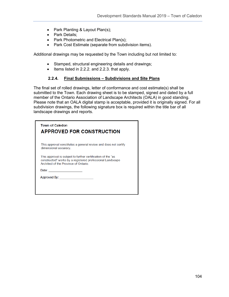- Park Planting & Layout Plan(s);
- Park Details;
- Park Photometric and Electrical Plan(s);
- Park Cost Estimate (separate from subdivision items).

Additional drawings may be requested by the Town including but not limited to:

- Stamped, structural engineering details and drawings;
- Items listed in 2.2.2. and 2.2.3. that apply.

### **2.2.4. Final Submissions – Subdivisions and Site Plans**

The final set of rolled drawings, letter of conformance and cost estimate(s) shall be submitted to the Town. Each drawing sheet is to be stamped, signed and dated by a full member of the Ontario Association of Landscape Architects (OALA) in good standing. Please note that an OALA digital stamp is acceptable, provided it is originally signed. For all subdivision drawings, the following signature box is required within the title bar of all landscape drawings and reports.

| This approval constitutes a general review and does not certify<br>dimensional accuracy.<br>This approval is subject to further certification of the "as<br>constructed" works by a registered professional Landscape<br>Architect of the Province of Ontario<br>Date: <u>____________</u><br>Approved By: Approved By: | <b>Town of Caledon</b><br><b>APPROVED FOR CONSTRUCTION</b> |
|-------------------------------------------------------------------------------------------------------------------------------------------------------------------------------------------------------------------------------------------------------------------------------------------------------------------------|------------------------------------------------------------|
|                                                                                                                                                                                                                                                                                                                         |                                                            |
|                                                                                                                                                                                                                                                                                                                         |                                                            |
|                                                                                                                                                                                                                                                                                                                         |                                                            |
|                                                                                                                                                                                                                                                                                                                         |                                                            |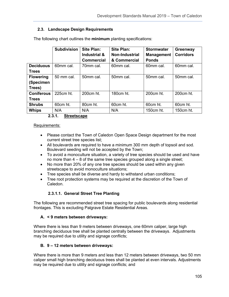## **2.3. Landscape Design Requirements**

|                   | <b>Subdivision</b> | <b>Site Plan:</b> | Site Plan:            | <b>Stormwater</b> | Greenway         |
|-------------------|--------------------|-------------------|-----------------------|-------------------|------------------|
|                   |                    | Industrial &      | <b>Non-Industrial</b> | <b>Management</b> | <b>Corridors</b> |
|                   |                    | <b>Commercial</b> | & Commercial          | <b>Ponds</b>      |                  |
| <b>Deciduous</b>  | 60mm cal.          | 70mm cal.         | 60mm cal.             | 60mm cal.         | 60mm cal.        |
| <b>Trees</b>      |                    |                   |                       |                   |                  |
| <b>Flowering</b>  | 50 mm cal.         | 50mm cal.         | 50mm cal.             | 50mm cal.         | 50mm cal.        |
| (Specimen         |                    |                   |                       |                   |                  |
| Trees)            |                    |                   |                       |                   |                  |
| <b>Coniferous</b> | 225cm ht.          | 200cm ht.         | 180cm ht.             | 200cm ht.         | 200cm ht.        |
| <b>Trees</b>      |                    |                   |                       |                   |                  |
| <b>Shrubs</b>     | 60cm ht.           | 80cm ht.          | 60cm ht.              | 60cm ht.          | 60cm ht.         |
| <b>Whips</b>      | N/A                | N/A               | N/A                   | 150cm ht.         | 150cm ht.        |

The following chart outlines the **minimum** planting specifications:

**2.3.1. Streetscape**

#### Requirements:

- Please contact the Town of Caledon Open Space Design department for the most current street tree species list;
- All boulevards are required to have a minimum 300 mm depth of topsoil and sod. Boulevard seeding will not be accepted by the Town;
- To avoid a monoculture situation, a variety of tree species should be used and have no more than 4 – 8 of the same tree species grouped along a single street;
- No more than 20% of any one tree species should be used within any given streetscape to avoid monoculture situations;
- Tree species shall be diverse and hardy to withstand urban conditions;
- Tree root protection systems may be required at the discretion of the Town of Caledon.

### **2.3.1.1. General Street Tree Planting**

The following are recommended street tree spacing for public boulevards along residential frontages. This is excluding Palgrave Estate Residential Areas.

### **A. < 9 meters between driveways:**

Where there is less than 9 meters between driveways, one 60mm caliper, large high branching deciduous tree shall be planted centrally between the driveways. Adjustments may be required due to utility and signage conflicts;

### **B. 9 – 12 meters between driveways:**

Where there is more than 9 meters and less than 12 meters between driveways, two 50 mm caliper small high branching deciduous trees shall be planted at even intervals. Adjustments may be required due to utility and signage conflicts; and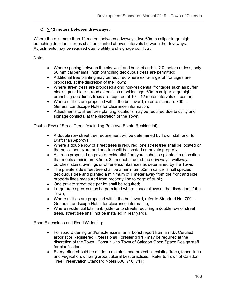# **C. > 12 meters between driveways:**

Where there is more than 12 meters between driveways, two 60mm caliper large high branching deciduous trees shall be planted at even intervals between the driveways. Adjustments may be required due to utility and signage conflicts.

### Note:

- Where spacing between the sidewalk and back of curb is 2.0 meters or less, only 50 mm caliper small high branching deciduous trees are permitted;
- Additional tree planting may be required where extra-large lot frontages are proposed, at the discretion of the Town;
- Where street trees are proposed along non-residential frontages such as buffer blocks, park blocks, road extensions or widenings; 60mm caliper large high branching deciduous trees are required at 10 – 12 meter intervals on center;
- Where utilities are proposed within the boulevard, refer to standard 700 General Landscape Notes for clearance information;
- Adjustments to street tree planting locations may be required due to utility and signage conflicts, at the discretion of the Town.

### Double Row of Street Trees (excluding Palgrave Estate Residential):

- A double row street tree requirement will be determined by Town staff prior to Draft Plan Approval;
- Where a double row of street trees is required, one street tree shall be located on the public boulevard and one tree will be located on private property;
- All trees proposed on private residential front yards shall be planted in a location that meets a minimum 3.5m x 3.5m unobstructed- no driveways, walkways, porches, stairs, awnings or other encumbrances as determined by the Town;
- The private side street tree shall be a minimum 50mm caliper small species deciduous tree and planted a minimum of 1 meter away from the front and side property lines measured from property line to edge of trunk;
- One private street tree per lot shall be required;
- Larger tree species may be permitted where space allows at the discretion of the Town;
- Where utilities are proposed within the boulevard, refer to Standard No.  $700 -$ General Landscape Notes for clearance information;
- Where residential lots flank (side) onto streets requiring a double row of street trees, street tree shall not be installed in rear yards.

### Road Extensions and Road Widening:

- For road widening and/or extensions, an arborist report from an ISA Certified arborist or Registered Professional Forester (RPF) may be required at the discretion of the Town. Consult with Town of Caledon Open Space Design staff for clarification;
- Every effort should be made to maintain and protect all existing trees, fence lines and vegetation, utilizing arboricultural best practices. Refer to Town of Caledon Tree Preservation Standard Notes 606, 710, 711;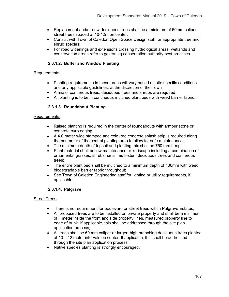- Replacement and/or new deciduous trees shall be a minimum of 60mm caliper street trees spaced at 10-12m on center;
- Consult with Town of Caledon Open Space Design staff for appropriate tree and shrub species;
- For road widenings and extensions crossing hydrological areas, wetlands and conservation areas refer to governing conservation authority best practices.

## **2.3.1.2. Buffer and Window Planting**

### Requirements:

- Planting requirements in these areas will vary based on site specific conditions and any applicable guidelines, at the discretion of the Town
- A mix of coniferous trees, deciduous trees and shrubs are required.
- All planting is to be in continuous mulched plant beds with weed barrier fabric.

## **2.3.1.3. Roundabout Planting**

### Requirements:

- Raised planting is required in the center of roundabouts with armour stone or concrete curb edging;
- A 4.0 meter wide stamped and coloured concrete splash strip is required along the perimeter of the central planting area to allow for safe maintenance;
- The minimum depth of topsoil and planting mix shall be 750 mm deep;
- Plant material shall be low maintenance or xeriscape including a combination of ornamental grasses, shrubs, small multi-stem deciduous trees and coniferous trees;
- The entire plant bed shall be mulched to a minimum depth of 100mm with weed biodegradable barrier fabric throughout;
- See Town of Caledon Engineering staff for lighting or utility requirements, if applicable.

## **2.3.1.4. Palgrave**

### Street Trees:

- There is no requirement for boulevard or street trees within Palgrave Estates;
- All proposed trees are to be installed on private property and shall be a minimum of 1 meter inside the front and side property lines, measured property line to edge of trunk. If applicable, this shall be addressed through the site plan application process;
- All trees shall be 60 mm caliper or larger, high branching deciduous trees planted at 10 – 12 meter intervals on center. If applicable, this shall be addressed through the site plan application process;
- Native species planting is strongly encouraged.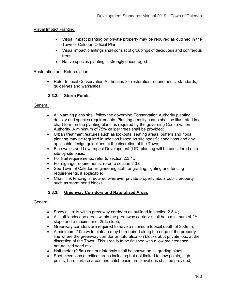## Visual Impact Planting:

- Visual impact planting on private property may be required as outlined in the Town of Caledon Official Plan;
- Visual impact plantings shall consist of groupings of deciduous and coniferous trees;
- Native species planting is strongly encouraged.

### Restoration and Reforestation:

• Refer to local Conservation Authorities for restoration requirements, standards, guidelines and warranties.

## **2.3.2. Storm Ponds**

### General:

- All planting plans shall follow the governing Conservation Authority planting density and species requirements. Planting density charts shall be illustrated in a chart form on the planting plans as required by the governing Conservation Authority. A minimum of 75% caliper trees shall be provided;
- Urban treatment features such as lookouts, seating areas, buffers and nodal planting may be required in addition based on site specific conditions and any applicable design guidelines at the discretion of the Town;
- Bio-swales and Low Impact Development (LID) planting will be considered on a site by site basis;
- For trail requirements, refer to section 2.3.4.;
- For signage requirements, refer to section 2.3.6.;
- See Town of Caledon Engineering staff for grading, lighting and fencing requirements, if applicable;
- Chain link fencing is required wherever private property abuts public property such as storm pond blocks.

## **2.3.3. Greenway Corridors and Naturalized Areas**

### General:

- Show all trails within greenway corridors as outlined in section 2.3.4.;
- All soft landscape areas within the greenway corridor shall be a minimum of 2% slope and a maximum of 25% slope;
- Greenway corridors are required to have a minimum topsoil depth of 300mm;
- A minimum 2.0m wide plateau may be required along the edge of the property line where the greenway corridor or naturalization blocks abut private lots, at the discretion of the Town. This area is to be finished with a low maintenance, naturalized seed mix;
- Half meter (0.5m) contour intervals shall be shown on all grading plans;
- Spot elevations at critical areas including but not limited to, low points, high points, hard surface areas and catch basin rim elevations shall be provided;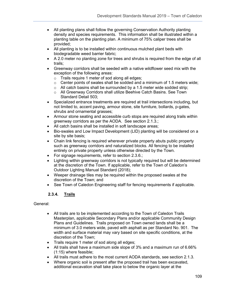- All planting plans shall follow the governing Conservation Authority planting density and species requirements. This information shall be illustrated within a planting table on the planting plan. A minimum of 75% caliper trees shall be provided;
- All planting is to be installed within continuous mulched plant beds with biodegradable weed barrier fabric;
- A 2.0 meter no planting zone for trees and shrubs is required from the edge of all trails;
- Greenway corridors shall be seeded with a native wildflower seed mix with the exception of the following areas:
	- o Trails require 1 meter of sod along all edges;
	- o Center points of swales shall be sodded and a minimum of 1.5 meters wide;
	- $\circ$  All catch basins shall be surrounded by a 1.5 meter wide sodded strip;
	- o All Greenway Corridors shall utilize Beehive Catch Basins. See Town Standard Detail 503;
- Specialized entrance treatments are required at trail intersections including, but not limited to, accent paving, armour stone, site furniture, bollards, p-gates, shrubs and ornamental grasses;
- Armour stone seating and accessible curb stops are required along trails within greenway corridors as per the AODA. See section 2.1.3.;
- All catch basins shall be installed in soft landscape areas;
- Bio-swales and Low Impact Development (LID) planting will be considered on a site by site basis;
- Chain link fencing is required wherever private property abuts public property such as greenway corridors and naturalized blocks. All fencing to be installed entirely on private property unless otherwise directed by the Town.
- For signage requirements, refer to section 2.3.6.;
- Lighting within greenway corridors is not typically required but will be determined at the discretion of the Town. If applicable, refer to the Town of Caledon's Outdoor Lighting Manual Standard (2018);
- Weeper drainage tiles may be required within the proposed swales at the discretion of the Town; and
- See Town of Caledon Engineering staff for fencing requirements if applicable.

# **2.3.4. Trails**

- All trails are to be implemented according to the Town of Caledon Trails Masterplan, applicable Secondary Plans and/or applicable Community Design Plans and Guidelines. Trails proposed on Town owned lands shall be a minimum of 3.0 meters wide, paved with asphalt as per Standard No. 901. The width and surface material may vary based on site specific conditions, at the discretion of the Town;
- Trails require 1 meter of sod along all edges;
- All trails shall have a maximum side slope of 3% and a maximum run of 6.66% (1:15) where feasible;
- All trails must adhere to the most current AODA standards, see section 2.1.3.
- Where organic soil is present after the proposed trail has been excavated, additional excavation shall take place to below the organic layer at the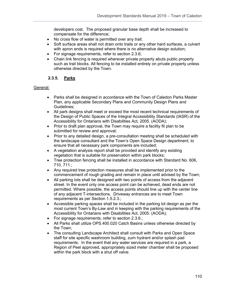developers cost. The proposed granular base depth shall be increased to compensate for the difference;

- No cross flow of water is permitted over any trail;
- Soft surface areas shall not drain onto trails or any other hard surfaces, a culvert with apron ends is required where there is no alternative design solution;
- For signage requirements, refer to section 2.3.6;
- Chain link fencing is required wherever private property abuts public property such as trail blocks. All fencing to be installed entirely on private property unless otherwise directed by the Town.

# **2.3.5. Parks**

- Parks shall be designed in accordance with the Town of Caledon Parks Master Plan, any applicable Secondary Plans and Community Design Plans and Guidelines;
- All park designs shall meet or exceed the most recent technical requirements of the Design of Public Spaces of the Integral Accessibility Standards (IASR) of the Accessibility for Ontarians with Disabilities Act, 2005. (AODA);
- Prior to draft plan approval, the Town may require a facility fit plan to be submitted for review and approval;
- Prior to any detailed design, a pre-consultation meeting shall be scheduled with the landscape consultant and the Town's Open Space Design department, to ensure that all necessary park components are included;
- A vegetation analysis report shall be provided and identify any existing vegetation that is suitable for preservation within park blocks;
- Tree protection fencing shall be installed in accordance with Standard No. 606, 710, 711.;
- Any required tree protection measures shall be implemented prior to the commencement of rough grading and remain in place until advised by the Town;
- All parking lots shall be designed with two points of access from the adjacent street. In the event only one access point can be achieved, dead ends are not permitted. Where possible, the access points should line up with the center line of any adjacent T-intersections. Driveway entrances are to meet Town requirements as per Section 1.5.2.3.;
- Accessible parking spaces shall be included in the parking lot design as per the most current Town's By-Law and in keeping with the parking requirements of the Accessibility for Ontarians with Disabilities Act, 2005. (AODA);
- For signage requirements, refer to section 2.3.6.;
- All Parks shall utilize OPS.400.020 Catch Basins unless otherwise directed by the Town;
- The consulting Landscape Architect shall consult with Parks and Open Space staff for site specific washroom building, zurn hydrant and/or splash pad requirements. In the event that any water services are required in a park, a Region of Peel approved, appropriately sized meter chamber shall be proposed within the park block with a shut off valve.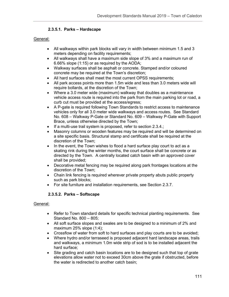# **2.3.5.1. Parks – Hardscape**

## General:

- All walkways within park blocks will vary in width between minimum 1.5 and 3 meters depending on facility requirements;
- All walkways shall have a maximum side slope of 3% and a maximum run of 6.66% slope (1:15) or as required by the AODA;
- Walkway surfaces shall be asphalt or concrete. Stamped and/or coloured concrete may be required at the Town's discretion;
- All hard surfaces shall meet the most current OPSS requirements;
- All park access points more than 1.5m wide and less than 3.0 meters wide will require bollards, at the discretion of the Town;
- Where a 3.0 meter wide (maximum) walkway that doubles as a maintenance vehicle access route is required into the park from the main parking lot or road, a curb cut must be provided at the access/egress;
- A P-gate is required following Town Standards to restrict access to maintenance vehicles only for all 3.0 meter wide walkways and access routes. See Standard No. 608 – Walkway P-Gate or Standard No. 609 – Walkway P-Gate with Support Brace, unless otherwise directed by the Town;
- If a multi-use trail system is proposed, refer to section 2.3.4.;
- Masonry columns or wooden features may be required and will be determined on a site specific basis. Structural stamp and certificate shall be required at the discretion of the Town;
- In the event, the Town wishes to flood a hard surface play court to act as a skating rink during the winter months, the court surface shall be concrete or as directed by the Town. A centrally located catch basin with an approved cover shall be provided;
- Decorative metal fencing may be required along park frontages locations at the discretion of the Town;
- Chain link fencing is required wherever private property abuts public property such as park blocks;
- For site furniture and installation requirements, see Section 2.3.7.

# **2.3.5.2. Parks – Softscape**

- Refer to Town standard details for specific technical planting requirements. See Standard No. 800 – 805;
- All soft surface slopes and swales are to be designed to a minimum of 2% and maximum 25% slope (1:4);
- Crossflow of water from soft to hard surfaces and play courts are to be avoided;
- Where hydro and/or terraseed is proposed adjacent hard landscape areas, trails and walkways, a minimum 1.0m wide strip of sod is to be installed adjacent the hard surface;
- Site grading and catch basin locations are to be designed such that top of grate elevations allow water not to exceed 30cm above the grate if obstructed, before the water is redirected to another catch basin;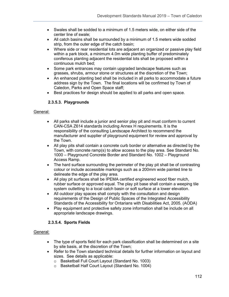- Swales shall be sodded to a minimum of 1.5 meters wide, on either side of the center line of swale;
- All catch basins shall be surrounded by a minimum of 1.5 meters wide sodded strip, from the outer edge of the catch basin;
- Where side or rear residential lots are adjacent an organized or passive play field within a park block, a minimum 4.0m wide planting buffer of predominately coniferous planting adjacent the residential lots shall be proposed within a continuous mulch bed;
- Some park entrances may contain upgraded landscape features such as grasses, shrubs, armour stone or structures at the discretion of the Town;
- An enhanced planting bed shall be included in all parks to accommodate a future address sign by the Town. The final locations will be confirmed by Town of Caledon, Parks and Open Space staff;
- Best practices for design should be applied to all parks and open space.

# **2.3.5.3. Playgrounds**

#### General:

- All parks shall include a junior and senior play pit and must conform to current CAN-CSA Z614 standards including Annex H requirements. It is the responsibility of the consulting Landscape Architect to recommend the manufacturer and supplier of playground equipment for review and approval by the Town.
- All play pits shall contain a concrete curb border or alternative as directed by the Town, with concrete ramp(s) to allow access to the play area. See Standard No. 1000 – Playground Concrete Border and Standard No. 1002 – Playground Access Ramp.
- The hard surface surrounding the perimeter of the play pit shall be of contrasting colour or include accessible markings such as a 200mm wide painted line to delineate the edge of the play area.
- All play pit surfaces shall be IPEMA certified engineered wood fiber mulch, rubber surface or approved equal. The play pit base shall contain a weeping tile system outletting to a local catch basin or soft surface at a lower elevation.
- All outdoor play spaces shall comply with the consultation and design requirements of the Design of Public Spaces of the Integrated Accessibility Standards of the Accessibility for Ontarians with Disabilities Act, 2005. (AODA)
- Play equipment and protective safety zone information shall be include on all appropriate landscape drawings.

# **2.3.5.4. Sports Fields**

- The type of sports field for each park classification shall be determined on a site by site basis, at the discretion of the Town;
- Refer to the Town standard technical details for further information on layout and sizes. See details as applicable:
	- o Basketball Full Court Layout (Standard No. 1003)
	- o Basketball Half Court Layout (Standard No. 1004)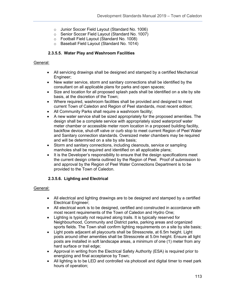- o Junior Soccer Field Layout (Standard No. 1006)
- o Senior Soccer Field Layout (Standard No. 1007)
- o Football Field Layout (Standard No. 1008)
- o Baseball Field Layout (Standard No. 1014)

## **2.3.5.5. Water Play and Washroom Facilities**

#### General:

- All servicing drawings shall be designed and stamped by a certified Mechanical Engineer;
- New water service, storm and sanitary connections shall be identified by the consultant on all applicable plans for parks and open spaces;
- Size and location for all proposed splash pads shall be identified on a site by site basis, at the discretion of the Town;
- Where required, washroom facilities shall be provided and designed to meet current Town of Caledon and Region of Peel standards, most recent edition;
- All Community Parks shall require a washroom facility;
- A new water service shall be sized appropriately for the proposed amenities. The design shall be a complete service with appropriately sized waterproof water meter chamber or accessible meter room location in a proposed building facility, backflow device, shut-off valve or curb stop to meet current Region of Peel Water and Sanitary connection standards. Oversized meter chambers may be required and will be determined on a site by site basis;
- Storm and sanitary connections, including cleanouts, service or sampling manholes shall be required and identified on all applicable plans;
- It is the Developer's responsibility to ensure that the design specifications meet the current design criteria outlined by the Region of Peel. Proof of submission to and approval by the Region of Peel Water Connections Department is to be provided to the Town of Caledon.

# **2.3.5.6. Lighting and Electrical**

- All electrical and lighting drawings are to be designed and stamped by a certified Electrical Engineer;
- All electrical work is to be designed, certified and constructed in accordance with most recent requirements of the Town of Caledon and Hydro One;
- Lighting is typically not required along trails. It is typically reserved for Neighbourhood, Community and District parks, parking areas and organized sports fields. The Town shall confirm lighting requirements on a site by site basis;
- Light posts adjacent all playcourts shall be Stresscrete, at 6.5m height. Light posts around other amenities shall be Stresscrete at 5.0m height. Ensure all light posts are installed in soft landscape areas, a minimum of one (1) meter from any hard surface or trail edge;
- Approval in writing from the Electrical Safety Authority (ESA) is required prior to energizing and final acceptance by Town;
- All lighting is to be LED and controlled via photocell and digital timer to meet park hours of operation;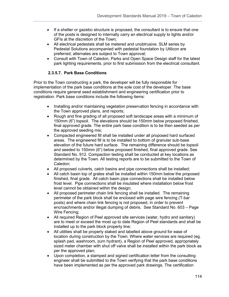- If a shelter or gazebo structure is proposed, the consultant is to ensure that one of the posts is designed to internally carry an electrical supply to lights and/or GFIs at the discretion of the Town;
- All electrical pedestals shall be metered and unobtrusive. SLM series by Pedestal Solutions accompanied with pedestal foundation by Utilicon are preferred; alternates are subject to Town approval;
- Consult with Town of Caledon, Parks and Open Space Design staff for the latest park lighting requirements, prior to first submission from the electrical consultant.

# **2.3.5.7. Park Base Conditions**

Prior to the Town constructing a park, the developer will be fully responsible for implementation of the park base conditions at the sole cost of the developer. The base conditions require general seed establishment and engineering certification prior to registration. Park base conditions include the following items:

- Installing and/or maintaining vegetation preservation fencing in accordance with the Town approved plans, and reports;
- Rough and fine grading of all proposed soft landscape areas with a minimum of 150mm (6") topsoil. The elevations should be 150mm below proposed finished, final approved grade. The entire park base condition is to be then seeded as per the approved seeding mix;
- Compacted engineered fill shall be installed under all proposed hard surfaced areas. The engineered fill is to be installed to bottom of granular sub-base elevation of the future hard surface. The remaining difference should be topsoil and seeded to 150mm (6") below proposed finished, final approved grade. See Standard No. 912. Compaction testing shall be conducted at key locations as determined by the Town. All testing reports are to be submitted to the Town of Caledon;
- All proposed culverts, catch basins and pipe connections shall be installed;
- All catch basin top of grates shall be installed within 150mm below the proposed finished, final grade. All catch basin pipe connections shall be installed below frost level. Pipe connections shall be insulated where installation below frost level cannot be obtained within the design;
- All proposed perimeter chain link fencing shall be installed. The remaining perimeter of the park block shall be enclosed with page wire fencing (T-bar posts) and where chain link fencing is not proposed, in order to prevent encroachments and/or illegal dumping of debris. See Standard No. 603 – Page Wire Fencing;
- All required Region of Peel approved site services (water, hydro and sanitary) are to meet or exceed the most up to date Region of Peel standards and shall be installed up to the park block property line;
- All utilities shall be properly staked and labelled above ground for ease of location during construction by the Town. Where water services are required (eg. splash pad, washroom, zurn hydrant), a Region of Peel approved, appropriately sized meter chamber with shut off valve shall be installed within the park block as per the approved plan;
- Upon completion, a stamped and signed certification letter from the consulting engineer shall be submitted to the Town verifying that the park base conditions have been implemented as per the approved park drawings. The certification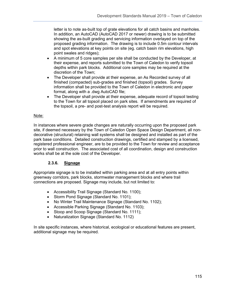letter is to note as-built top of grate elevations for all catch basins and manholes. In addition, an AutoCAD (AutoCAD 2017 or newer) drawing is to be submitted showing the as-built grading and servicing information overlayed on top of the proposed grading information. The drawing is to include 0.5m contour intervals and spot elevations at key points on site (eg. catch basin rim elevations, high point swales and ridges);

- A minimum of 5 core samples per site shall be conducted by the Developer, at their expense, and reports submitted to the Town of Caledon to verify topsoil depths within park blocks. Additional core samples may be required at the discretion of the Town;
- The Developer shall provide at their expense, an As Recorded survey of all finished (compacted) sub-grades and finished (topsoil) grades. Survey information shall be provided to the Town of Caledon in electronic and paper format, along with a .dwg AutoCAD file;
- The Developer shall provide at their expense, adequate record of topsoil testing to the Town for all topsoil placed on park sites. If amendments are required of the topsoil, a pre- and post-test analysis report will be required.

# Note:

In instances where severe grade changes are naturally occurring upon the proposed park site, if deemed necessary by the Town of Caledon Open Space Design Department, all nondecorative (structural) retaining wall systems shall be designed and installed as part of the park base conditions. Detailed construction drawings, certified and stamped by a licensed, registered professional engineer, are to be provided to the Town for review and acceptance prior to wall construction. The associated cost of all coordination, design and construction works shall be at the sole cost of the Developer.

# **2.3.6. Signage**

Appropriate signage is to be installed within parking area and at all entry points within greenway corridors, park blocks, stormwater management blocks and where trail connections are proposed. Signage may include, but not limited to:

- Accessibility Trail Signage (Standard No. 1100);
- Storm Pond Signage (Standard No. 1101);
- No Winter Trail Maintenance Signage (Standard No. 1102);
- Accessible Parking Signage (Standard No. 1103);
- Stoop and Scoop Signage (Standard No. 1111);
- Naturalization Signage (Standard No. 1112)

In site specific instances, where historical, ecological or educational features are present, additional signage may be required.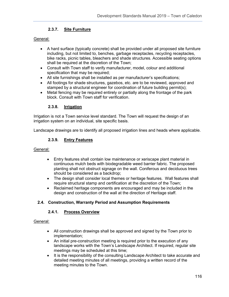# **2.3.7. Site Furniture**

### General:

- A hard surface (typically concrete) shall be provided under all proposed site furniture including, but not limited to, benches, garbage receptacles, recycling receptacles, bike racks, picnic tables, bleachers and shade structures. Accessible seating options shall be required at the discretion of the Town;
- Consult with Town staff to verify manufacturer, model, colour and additional specification that may be required;
- All site furnishings shall be installed as per manufacturer's specifications;
- All footings for shade structures, gazebos, etc. are to be reviewed, approved and stamped by a structural engineer for coordination of future building permit(s);
- Metal fencing may be required entirely or partially along the frontage of the park block. Consult with Town staff for verification.

# **2.3.8. Irrigation**

Irrigation is not a Town service level standard. The Town will request the design of an irrigation system on an individual, site specific basis.

Landscape drawings are to identify all proposed irrigation lines and heads where applicable.

# **2.3.9. Entry Features**

#### General:

- Entry features shall contain low maintenance or xeriscape plant material in continuous mulch beds with biodegradable weed barrier fabric. The proposed planting shall not obstruct signage on the wall. Coniferous and deciduous trees should be considered as a backdrop;
- The design shall consider local themes or heritage features. Wall features shall require structural stamp and certification at the discretion of the Town;
- Reclaimed heritage components are encouraged and may be included in the design and construction of the wall at the direction of Heritage staff.

# **2.4. Construction, Warranty Period and Assumption Requirements**

# **2.4.1. Process Overview**

- All construction drawings shall be approved and signed by the Town prior to implementation;
- An initial pre-construction meeting is required prior to the execution of any landscape works with the Town's Landscape Architect. If required, regular site meetings may be scheduled at this time;
- It is the responsibility of the consulting Landscape Architect to take accurate and detailed meeting minutes of all meetings, providing a written record of the meeting minutes to the Town.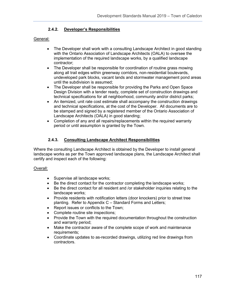# **2.4.2. Developer's Responsibilities**

### General:

- The Developer shall work with a consulting Landscape Architect in good standing with the Ontario Association of Landscape Architects (OALA) to oversee the implementation of the required landscape works, by a qualified landscape contractor;
- The Developer shall be responsible for coordination of routine grass mowing along all trail edges within greenway corridors, non-residential boulevards, undeveloped park blocks, vacant lands and stormwater management pond areas until the subdivision is assumed;
- The Developer shall be responsible for providing the Parks and Open Space Design Division with a tender ready, complete set of construction drawings and technical specifications for all neighborhood, community and/or district parks;
- An itemized, unit rate cost estimate shall accompany the construction drawings and technical specifications, at the cost of the Developer. All documents are to be stamped and signed by a registered member of the Ontario Association of Landscape Architects (OALA) in good standing;
- Completion of any and all repairs/replacements within the required warranty period or until assumption is granted by the Town.

# **2.4.3. Consulting Landscape Architect Responsibilities**

Where the consulting Landscape Architect is obtained by the Developer to install general landscape works as per the Town approved landscape plans, the Landscape Architect shall certify and inspect each of the following:

# Overall:

- Supervise all landscape works;
- Be the direct contact for the contractor completing the landscape works;
- Be the direct contact for all resident and /or stakeholder inquiries relating to the landscape works;
- Provide residents with notification letters (door knockers) prior to street tree planting. Refer to Appendix C – Standard Forms and Letters;
- Report issues or conflicts to the Town;
- Complete routine site inspections;
- Provide the Town with the required documentation throughout the construction and warranty period;
- Make the contractor aware of the complete scope of work and maintenance requirements;
- Coordinate updates to as-recorded drawings, utilizing red line drawings from contractors.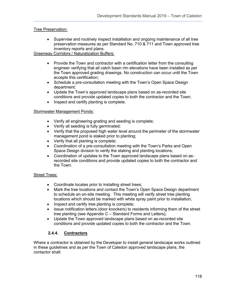# Tree Preservation:

• Supervise and routinely inspect installation and ongoing maintenance of all tree preservation measures as per Standard No. 710 & 711 and Town approved tree inventory reports and plans.

## Greenway Corridors / Naturalization Buffers:

- Provide the Town and contractor with a certification letter from the consulting engineer verifying that all catch basin rim elevations have been installed as per the Town approved grading drawings. No construction can occur until the Town accepts this certification;
- Schedule a pre-consultation meeting with the Town's Open Space Design department;
- Update the Town's approved landscape plans based on as-recorded site conditions and provide updated copies to both the contractor and the Town;
- Inspect and certify planting is complete.

# Stormwater Management Ponds:

- Verify all engineering grading and seeding is complete;
- Verify all seeding is fully germinated;
- Verify that the proposed high water level around the perimeter of the stormwater management pond is staked prior to planting;
- Verify that all planting is complete;
- Coordination of a pre-consultation meeting with the Town's Parks and Open Space Design division to verify the staking and planting locations;
- Coordination of updates to the Town approved landscape plans based on asrecorded site conditions and provide updated copies to both the contractor and the Town.

#### **Street Trees:**

- Coordinate locates prior to installing street trees;
- Mark the tree locations and contact the Town's Open Space Design department to schedule an on-site meeting. This meeting will verify street tree planting locations which should be marked with white spray paint prior to installation;
- Inspect and certify tree planting is complete;
- Issue notification letters (door knockers) to residents informing them of the street tree planting (see Appendix C – Standard Forms and Letters);
- Update the Town approved landscape plans based on as-recorded site conditions and provide updated copies to both the contractor and the Town.

# **2.4.4. Contractors**

Where a contractor is obtained by the Developer to install general landscape works outlined in these guidelines and as per the Town of Caledon approved landscape plans, the contactor shall: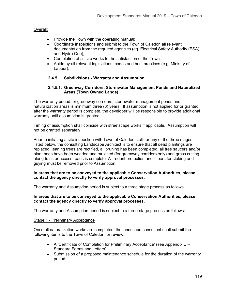## Overall:

- Provide the Town with the operating manual;
- Coordinate inspections and submit to the Town of Caledon all relevant documentation from the required agencies (eg. Electrical Safety Authority (ESA), and Hydro One);
- Completion of all site works to the satisfaction of the Town;
- Abide by all relevant legislations, codes and best practices (e.g. Ministry of Labour).

# **2.4.5. Subdivisions - Warranty and Assumption**

#### **2.4.5.1. Greenway Corridors, Stormwater Management Ponds and Naturalized Areas (Town Owned Lands)**

The warranty period for greenway corridors, stormwater management ponds and naturalization areas is minimum three (3) years. If assumption is not applied for or granted after the warranty period is complete, the developer will be responsible to provide additional warranty until assumption is granted.

Timing of assumption shall coincide with streetscape works if applicable. Assumption will not be granted separately.

Prior to initiating a site inspection with Town of Caledon staff for any of the three stages listed below, the consulting Landscape Architect is to ensure that all dead plantings are replaced, leaning trees are rectified, all pruning has been completed, all tree saucers and/or plant beds have been weeded and mulched (for greenway corridors only) and grass cutting along trails or access roads is complete. All rodent protection and T-bars for staking and guying must be removed prior to Assumption.

#### **In areas that are to be conveyed to the applicable Conservation Authorities, please contact the agency directly to verify approval processes.**

The warranty and Assumption period is subject to a three stage process as follows:

#### **In areas that are to be conveyed to the applicable Conservation Authorities, please contact the agency directly to verify approval processes.**

The warranty and Assumption period is subject to a three-stage process as follows:

#### Stage 1 - Preliminary Acceptance

Once all naturalization works are completed, the landscape consultant shall submit the following items to the Town of Caledon for review:

- A 'Certificate of Completion for Preliminary Acceptance' (see Appendix C Standard Forms and Letters);
- Submission of a proposed maintenance schedule for the duration of the warranty period;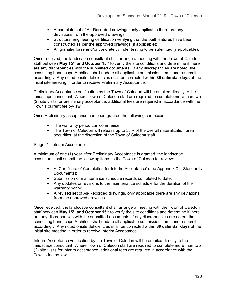- A complete set of As-Recorded drawings, only applicable there are any deviations from the approved drawings;
- Structural engineering certification verifying that the built features have been constructed as per the approved drawings (if applicable);
- All granular base and/or concrete cylinder testing to be submitted (if applicable).

Once received, the landscape consultant shall arrange a meeting with the Town of Caledon staff between **May 15th and October 15th** to verify the site conditions and determine if there are any discrepancies with the submitted documents. If any discrepancies are noted, the consulting Landscape Architect shall update all applicable submission items and resubmit accordingly. Any noted onsite deficiencies shall be corrected within **30 calendar days** of the initial site meeting in order to receive Preliminary Acceptance.

Preliminary Acceptance verification by the Town of Caledon will be emailed directly to the landscape consultant. Where Town of Caledon staff are required to complete more than two (2) site visits for preliminary acceptance, additional fees are required in accordance with the Town's current fee by-law.

Once Preliminary acceptance has been granted the following can occur:

- The warranty period can commence;
- The Town of Caledon will release up to 50% of the overall naturalization area securities, at the discretion of the Town of Caledon staff.

#### Stage 2 - Interim Acceptance

A minimum of one (1) year after Preliminary Acceptance is granted, the landscape consultant shall submit the following items to the Town of Caledon for review:

- A 'Certificate of Completion for Interim Acceptance' (see Appendix C Standards Documents);
- Submission of maintenance schedule records completed to date;
- Any updates or revisions to the maintenance schedule for the duration of the warranty period;
- A revised set of As-Recorded drawings, only applicable there are any deviations from the approved drawings.

Once received, the landscape consultant shall arrange a meeting with the Town of Caledon staff between May 15<sup>th</sup> and October 15<sup>th</sup> to verify the site conditions and determine if there are any discrepancies with the submitted documents. If any discrepancies are noted, the consulting Landscape Architect shall update all applicable submission items and resubmit accordingly. Any noted onsite deficiencies shall be corrected within **30 calendar days** of the initial site meeting in order to receive Interim Acceptance.

Interim Acceptance verification by the Town of Caledon will be emailed directly to the landscape consultant. Where Town of Caledon staff are required to complete more than two (2) site visits for interim acceptance, additional fees are required in accordance with the Town's fee by-law.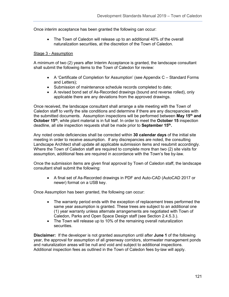Once interim acceptance has been granted the following can occur:

• The Town of Caledon will release up to an additional 40% of the overall naturalization securities, at the discretion of the Town of Caledon.

#### Stage 3 - Assumption

A minimum of two (2) years after Interim Acceptance is granted, the landscape consultant shall submit the following items to the Town of Caledon for review:

- A 'Certificate of Completion for Assumption' (see Appendix C Standard Forms and Letters);
- Submission of maintenance schedule records completed to date;
- A revised bond set of As-Recorded drawings (bound and reverse rolled), only applicable there are any deviations from the approved drawings.

Once received, the landscape consultant shall arrange a site meeting with the Town of Caledon staff to verify the site conditions and determine if there are any discrepancies with the submitted documents. Assumption inspections will be performed between **May 15th and October 15th**, while plant material is in full leaf. In order to meet the **October 15** inspection deadline, all site inspection requests shall be made prior to **September 15th.**

Any noted onsite deficiencies shall be corrected within **30 calendar days** of the initial site meeting in order to receive assumption. If any discrepancies are noted, the consulting Landscape Architect shall update all applicable submission items and resubmit accordingly. Where the Town of Caledon staff are required to complete more than two (2) site visits for assumption, additional fees are required in accordance with the Town's fee by-law.

Once the submission items are given final approval by Town of Caledon staff, the landscape consultant shall submit the following:

• A final set of As-Recorded drawings in PDF and Auto-CAD (AutoCAD 2017 or newer) format on a USB key.

Once Assumption has been granted, the following can occur:

- The warranty period ends with the exception of replacement trees performed the same year assumption is granted. These trees are subject to an additional one (1) year warranty unless alternate arrangements are negotiated with Town of Caledon, Parks and Open Space Design staff (see Section 2.4.5.3.).
- The Town will release up to 10% of the remaining overall naturalization securities.

**Disclaimer:** If the developer is not granted assumption until after **June 1** of the following year, the approval for assumption of all greenway corridors, stormwater management ponds and naturalization areas will be null and void and subject to additional inspections. Additional inspection fees as outlined in the Town of Caledon fees by-law will apply.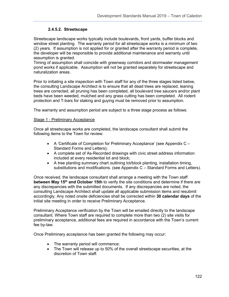# **2.4.5.2. Streetscape**

Streetscape landscape works typically include boulevards, front yards, buffer blocks and window street planting. The warranty period for all streetscape works is a minimum of two (2) years. If assumption is not applied for or granted after the warranty period is complete, the developer will be responsible to provide additional maintenance and warranty until assumption is granted.

Timing of assumption shall coincide with greenway corridors and stormwater management pond works if applicable. Assumption will not be granted separately for streetscape and naturalization areas.

Prior to initiating a site inspection with Town staff for any of the three stages listed below, the consulting Landscape Architect is to ensure that all dead trees are replaced, leaning trees are corrected, all pruning has been completed, all boulevard tree saucers and/or plant beds have been weeded, mulched and any grass cutting has been completed. All rodent protection and T-bars for staking and guying must be removed prior to assumption.

The warranty and assumption period are subject to a three stage process as follows:

### Stage 1 - Preliminary Acceptance

Once all streetscape works are completed, the landscape consultant shall submit the following items to the Town for review:

- A 'Certificate of Completion for Preliminary Acceptance' (see Appendix C Standard Forms and Letters);
- A complete set of As-Recorded drawings with civic street address information included at every residential lot and block;
- A tree planting summary chart outlining lot/block planting, installation timing, substitutions and modifications. (see Appendix C – Standard Forms and Letters).

Once received, the landscape consultant shall arrange a meeting with the Town staff **between May 15th and October 15th** to verify the site conditions and determine if there are any discrepancies with the submitted documents. If any discrepancies are noted, the consulting Landscape Architect shall update all applicable submission items and resubmit accordingly. Any noted onsite deficiencies shall be corrected within **30 calendar days** of the initial site meeting in order to receive Preliminary Acceptance.

Preliminary Acceptance verification by the Town will be emailed directly to the landscape consultant. Where Town staff are required to complete more than two (2) site visits for preliminary acceptance, additional fees are required in accordance with the Town's current fee by-law.

Once Preliminary acceptance has been granted the following may occur:

- The warranty period will commence;
- The Town will release up to 50% of the overall streetscape securities, at the discretion of Town staff.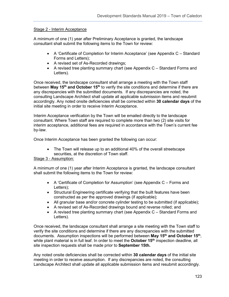### Stage 2 - Interim Acceptance

A minimum of one (1) year after Preliminary Acceptance is granted, the landscape consultant shall submit the following items to the Town for review:

- A 'Certificate of Completion for Interim Acceptance' (see Appendix C Standard Forms and Letters);
- A revised set of As-Recorded drawings;
- A revised tree planting summary chart (see Appendix C Standard Forms and Letters).

Once received, the landscape consultant shall arrange a meeting with the Town staff between **May 15th and October 15th** to verify the site conditions and determine if there are any discrepancies with the submitted documents. If any discrepancies are noted, the consulting Landscape Architect shall update all applicable submission items and resubmit accordingly. Any noted onsite deficiencies shall be corrected within **30 calendar days** of the initial site meeting in order to receive Interim Acceptance.

Interim Acceptance verification by the Town will be emailed directly to the landscape consultant. Where Town staff are required to complete more than two (2) site visits for interim acceptance, additional fees are required in accordance with the Town's current fee by-law.

Once Interim Acceptance has been granted the following can occur:

• The Town will release up to an additional 40% of the overall streetscape securities, at the discretion of Town staff.

# Stage 3 - Assumption:

A minimum of one (1) year after Interim Acceptance is granted, the landscape consultant shall submit the following items to the Town for review:

- A 'Certificate of Completion for Assumption' (see Appendix C Forms and Letters);
- Structural Engineering certificate verifying that the built features have been constructed as per the approved drawings (if applicable);
- All granular base and/or concrete cylinder testing to be submitted (if applicable);
- A revised set of As-Recorded drawings bound and reverse rolled; and
- A revised tree planting summary chart (see Appendix C Standard Forms and Letters).

Once received, the landscape consultant shall arrange a site meeting with the Town staff to verify the site conditions and determine if there are any discrepancies with the submitted documents. Assumption inspections will be performed between **May 15th and October 15th**, while plant material is in full leaf. In order to meet the **October 15th** inspection deadline, all site inspection requests shall be made prior to **September 15th.**

Any noted onsite deficiencies shall be corrected within **30 calendar days** of the initial site meeting in order to receive assumption. If any discrepancies are noted, the consulting Landscape Architect shall update all applicable submission items and resubmit accordingly.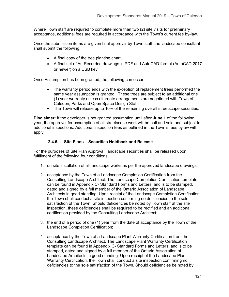Where Town staff are required to complete more than two (2) site visits for preliminary acceptance, additional fees are required in accordance with the Town's current fee by-law.

Once the submission items are given final approval by Town staff, the landscape consultant shall submit the following:

- A final copy of the tree planting chart;
- A final set of As-Recorded drawings in PDF and AutoCAD format (AutoCAD 2017 or newer) on a USB key.

Once Assumption has been granted, the following can occur:

- The warranty period ends with the exception of replacement trees performed the same year assumption is granted. These trees are subject to an additional one (1) year warranty unless alternate arrangements are negotiated with Town of Caledon, Parks and Open Space Design Staff;
- The Town will release up to 10% of the remaining overall streetscape securities.

**Disclaimer:** If the developer is not granted assumption until after **June 1** of the following year, the approval for assumption of all streetscape work will be null and void and subject to additional inspections. Additional inspection fees as outlined in the Town's fees bylaw will apply.

### **2.4.6. Site Plans – Securities Holdback and Release**

For the purposes of Site Plan Approval, landscape securities shall be released upon fulfillment of the following four conditions:

- 1. on site installation of all landscape works as per the approved landscape drawings;
- 2. acceptance by the Town of a Landscape Completion Certification from the Consulting Landscape Architect. The Landscape Completion Certification template can be found in Appendix C- Standard Forms and Letters, and is to be stamped, dated and signed by a full member of the Ontario Association of Landscape Architects in good standing. Upon receipt of the Landscape Completion Certification, the Town shall conduct a site inspection confirming no deficiencies to the sole satisfaction of the Town. Should deficiencies be noted by Town staff at the site inspection, these deficiencies shall be required to be rectified and an additional certification provided by the Consulting Landscape Architect;
- 3. the end of a period of one (1) year from the date of acceptance by the Town of the Landscape Completion Certification;
- 4. acceptance by the Town of a Landscape Plant Warranty Certification from the Consulting Landscape Architect. The Landscape Plant Warranty Certification template can be found in Appendix C- Standard Forms and Letters, and is to be stamped, dated and signed by a full member of the Ontario Association of Landscape Architects in good standing. Upon receipt of the Landscape Plant Warranty Certification, the Town shall conduct a site inspection confirming no deficiencies to the sole satisfaction of the Town. Should deficiencies be noted by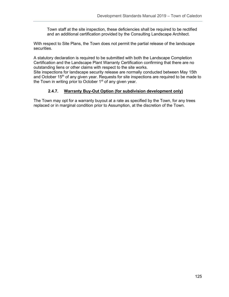Town staff at the site inspection, these deficiencies shall be required to be rectified and an additional certification provided by the Consulting Landscape Architect.

With respect to Site Plans, the Town does not permit the partial release of the landscape securities.

A statutory declaration is required to be submitted with both the Landscape Completion Certification and the Landscape Plant Warranty Certification confirming that there are no outstanding liens or other claims with respect to the site works.

Site inspections for landscape security release are normally conducted between May 15th and October 15<sup>th</sup> of any given year. Requests for site inspections are required to be made to the Town in writing prior to October 1<sup>st</sup> of any given year.

# **2.4.7. Warranty Buy-Out Option (for subdivision development only)**

The Town may opt for a warranty buyout at a rate as specified by the Town, for any trees replaced or in marginal condition prior to Assumption, at the discretion of the Town.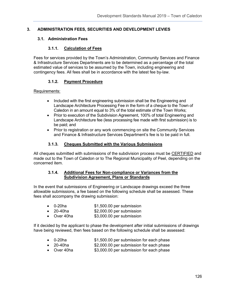# **3. ADMINISTRATION FEES, SECURITIES AND DEVELOPMENT LEVIES**

# **3.1. Administration Fees**

# **3.1.1. Calculation of Fees**

Fees for services provided by the Town's Administration, Community Services and Finance & Infrastructure Services Departments are to be determined as a percentage of the total estimated value of services to be assumed by the Town, including engineering and contingency fees. All fees shall be in accordance with the latest fee by-law.

# **3.1.2. Payment Procedure**

### Requirements:

- Included with the first engineering submission shall be the Engineering and Landscape Architecture Processing Fee in the form of a cheque to the Town of Caledon in an amount equal to 3% of the total estimate of the Town Works;
- Prior to execution of the Subdivision Agreement, 100% of total Engineering and Landscape Architecture fee (less processing fee made with first submission) is to be paid; and
- Prior to registration or any work commencing on site the Community Services and Finance & Infrastructure Services Department's fee is to be paid in full.

# **3.1.3. Cheques Submitted with the Various Submissions**

All cheques submitted with submissions of the subdivision process must be CERTIFIED and made out to the Town of Caledon or to The Regional Municipality of Peel, depending on the concerned item.

#### **3.1.4. Additional Fees for Non-compliance or Variances from the Subdivision Agreement, Plans or Standards**

In the event that submissions of Engineering or Landscape drawings exceed the three allowable submissions, a fee based on the following schedule shall be assessed. These fees shall accompany the drawing submission:

| 0-20ha | \$1,500.00 per submission |  |
|--------|---------------------------|--|
|        |                           |  |

- 20-40ha \$2,000.00 per submission
- Over 40ha \$3,000.00 per submission

If it decided by the applicant to phase the development after initial submissions of drawings have being reviewed, then fees based on the following schedule shall be assessed:

- 0-20ha \$1,500.00 per submission for each phase
- 20-40ha \$2,000.00 per submission for each phase
- Over 40ha \$3,000.00 per submission for each phase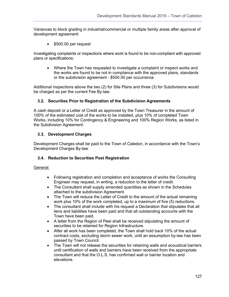Variances to block grading in industrial/commercial or multiple family areas after approval of development agreement:

• \$500.00 per request

Investigating complaints or inspections where work is found to be non-compliant with approved plans or specifications:

• Where the Town has requested to investigate a complaint or inspect works and the works are found to be not in compliance with the approved plans, standards or the subdivision agreement - \$500.00 per occurrence

Additional inspections above the two (2) for Site Plans and three (3) for Subdivisions would be charged as per the current Fee By-law.

# **3.2. Securities Prior to Registration of the Subdivision Agreements**

A cash deposit or a Letter of Credit as approved by the Town Treasurer in the amount of 100% of the estimated cost of the works to be installed, plus 10% of completed Town Works, including 10% for Contingency & Engineering and 100% Region Works, as listed in the Subdivision Agreement.

### **3.3. Development Charges**

Development Charges shall be paid to the Town of Caledon, in accordance with the Town's Development Charges By-law.

# **3.4. Reduction to Securities Post Registration**

- Following registration and completion and acceptance of works the Consulting Engineer may request, in writing, a reduction to the letter of credit.
- The Consultant shall supply amended quantities as shown in the Schedules attached to the subdivision Agreement.
- The Town will reduce the Letter of Credit to the amount of the actual remaining work plus 10% of the work completed, up to a maximum of five (5) reductions.
- The consultant shall include with his request a Declaration that stipulates that all liens and liabilities have been paid and that all outstanding accounts with the Town have been paid.
- A letter from the Region of Peel shall be received stipulating the amount of securities to be retained for Region Infrastructure.
- After all work has been completed, the Town shall hold back 10% of the actual contract costs, excluding storm sewer work, until an assumption by-law has been passed by Town Council.
- The Town will not release the securities for retaining walls and acoustical barriers until certification of walls and barriers have been received from the appropriate consultant and that the O.L.S. has confirmed wall or barrier location and elevations.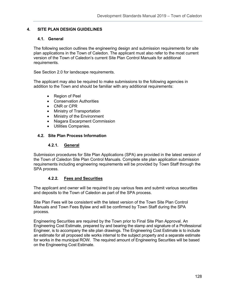# **4. SITE PLAN DESIGN GUIDELINES**

## **4.1. General**

The following section outlines the engineering design and submission requirements for site plan applications in the Town of Caledon. The applicant must also refer to the most current version of the Town of Caledon's current Site Plan Control Manuals for additional requirements.

See Section 2.0 for landscape requirements.

The applicant may also be required to make submissions to the following agencies in addition to the Town and should be familiar with any additional requirements:

- Region of Peel
- Conservation Authorities
- CNR or CPR
- Ministry of Transportation
- Ministry of the Environment
- Niagara Escarpment Commission
- Utilities Companies.

### **4.2. Site Plan Process Information**

#### **4.2.1. General**

Submission procedures for Site Plan Applications (SPA) are provided in the latest version of the Town of Caledon Site Plan Control Manuals. Complete site plan application submission requirements including engineering requirements will be provided by Town Staff through the SPA process.

# **4.2.2. Fees and Securities**

The applicant and owner will be required to pay various fees and submit various securities and deposits to the Town of Caledon as part of the SPA process.

Site Plan Fees will be consistent with the latest version of the Town Site Plan Control Manuals and Town Fees Bylaw and will be confirmed by Town Staff during the SPA process.

Engineering Securities are required by the Town prior to Final Site Plan Approval. An Engineering Cost Estimate, prepared by and bearing the stamp and signature of a Professional Engineer, is to accompany the site plan drawings. The Engineering Cost Estimate is to include an estimate for all proposed site works internal to the subject property and a separate estimate for works in the municipal ROW. The required amount of Engineering Securities will be based on the Engineering Cost Estimate.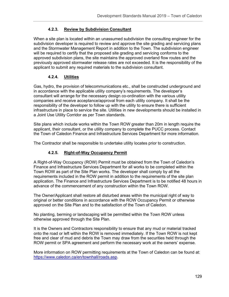# **4.2.3. Review by Subdivision Consultant**

When a site plan is located within an unassumed subdivision the consulting engineer for the subdivision developer is required to review and approve the site grading and servicing plans and the Stormwater Management Report in addition to the Town. The subdivision engineer will be required to certify that the proposed site grading and servicing conforms to the approved subdivision plans, the site maintains the approved overland flow routes and the previously approved stormwater release rates are not exceeded. It is the responsibility of the applicant to submit any required materials to the subdivision consultant.

# **4.2.4. Utilities**

Gas, hydro, the provision of telecommunications etc., shall be constructed underground and in accordance with the applicable utility company's requirements. The developer's consultant will arrange for the necessary design co-ordination with the various utility companies and receive acceptance/approval from each utility company. It shall be the responsibility of the developer to follow up with the utility to ensure there is sufficient infrastructure in place to service the site. Utilities in new developments should be installed in a Joint Use Utility Corridor as per Town standards.

Site plans which include works within the Town ROW greater than 20m in length require the applicant, their consultant, or the utility company to complete the PUCC process. Contact the Town of Caledon Finance and Infrastructure Services Department for more information.

The Contractor shall be responsible to undertake utility locates prior to construction.

# **4.2.5. Right-of-Way Occupancy Permit**

A Right-of-Way Occupancy (ROW) Permit must be obtained from the Town of Caledon's Finance and Infrastructure Services Department for all works to be completed within the Town ROW as part of the Site Plan works. The developer shall comply by all the requirements included in the ROW permit in addition to the requirements of the site plan application. The Finance and Infrastructure Services Department is to be notified 48 hours in advance of the commencement of any construction within the Town ROW.

The Owner/Applicant shall restore all disturbed areas within the municipal right of way to original or better conditions in accordance with the ROW Occupancy Permit or otherwise approved on the Site Plan and to the satisfaction of the Town of Caledon.

No planting, berming or landscaping will be permitted within the Town ROW unless otherwise approved through the Site Plan.

It is the Owners and Contractors responsibility to ensure that any mud or material tracked onto the road or left within the ROW is removed immediately. If the Town ROW is not kept free and clear of mud and debris the Town may draw from the securities held through the ROW permit or SPA agreement and perform the necessary work at the owners' expense.

More information on ROW permitting requirements at the Town of Caledon can be found at: [https://www.caledon.ca/en/townhall/roads.asp.](https://www.caledon.ca/en/townhall/roads.asp)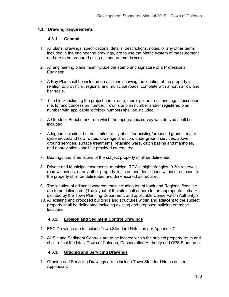## **4.3. Drawing Requirements**

## **4.3.1. General:**

- 1. All plans, drawings, specifications, details, descriptions, notes, or any other terms included in the engineering drawings, are to use the Metric system of measurement and are to be prepared using a standard metric scale.
- 2. All engineering plans must include the stamp and signature of a Professional Engineer.
- 3. A Key Plan shall be included on all plans showing the location of the property in relation to provincial, regional and municipal roads, complete with a north arrow and bar scale.
- 4. Title block including the project name, date, municipal address and legal description (i.e. lot and concession number, Town site plan number and/or registered plan number with applicable lot/block number) shall be included.
- 5. A Geodetic Benchmark from which the topographic survey was derived shall be included.
- 6. A legend including, but not limited to: symbols for existing/proposed grades, major system/overland flow routes, drainage direction, underground services, above ground services, surface treatments, retaining walls, catch basins and manholes, and abbreviations shall be provided as required.
- 7. Bearings and dimensions of the subject property shall be delineated.
- 8. Private and Municipal easements, municipal ROWs, sight triangles, 0.3m reserves, road widenings, or any other property limits or land dedications within or adjacent to the property shall be delineated and dimensioned as required.
- 9. The location of adjacent watercourses including top of bank and Regional floodline are to be delineated. (The layout of the site shall adhere to the appropriate setbacks dictated by the Town Planning Department and applicable Conservation Authority.)
- 10. All existing and proposed buildings and structures within and adjacent to the subject property shall be delineated including existing and proposed building entrance locations.

#### **4.3.2. Erosion and Sediment Control Drawings**

- 1. ESC Drawings are to include Town Standard Notes as per Appendix C
- 2. All Silt and Sediment Controls are to be located within the subject property limits and shall reflect the latest Town of Caledon, Conservation Authority and OPS Standards.

### **4.3.3. Grading and Servicing Drawings**

1. Grading and Servicing Drawings are to include Town Standard Notes as per Appendix C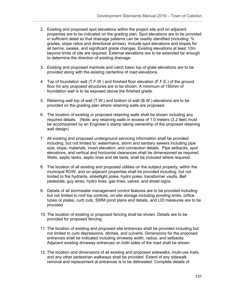- 2. Existing and proposed spot elevations within the project site and on adjacent properties are to be indicated on the grading plan. Spot elevations are to be provided in sufficient detail so that drainage patterns can be readily identified (including: % grades, slope ratios and directional arrows). Include spot elevations and slopes for all berms, swales, and significant grade changes. Existing elevations at least 10m beyond limits of site are required. External elevations are to be extended far enough to determine the direction of existing drainage.
- 3. Existing and proposed manhole and catch basin top of grate elevations are to be provided along with the existing centerline of road elevations.
- 4. Top of foundation wall (T.F.W.) and finished floor elevation (F.F.E.) of the ground floor for any proposed structures are to be shown. A minimum of 150mm of foundation wall is to be exposed above the finished grade.
- 5. Retaining wall top of wall (T.W.) and bottom of wall (B.W.) elevations are to be provided on the grading plan where retaining walls are proposed.
- 6. The location of existing or proposed retaining walls shall be shown including any required details. (Note: any retaining walls in excess of 1.0 meters (3.2 feet) must be accompanied by an Engineer's stamp taking ownership of the proposed retaining wall design)
- 7. All existing and proposed underground servicing information shall be provided including, but not limited to: watermains, storm and sanitary sewers including pipe size, slope, materials, invert elevation, and connection details. Pipe setbacks, spot elevations, and vertical and horizontal clearances shall be dimensioned as required. Wells, septic tanks, septic lines and tile beds, shall be included where required.
- 8. The location of all existing and proposed utilities on the subject property, within the municipal ROW, and on adjacent properties shall be provided including, but not limited to fire hydrants, streetlight poles, hydro poles, transformer vaults, Bell pedestals, guy wires, hydro lines, gas lines, valves, and street signs.
- 9. Details of all stormwater management control features are to be provided including but not limited to roof top controls, on-site storage including ponding limits, orifice tubes or plates, curb cuts, SWM pond plans and details, and LID measures are to be provided.
- 10. The location of existing or proposed fencing shall be shown. Details are to be provided for proposed fencing.
- 11. The location of existing and proposed site entrances shall be provided including but not limited to curb depressions, ditches, and culverts. Dimensions for the proposed entrances shall be indicated including driveway width, radius, and setbacks. Adjacent existing driveway entrances on both sides of the road shall be shown.
- 12. The location and dimensions of all existing and proposed sidewalks, multi-use trails, and any other pedestrian walkways shall be provided. Extent of any sidewalk removal and replacement at entrances is to be delineated. Complete details of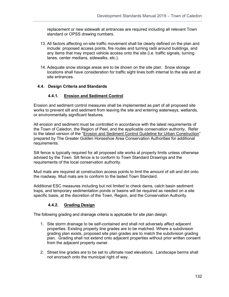replacement or new sidewalk at entrances are required including all relevant Town standard or OPSS drawing numbers.

- 13. All factors affecting on-site traffic movement shall be clearly defined on the plan and include: proposed access points, fire routes and turning radii around buildings, and any items that may impact vehicle access onto the site (i.e. traffic signals, turning lanes, center medians, sidewalks, etc.).
- 14. Adequate snow storage areas are to be shown on the site plan. Snow storage locations shall have consideration for traffic sight lines both internal to the site and at site entrances.

# **4.4. Design Criteria and Standards**

# **4.4.1. Erosion and Sediment Control**

Erosion and sediment control measures shall be implemented as part of all proposed site works to prevent silt and sediment from leaving the site and entering waterways, wetlands, or environmentally significant features.

All erosion and sediment must be controlled in accordance with the latest requirements of the Town of Caledon, the Region of Peel, and the applicable conservation authority. Refer to the latest version of the "Erosion and Sediment Control Guideline for Urban Construction" prepared by The Greater Golden Horseshoe Area Conservation Authorities for additional requirements.

Silt fence is typically required for all proposed site works at property limits unless otherwise advised by the Town. Silt fence is to conform to Town Standard Drawings and the requirements of the local conservation authority.

Mud mats are required at construction access points to limit the amount of silt and dirt onto the roadway. Mud mats are to conform to the lasted Town Standard.

Additional ESC measures including but not limited to check dams, catch basin sediment traps, and temporary sedimentation ponds or basins will be required as needed on a site specific basis, at the discretion of the Town, Region, and the Conservation Authority.

# **4.4.2. Grading Design**

The following grading and drainage criteria is applicable for site plan design:

- 1. Site storm drainage to be self-contained and shall not adversely affect adjacent properties. Existing property line grades are to be matched. Where a subdivision grading plan exists, proposed site plan grades are to match the subdivision grading plan. Grading shall not extend onto adjacent properties without prior written consent from the adjacent property owner.
- 2. Street line grades are to be set to ultimate road elevations. Landscape berms shall not encroach onto the municipal right of way.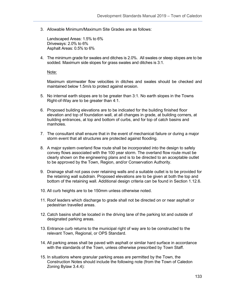3. Allowable Minimum/Maximum Site Grades are as follows:

Landscaped Areas: 1.5% to 6% Driveways: 2.0% to 6% Asphalt Areas: 0.5% to 6%

4. The minimum grade for swales and ditches is 2.0%. All swales or steep slopes are to be sodded. Maximum side slopes for grass swales and ditches is 3:1.

Note:

Maximum stormwater flow velocities in ditches and swales should be checked and maintained below 1.5m/s to protect against erosion.

- 5. No internal earth slopes are to be greater than 3:1. No earth slopes in the Towns Right-of-Way are to be greater than 4:1.
- 6. Proposed building elevations are to be indicated for the building finished floor elevation and top of foundation wall, at all changes in grade, at building corners, at building entrances, at top and bottom of curbs, and for top of catch basins and manholes.
- 7. The consultant shall ensure that in the event of mechanical failure or during a major storm event that all structures are protected against flooding.
- 8. A major system overland flow route shall be incorporated into the design to safely convey flows associated with the 100 year storm. The overland flow route must be clearly shown on the engineering plans and is to be directed to an acceptable outlet to be approved by the Town, Region, and/or Conservation Authority.
- 9. Drainage shall not pass over retaining walls and a suitable outlet is to be provided for the retaining wall subdrain. Proposed elevations are to be given at both the top and bottom of the retaining wall. Additional design criteria can be found in Section 1.12.6.
- 10. All curb heights are to be 150mm unless otherwise noted.
- 11. Roof leaders which discharge to grade shall not be directed on or near asphalt or pedestrian travelled areas.
- 12. Catch basins shall be located in the driving lane of the parking lot and outside of designated parking areas.
- 13. Entrance curb returns to the municipal right of way are to be constructed to the relevant Town, Regional, or OPS Standard.
- 14. All parking areas shall be paved with asphalt or similar hard surface in accordance with the standards of the Town, unless otherwise prescribed by Town Staff.
- 15. In situations where granular parking areas are permitted by the Town, the Construction Notes should include the following note (from the Town of Caledon Zoning Bylaw 3.4.4):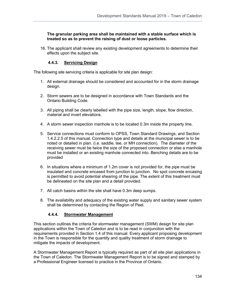#### **The granular parking area shall be maintained with a stable surface which is treated so as to prevent the raising of dust or loose particles.**

16. The applicant shall review any existing development agreements to determine their effects upon the subject site.

## **4.4.3. Servicing Design**

The following site servicing criteria is applicable for site plan design:

- 1. All external drainage should be considered and accounted for in the storm drainage design.
- 2. Storm sewers are to be designed in accordance with Town Standards and the Ontario Building Code.
- 3. All piping shall be clearly labelled with the pipe size, length, slope, flow direction, material and invert elevations.
- 4. A storm sewer inspection manhole is to be located 0.3m inside the property line.
- 5. Service connections must conform to OPSS, Town Standard Drawings, and Section 1.4.2.2.5 of this manual. Connection type and details at the municipal sewer is to be noted or detailed in plan. (i.e. saddle, tee, or MH connection). The diameter of the receiving sewer must be twice the size of the proposed connection or else a manhole must be installed or an existing manhole connected into. Benching details are to be provided
- 6. In situations where a minimum of 1.2m cover is not provided for, the pipe must be insulated and concrete encased from junction to junction. No spot concrete encasing is permitted to avoid potential shearing of the pipe. The extent of this treatment must be delineated on the site plan and a detail provided.
- 7. All catch basins within the site shall have 0.3m deep sumps.
- 8. The availability and adequacy of the existing water supply and sanitary sewer system shall be determined by contacting the Region of Peel.

#### **4.4.4. Stormwater Management**

This section outlines the criteria for stormwater management (SWM) design for site plan applications within the Town of Caledon and is to be read in conjunction with the requirements provided in Section 1.4 of this manual. Every applicant proposing development in the Town is responsible for the quantity and quality treatment of storm drainage to mitigate the impacts of development.

A Stormwater Management Report is typically required as part of all site plan applications in the Town of Caledon. The Stormwater Management Report is to be signed and stamped by a Professional Engineer licensed to practice in the Province of Ontario.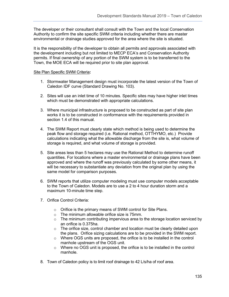The developer or their consultant shall consult with the Town and the local Conservation Authority to confirm the site specific SWM criteria including whether there are master environmental or drainage studies approved for the area where the site is situated.

It is the responsibility of the developer to obtain all permits and approvals associated with the development including but not limited to MECP ECA's and Conservation Authority permits. If final ownership of any portion of the SWM system is to be transferred to the Town, the MOE ECA will be required prior to site plan approval.

### Site Plan Specific SWM Criteria**:**

- 1. Stormwater Management design must incorporate the latest version of the Town of Caledon IDF curve (Standard Drawing No. 103).
- 2. Sites will use an inlet time of 10 minutes. Specific sites may have higher inlet times which must be demonstrated with appropriate calculations.
- 3. Where municipal infrastructure is proposed to be constructed as part of site plan works it is to be constructed in conformance with the requirements provided in section 1.4 of this manual.
- 4. The SWM Report must clearly state which method is being used to determine the peak flow and storage required (i.e. Rational method, OTTHYMO, etc.) Provide calculations indicating what the allowable discharge from the site is, what volume of storage is required, and what volume of storage is provided.
- 5. Site areas less than 5 hectares may use the Rational Method to determine runoff quantities. For locations where a master environmental or drainage plans have been approved and where the runoff was previously calculated by some other means, it will be necessary to substantiate any deviation from the original plan by using the same model for comparison purposes.
- 6. SWM reports that utilize computer modeling must use computer models acceptable to the Town of Caledon. Models are to use a 2 to 4 hour duration storm and a maximum 10-minute time step.
- 7. Orifice Control Criteria:
	- o Orifice is the primary means of SWM control for Site Plans.
	- o The minimum allowable orifice size is 75mm.
	- $\circ$  The minimum contributing impervious area to the storage location serviced by an orifice is 0.375ha.
	- $\circ$  The orifice size, control chamber and location must be clearly detailed upon the plans. Orifice sizing calculations are to be provided in the SWM report.
	- o Where OGS units are proposed, the orifice is to be installed in the control manhole upstream of the OGS unit.
	- o Where no OGS unit is proposed, the orifice is to be installed in the control manhole.
- 8. Town of Caledon policy is to limit roof drainage to 42 L/s/ha of roof area.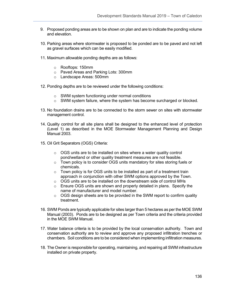- 9. Proposed ponding areas are to be shown on plan and are to indicate the ponding volume and elevation.
- 10. Parking areas where stormwater is proposed to be ponded are to be paved and not left as gravel surfaces which can be easily modified.
- 11. Maximum allowable ponding depths are as follows:
	- o Rooftops: 150mm
	- o Paved Areas and Parking Lots: 300mm
	- o Landscape Areas: 500mm
- 12. Ponding depths are to be reviewed under the following conditions:
	- o SWM system functioning under normal conditions
	- o SWM system failure, where the system has become surcharged or blocked.
- 13. No foundation drains are to be connected to the storm sewer on sites with stormwater management control.
- 14. Quality control for all site plans shall be designed to the enhanced level of protection (Level 1) as described in the MOE Stormwater Management Planning and Design Manual 2003.
- 15. Oil Grit Separators (OGS) Criteria:
	- $\circ$  OGS units are to be installed on sites where a water quality control pond/wetland or other quality treatment measures are not feasible.
	- o Town policy is to consider OGS units mandatory for sites storing fuels or chemicals.
	- o Town policy is for OGS units to be installed as part of a treatment train approach in conjunction with other SWM options approved by the Town.
	- o OGS units are to be installed on the downstream side of control MHs
	- o Ensure OGS units are shown and properly detailed in plans. Specify the name of manufacturer and model number.
	- $\circ$  OGS design sheets are to be provided in the SWM report to confirm quality treatment.
- 16. SWM Ponds are typically applicable for sites larger than 5 hectares as per the MOE SWM Manual (2003). Ponds are to be designed as per Town criteria and the criteria provided in the MOE SWM Manual.
- 17. Water balance criteria is to be provided by the local conservation authority. Town and conservation authority are to review and approve any proposed infiltration trenches or chambers. Soil conditions are to be considered when implementing infiltration measures.
- 18. The Owner is responsible for operating, maintaining, and repairing all SWM infrastructure installed on private property.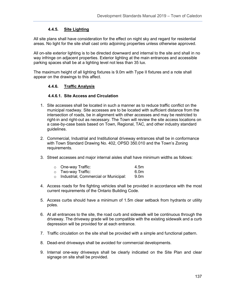## **4.4.5. Site Lighting**

All site plans shall have consideration for the effect on night sky and regard for residential areas. No light for the site shall cast onto adjoining properties unless otherwise approved.

All on-site exterior lighting is to be directed downward and internal to the site and shall in no way infringe on adjacent properties. Exterior lighting at the main entrances and accessible parking spaces shall be at a lighting level not less than 35 lux.

The maximum height of all lighting fixtures is 9.0m with Type II fixtures and a note shall appear on the drawings to this affect.

#### **4.4.6. Traffic Analysis**

#### **4.4.6.1. Site Access and Circulation**

- 1. Site accesses shall be located in such a manner as to reduce traffic conflict on the municipal roadway. Site accesses are to be located with sufficient distance from the intersection of roads, be in alignment with other accesses and may be restricted to right-in and right-out as necessary. The Town will review the site access locations on a case-by-case basis based on Town, Regional, TAC, and other industry standard guidelines.
- 2. Commercial, Industrial and Institutional driveway entrances shall be in conformance with Town Standard Drawing No. 402, OPSD 350.010 and the Town's Zoning requirements.
- 3. Street accesses and major internal aisles shall have minimum widths as follows:

| ○ One-way Traffic: |   | 4.5m          |
|--------------------|---|---------------|
| ○ Two-way Traffic: |   | 6.0m          |
|                    | . | $\sim$ $\sim$ |

- o Industrial, Commercial or Municipal: 9.0m
- 4. Access roads for fire fighting vehicles shall be provided in accordance with the most current requirements of the Ontario Building Code.
- 5. Access curbs should have a minimum of 1.5m clear setback from hydrants or utility poles.
- 6. At all entrances to the site, the road curb and sidewalk will be continuous through the driveway. The driveway grade will be compatible with the existing sidewalk and a curb depression will be provided for at each entrance.
- 7. Traffic circulation on the site shall be provided with a simple and functional pattern.
- 8. Dead-end driveways shall be avoided for commercial developments.
- 9. Internal one-way driveways shall be clearly indicated on the Site Plan and clear signage on site shall be provided.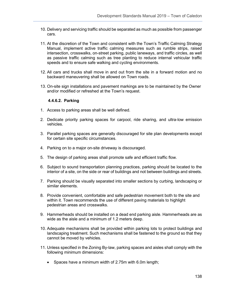- 10. Delivery and servicing traffic should be separated as much as possible from passenger cars.
- 11. At the discretion of the Town and consistent with the Town's Traffic Calming Strategy Manual, implement active traffic calming measures such as rumble strips, raised intersection, crosswalks, on-street parking, public laneways, and traffic circles, as well as passive traffic calming such as tree planting to reduce internal vehicular traffic speeds and to ensure safe walking and cycling environments.
- 12. All cars and trucks shall move in and out from the site in a forward motion and no backward maneuvering shall be allowed on Town roads.
- 13. On-site sign installations and pavement markings are to be maintained by the Owner and/or modified or refreshed at the Town's request.

#### **4.4.6.2. Parking**

- 1. Access to parking areas shall be well defined.
- 2. Dedicate priority parking spaces for carpool, ride sharing, and ultra-low emission vehicles.
- 3. Parallel parking spaces are generally discouraged for site plan developments except for certain site specific circumstances.
- 4. Parking on to a major on-site driveway is discouraged.
- 5. The design of parking areas shall promote safe and efficient traffic flow.
- 6. Subject to sound transportation planning practices, parking should be located to the interior of a site, on the side or rear of buildings and not between buildings and streets.
- 7. Parking should be visually separated into smaller sections by curbing, landscaping or similar elements.
- 8. Provide convenient, comfortable and safe pedestrian movement both to the site and within it. Town recommends the use of different paving materials to highlight pedestrian areas and crosswalks.
- 9. Hammerheads should be installed on a dead end parking aisle. Hammerheads are as wide as the aisle and a minimum of 1.2 meters deep.
- 10. Adequate mechanisms shall be provided within parking lots to protect buildings and landscaping treatment. Such mechanisms shall be fastened to the ground so that they cannot be moved by vehicles.
- 11. Unless specified in the Zoning By-law, parking spaces and aisles shall comply with the following minimum dimensions:
	- Spaces have a minimum width of 2.75m with 6.0m length;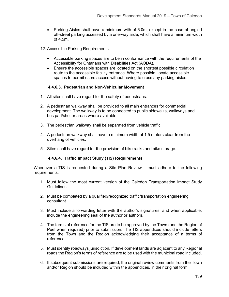- Parking Aisles shall have a minimum with of 6.0m, except in the case of angled off-street parking accessed by a one-way aisle, which shall have a minimum width of 4.5m.
- 12. Accessible Parking Requirements:
	- Accessible parking spaces are to be in conformance with the requirements of the Accessibility for Ontarians with Disabilities Act (AODA).
	- Ensure the accessible spaces are located on the shortest possible circulation route to the accessible facility entrance. Where possible, locate accessible spaces to permit users access without having to cross any parking aisles.

### **4.4.6.3. Pedestrian and Non-Vehicular Movement**

- 1. All sites shall have regard for the safety of pedestrians.
- 2. A pedestrian walkway shall be provided to all main entrances for commercial development. The walkway is to be connected to public sidewalks, walkways and bus pad/shelter areas where available.
- 3. The pedestrian walkway shall be separated from vehicle traffic.
- 4. A pedestrian walkway shall have a minimum width of 1.5 meters clear from the overhang of vehicles.
- 5. Sites shall have regard for the provision of bike racks and bike storage.

#### **4.4.6.4. Traffic Impact Study (TIS) Requirements**

Whenever a TIS is requested during a Site Plan Review it must adhere to the following requirements:

- 1. Must follow the most current version of the Caledon Transportation Impact Study Guidelines.
- 2. Must be completed by a qualified/recognized traffic/transportation engineering consultant.
- 3. Must include a forwarding letter with the author's signatures, and when applicable, include the engineering seal of the author or authors.
- 4. The terms of reference for the TIS are to be approved by the Town (and the Region of Peel when required) prior to submission. The TIS appendices should include letters from the Town and the Region acknowledging their acceptance of a terms of reference.
- 5. Must identify roadways jurisdiction. If development lands are adjacent to any Regional roads the Region's terms of reference are to be used with the municipal road included.
- 6. If subsequent submissions are required, the original review comments from the Town and/or Region should be included within the appendices, in their original form.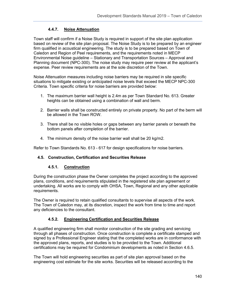# **4.4.7. Noise Attenuation**

Town staff will confirm if a Noise Study is required in support of the site plan application based on review of the site plan proposal. The Noise Study is to be prepared by an engineer firm qualified in acoustical engineering. The study is to be prepared based on Town of Caledon and Region of Peel requirements, and the requirements noted in MECP Environmental Noise guideline – Stationary and Transportation Sources – Approval and Planning document (NPC-300). The noise study may require peer review at the applicant's expense. Peer review requirements are at the sole discretion of the Town.

Noise Attenuation measures including noise barriers may be required in site specific situations to mitigate existing or anticipated noise levels that exceed the MECP NPC-300 Criteria. Town specific criteria for noise barriers are provided below:

- 1. The maximum barrier wall height is 2.4m as per Town Standard No. 613. Greater heights can be obtained using a combination of wall and berm.
- 2. Barrier walls shall be constructed entirely on private property. No part of the berm will be allowed in the Town ROW.
- 3. There shall be no visible holes or gaps between any barrier panels or beneath the bottom panels after completion of the barrier.
- 4. The minimum density of the noise barrier wall shall be 20 kg/m2.

Refer to Town Standards No. 613 - 617 for design specifications for noise barriers.

# **4.5. Construction, Certification and Securities Release**

# **4.5.1. Construction**

During the construction phase the Owner completes the project according to the approved plans, conditions, and requirements stipulated in the registered site plan agreement or undertaking. All works are to comply with OHSA, Town, Regional and any other applicable requirements.

The Owner is required to retain qualified consultants to supervise all aspects of the work. The Town of Caledon may, at its discretion, inspect the work from time to time and report any deficiencies to the consultant.

# **4.5.2. Engineering Certification and Securities Release**

A qualified engineering firm shall monitor construction of the site grading and servicing through all phases of construction. Once construction is complete a certificate stamped and signed by a Professional Engineer stating that the completed works are in conformance with the approved plans, reports, and studies is to be provided to the Town. Additional certifications may be required for Condominium developments as noted in Section 4.6.5.

The Town will hold engineering securities as part of site plan approval based on the engineering cost estimate for the site works. Securities will be released according to the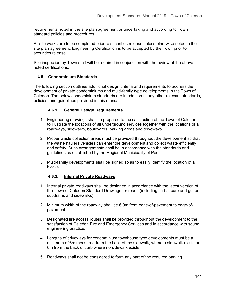requirements noted in the site plan agreement or undertaking and according to Town standard policies and procedures.

All site works are to be completed prior to securities release unless otherwise noted in the site plan agreement. Engineering Certification is to be accepted by the Town prior to securities release.

Site inspection by Town staff will be required in conjunction with the review of the abovenoted certifications.

# **4.6. Condominium Standards**

The following section outlines additional design criteria and requirements to address the development of private condominiums and multi-family type developments in the Town of Caledon. The below condominium standards are in addition to any other relevant standards, policies, and guidelines provided in this manual.

# **4.6.1. General Design Requirements**

- 1. Engineering drawings shall be prepared to the satisfaction of the Town of Caledon, to illustrate the locations of all underground services together with the locations of all roadways, sidewalks, boulevards, parking areas and driveways.
- 2. Proper waste collection areas must be provided throughout the development so that the waste haulers vehicles can enter the development and collect waste efficiently and safety. Such arrangements shall be in accordance with the standards and guidelines as established by the Regional Municipality of Peel.
- 3. Multi-family developments shall be signed so as to easily identify the location of all blocks.

# **4.6.2. Internal Private Roadways**

- 1. Internal private roadways shall be designed in accordance with the latest version of the Town of Caledon Standard Drawings for roads (including curbs, curb and gutters, subdrains and sidewalks).
- 2. Minimum width of the roadway shall be 6.0m from edge-of-pavement to edge-ofpavement.
- 3. Designated fire access routes shall be provided throughout the development to the satisfaction of Caledon Fire and Emergency Services and in accordance with sound engineering practice.
- 4. Lengths of driveways for condominium townhouse type developments must be a minimum of 6m measured from the back of the sidewalk, where a sidewalk exists or 6m from the back of curb where no sidewalk exists.
- 5. Roadways shall not be considered to form any part of the required parking.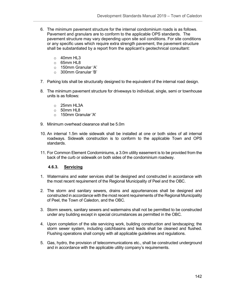- 6. The minimum pavement structure for the internal condominium roads is as follows. Pavement and granulars are to conform to the applicable OPS standards. The pavement structure may vary depending upon site soil conditions. For site conditions or any specific uses which require extra strength pavement, the pavement structure shall be substantiated by a report from the applicant's geotechnical consultant:
	- o 40mm HL3
	- o 65mm HL8
	- o 150mm Granular 'A'
	- o 300mm Granular 'B'
- 7. Parking lots shall be structurally designed to the equivalent of the internal road design.
- 8. The minimum pavement structure for driveways to individual, single, semi or townhouse units is as follows:
	- o 25mm HL3A
	- o 50mm HL8
	- o 150mm Granular 'A'
- 9. Minimum overhead clearance shall be 5.0m
- 10. An internal 1.5m wide sidewalk shall be installed at one or both sides of all internal roadways. Sidewalk construction is to conform to the applicable Town and OPS standards.
- 11. For Common Element Condominiums, a 3.0m utility easement is to be provided from the back of the curb or sidewalk on both sides of the condominium roadway.

#### **4.6.3. Servicing**

- 1. Watermains and water services shall be designed and constructed in accordance with the most recent requirement of the Regional Municipality of Peel and the OBC.
- 2. The storm and sanitary sewers, drains and appurtenances shall be designed and constructed in accordance with the most recent requirements of the Regional Municipality of Peel, the Town of Caledon, and the OBC.
- 3. Storm sewers, sanitary sewers and watermains shall not be permitted to be constructed under any building except in special circumstances as permitted in the OBC.
- 4. Upon completion of the site servicing work, building construction and landscaping; the storm sewer system, including catchbasins and leads shall be cleaned and flushed. Flushing operations shall comply with all applicable guidelines and regulations.
- 5. Gas, hydro, the provision of telecommunications etc., shall be constructed underground and in accordance with the applicable utility company's requirements.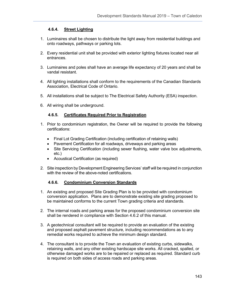### **4.6.4. Street Lighting**

- 1. Luminaires shall be chosen to distribute the light away from residential buildings and onto roadways, pathways or parking lots.
- 2. Every residential unit shall be provided with exterior lighting fixtures located near all entrances.
- 3. Luminaires and poles shall have an average life expectancy of 20 years and shall be vandal resistant.
- 4. All lighting installations shall conform to the requirements of the Canadian Standards Association, Electrical Code of Ontario.
- 5. All installations shall be subject to The Electrical Safety Authority (ESA) inspection.
- 6. All wiring shall be underground.

#### **4.6.5. Certificates Required Prior to Registration**

- 1. Prior to condominium registration, the Owner will be required to provide the following certifications:
	- Final Lot Grading Certification (including certification of retaining walls)
	- Pavement Certification for all roadways, driveways and parking areas<br>• Site Servicing Certification (including sewer flushing, water valve box
	- Site Servicing Certification (including sewer flushing, water valve box adjustments, etc.)
	- Acoustical Certification (as required)
- 2. Site inspection by Development Engineering Services' staff will be required in conjunction with the review of the above-noted certifications.

#### **4.6.6. Condominium Conversion Standards**

- 1. An existing and proposed Site Grading Plan is to be provided with condominium conversion application. Plans are to demonstrate existing site grading proposed to be maintained conforms to the current Town grading criteria and standards.
- 2. The internal roads and parking areas for the proposed condominium conversion site shall be rendered in compliance with Section 4.6.2 of this manual.
- 3. A geotechnical consultant will be required to provide an evaluation of the existing and proposed asphalt pavement structure, including recommendations as to any remedial works required to achieve the minimum design standard.
- 4. The consultant is to provide the Town an evaluation of existing curbs, sidewalks, retaining walls, and any other existing hardscape site works. All cracked, spalled, or otherwise damaged works are to be repaired or replaced as required. Standard curb is required on both sides of access roads and parking areas.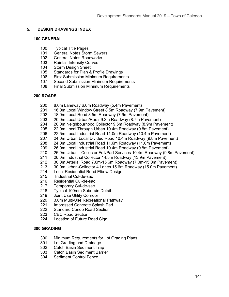#### **5. DESIGN DRAWINGS INDEX**

#### **100 GENERAL**

- 100 Typical Title Pages<br>101 General Notes Stor
- 101 General Notes Storm Sewers<br>102 General Notes Roadworks
- **General Notes Roadworks**
- 103 Rainfall Intensity Curves
- 104 Storm Design Sheet<br>105 Standards for Plan &
- 105 Standards for Plan & Profile Drawings<br>106 First Submission Minimum Requireme
- **First Submission Minimum Requirements**
- 107 Second Submission Minimum Requirements
- 108 Final Submission Minimum Requirements

#### **200 ROADS**

- 200 8.0m Laneway 6.0m Roadway (5.4m Pavement)<br>201 16.0m Local Window Street 8.5m Roadway (7.9n
- 201 16.0m Local Window Street 8.5m Roadway (7.9m Pavement)<br>202 18.0m Local Road 8.5m Roadway (7.9m Pavement)
- 18.0m Local Road 8.5m Roadway (7.9m Pavement)
- 203 20.0m Local Urban/Rural 9.3m Roadway (8.7m Pavement)
- 20.0m Neighbourhood Collector 9.5m Roadway (8.9m Pavement)
- 205 22.0m Local Through Urban 10.4m Roadway (9.8m Pavement)<br>206 22.5m Local Industrial Road 11.0m Roadway (10.4m Pavement
- 
- 206 22.5m Local Industrial Road 11.0m Roadway (10.4m Pavement) 207 24.0m Urban Local Divided Road 10.4m Roadway (9.8m Pavement)<br>208 24.0m Local Industrial Road 11.6m Roadway (11.0m Pavement)
- 24.0m Local Industrial Road 11.6m Roadway (11.0m Pavement)
- 209 26.0m Local Industrial Road 10.4m Roadway (9.8m Pavement)<br>210 26.0m Urban Collector Full/Part Services 10.4m Roadway (9.8
- 210 26.0m Urban Collector Full/Part Services 10.4m Roadway (9.8m Pavement)<br>211 26.0m Industrial Collector 14.5m Roadway (13.9m Pavement)
- 211 26.0m Industrial Collector 14.5m Roadway (13.9m Pavement)<br>212 30.0m Arterial Road 7.6m-15.6m Roadway (7.0m-15.0m Paver
- 212 30.0m Arterial Road 7.6m-15.6m Roadway (7.0m-15.0m Pavement)
- 213 30.0m Urban-Collector 4 Lanes 15.6m Roadway (15.0m Pavement)<br>214 Local Residential Road Elbow Design
- **Local Residential Road Elbow Design**
- 215 Industrial Cul-de-sac<br>216 Residential Cul-de-sac
- 216 Residential Cul-de-sac<br>217 Temporary Cul-de-sac
- Temporary Cul-de-sac
- 218 Typical 100mm Subdrain Detail
- 219 Joint Use Utility Corridor<br>220 3.0m Multi-Use Recreatio
- 220 3.0m Multi-Use Recreational Pathway<br>221 Impressed Concrete Splash Pad
- 221 Impressed Concrete Splash Pad<br>222 Standard Condo Road Section
- Standard Condo Road Section
- 223 CEC Road Section
- 224 Location of Future Road Sign

#### **300 GRADING**

- 300 Minimum Requirements for Lot Grading Plans<br>301 Lot Grading and Drainage
- 301 Lot Grading and Drainage<br>302 Catch Basin Sediment Tra
- 302 Catch Basin Sediment Trap<br>303 Catch Basin Sediment Barrio
- **Catch Basin Sediment Barrier**
- 304 Sediment Control Fence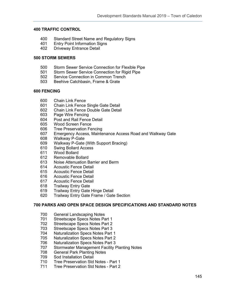## **400 TRAFFIC CONTROL**

- 400 Standard Street Name and Regulatory Signs<br>401 Entry Point Information Signs
- 401 Entry Point Information Signs<br>402 Driveway Entrance Detail
- Driveway Entrance Detail

## **500 STORM SEWERS**

- 500 Storm Sewer Service Connection for Flexible Pipe<br>501 Storm Sewer Service Connection for Rigid Pipe
- 501 Storm Sewer Service Connection for Rigid Pipe<br>502 Service Connection in Common Trench
- Service Connection in Common Trench
- 503 Beehive Catchbasin, Frame & Grate

#### **600 FENCING**

- 600 Chain Link Fence
- 601 Chain Link Fence Single Gate Detail<br>602 Chain Link Fence Double Gate Detail
- **Chain Link Fence Double Gate Detail**
- 603 Page Wire Fencing
- 604 Post and Rail Fence Detail
- 605 Wood Screen Fence
- 606 Tree Preservation Fencing
- 607 Emergency Access, Maintenance Access Road and Walkway Gate
- 608 Walkway P-Gate
- Walkway P-Gate (With Support Bracing)
- 610 Swing Bollard Access
- 611 Wood Bollard<br>612 Removable Bo
- Removable Bollard
- 613 Noise Attenuation Barrier and Berm<br>614 Acoustic Fence Detail
- **Acoustic Fence Detail**
- 615 Acoustic Fence Detail
- 616 Acoustic Fence Detail
- 617 Acoustic Fence Detail<br>618 Trailway Entry Gate
- **Trailway Entry Gate**
- 619 Trailway Entry Gate Hinge Detail
- 620 Trailway Entry Gate Frame / Gate Section

#### **700 PARKS AND OPEN SPACE DESIGN SPECIFICATIONS AND STANDARD NOTES**

- 700 General Landscaping Notes<br>701 Streetscape Specs Notes Pa
- Streetscape Specs Notes Part 1
- 702 Streetscape Specs Notes Part 2
- 703 Streetscape Specs Notes Part 3<br>704 Naturalization Specs Notes Part
- **Naturalization Specs Notes Part 1**
- 
- 705 Naturalization Specs Notes Part 2 706 Naturalization Specs Notes Part 3<br>707 Stormwater Management Facility F
- 707 Stormwater Management Facility Planting Notes<br>708 General Park Planting Notes
- **General Park Planting Notes**
- 709 Sod Installation Detail
- 710 Tree Preservation Std Notes Part 1
- 711 Tree Preservation Std Notes Part 2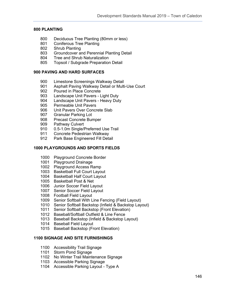# **800 PLANTING**

- 800 Deciduous Tree Planting (80mm or less)<br>801 Coniferous Tree Planting
- 801 Coniferous Tree Planting<br>802 Shrub Planting
- Shrub Planting
- Groundcover and Perennial Planting Detail
- Tree and Shrub Naturalization
- Topsoil / Subgrade Preparation Detail

## **900 PAVING AND HARD SURFACES**

- Limestone Screenings Walkway Detail
- 901 Asphalt Paving Walkway Detail or Multi-Use Court<br>902 Poured in Place Concrete
- 902 Poured in Place Concrete<br>903 Landscape Unit Pavers L
- Landscape Unit Pavers Light Duty
- 904 Landscape Unit Pavers Heavy Duty<br>905 Permeable Unit Pavers
- 905 Permeable Unit Pavers<br>906 Unit Pavers Over Concr
- 906 Unit Pavers Over Concrete Slab<br>907 Granular Parking Lot
- **Granular Parking Lot**
- Precast Concrete Bumper
- Pathway Culvert
- 0.5-1.0m Single/Preferred Use Trail
- 911 Concrete Pedestrian Walkway<br>912 Park Base Engineered Fill Deta
- Park Base Engineered Fill Detail

## **1000 PLAYGROUNDS AND SPORTS FIELDS**

- Playground Concrete Border
- Playground Drainage
- Playground Access Ramp
- Basketball Full Court Layout
- Basketball Half Court Layout
- Basketball Post & Net
- Junior Soccer Field Layout
- Senior Soccer Field Layout
- Football Field Layout
- Senior Softball With Line Fencing (Field Layout)
- Senior Softball Backstop (Infield & Backstop Layout)
- Senior Softball Backstop (Front Elevation)
- Baseball/Softball Outfield & Line Fence
- Baseball Backstop (Infield & Backstop Layout)
- Baseball Field Layout
- Baseball Backstop (Front Elevation)

# **1100 SIGNAGE AND SITE FURNISHINGS**

- Accessibility Trail Signage
- Storm Pond Signage
- No Winter Trail Maintenance Signage
- Accessible Parking Signage
- Accessible Parking Layout Type A